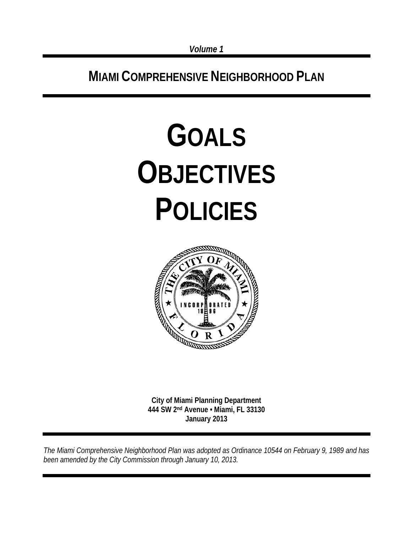**MIAMI COMPREHENSIVE NEIGHBORHOOD PLAN**

# **GOALS OBJECTIVES POLICIES**



**City of Miami Planning Department 444 SW 2nd Avenue • Miami, FL 33130 January 2013** 

*The Miami Comprehensive Neighborhood Plan was adopted as Ordinance 10544 on February 9, 1989 and has been amended by the City Commission through January 10, 2013.*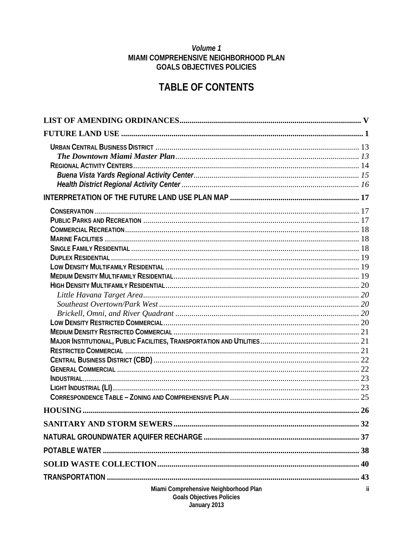#### Volume 1 MIAMI COMPREHENSIVE NEIGHBORHOOD PLAN **GOALS OBJECTIVES POLICIES**

## **TABLE OF CONTENTS**

| Miami Comprehensive Neighborhood Plan | ii |
|---------------------------------------|----|
| <b>Goals Objectives Policies</b>      |    |
| January 2013                          |    |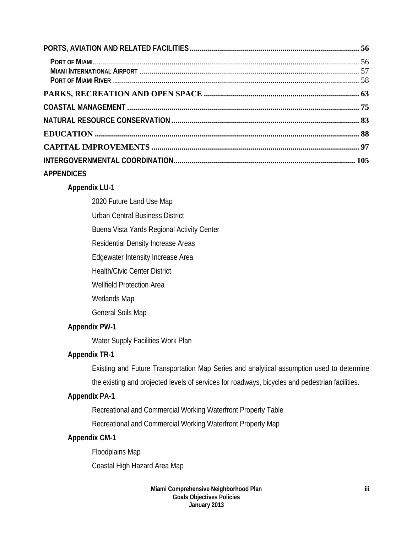| <b>APPENDICES</b> |  |
|-------------------|--|

#### **Appendix LU-1**

2020 Future Land Use Map

Urban Central Business District

Buena Vista Yards Regional Activity Center

Residential Density Increase Areas

Edgewater Intensity Increase Area

Health/Civic Center District

Wellfield Protection Area

Wetlands Map

General Soils Map

#### **Appendix PW-1**

Water Supply Facilities Work Plan

## **Appendix TR-1**

Existing and Future Transportation Map Series and analytical assumption used to determine the existing and projected levels of services for roadways, bicycles and pedestrian facilities.

## **Appendix PA-1**

Recreational and Commercial Working Waterfront Property Table

Recreational and Commercial Working Waterfront Property Map

#### **Appendix CM-1**

 Floodplains Map Coastal High Hazard Area Map

> **Miami Comprehensive Neighborhood Plan Goals Objectives Policies January 2013**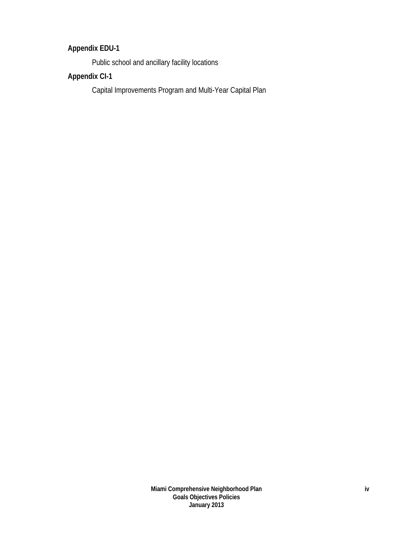## **Appendix EDU-1**

Public school and ancillary facility locations

## **Appendix CI-1**

Capital Improvements Program and Multi-Year Capital Plan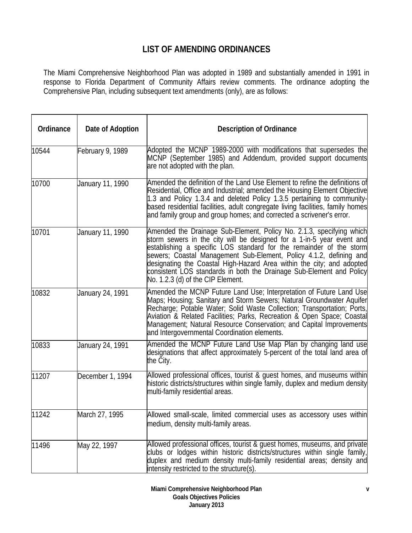## **LIST OF AMENDING ORDINANCES**

The Miami Comprehensive Neighborhood Plan was adopted in 1989 and substantially amended in 1991 in response to Florida Department of Community Affairs review comments. The ordinance adopting the Comprehensive Plan, including subsequent text amendments (only), are as follows:

| Ordinance | Date of Adoption | <b>Description of Ordinance</b>                                                                                                                                                                                                                                                                                                                                                                                                                                                  |
|-----------|------------------|----------------------------------------------------------------------------------------------------------------------------------------------------------------------------------------------------------------------------------------------------------------------------------------------------------------------------------------------------------------------------------------------------------------------------------------------------------------------------------|
| 10544     | February 9, 1989 | Adopted the MCNP 1989-2000 with modifications that supersedes the<br>MCNP (September 1985) and Addendum, provided support documents<br>are not adopted with the plan.                                                                                                                                                                                                                                                                                                            |
| 10700     | January 11, 1990 | Amended the definition of the Land Use Element to refine the definitions of<br>Residential, Office and Industrial; amended the Housing Element Objective<br>1.3 and Policy 1.3.4 and deleted Policy 1.3.5 pertaining to community-<br>based residential facilities, adult congregate living facilities, family homes<br>and family group and group homes; and corrected a scrivener's error.                                                                                     |
| 10701     | January 11, 1990 | Amended the Drainage Sub-Element, Policy No. 2.1.3, specifying which<br>storm sewers in the city will be designed for a 1-in-5 year event and<br>establishing a specific LOS standard for the remainder of the storm<br>sewers; Coastal Management Sub-Element, Policy 4.1.2, defining and<br>designating the Coastal High-Hazard Area within the city; and adopted<br>consistent LOS standards in both the Drainage Sub-Element and Policy<br>No. 1.2.3 (d) of the CIP Element. |
| 10832     | January 24, 1991 | Amended the MCNP Future Land Use; Interpretation of Future Land Use<br>Maps; Housing; Sanitary and Storm Sewers; Natural Groundwater Aquifer<br>Recharge; Potable Water; Solid Waste Collection; Transportation; Ports,<br>Aviation & Related Facilities; Parks, Recreation & Open Space; Coastal<br>Management; Natural Resource Conservation; and Capital Improvements<br>and Intergovernmental Coordination elements.                                                         |
| 10833     | January 24, 1991 | Amended the MCNP Future Land Use Map Plan by changing land use<br>designations that affect approximately 5-percent of the total land area of<br>the City.                                                                                                                                                                                                                                                                                                                        |
| 11207     | December 1, 1994 | Allowed professional offices, tourist & guest homes, and museums within<br>historic districts/structures within single family, duplex and medium density<br>multi-family residential areas.                                                                                                                                                                                                                                                                                      |
| 11242     | March 27, 1995   | Allowed small-scale, limited commercial uses as accessory uses within<br>medium, density multi-family areas.                                                                                                                                                                                                                                                                                                                                                                     |
| 11496     | May 22, 1997     | Allowed professional offices, tourist & guest homes, museums, and private<br>clubs or lodges within historic districts/structures within single family,<br>duplex and medium density multi-family residential areas; density and<br>intensity restricted to the structure(s).                                                                                                                                                                                                    |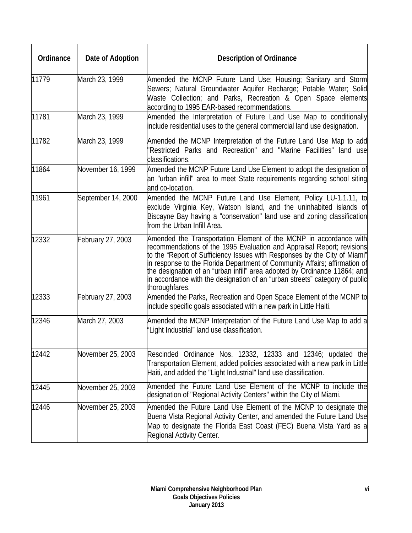| Ordinance | Date of Adoption   | <b>Description of Ordinance</b>                                                                                                                                                                                                                                                                                                                                                                                                                                                      |  |
|-----------|--------------------|--------------------------------------------------------------------------------------------------------------------------------------------------------------------------------------------------------------------------------------------------------------------------------------------------------------------------------------------------------------------------------------------------------------------------------------------------------------------------------------|--|
| 11779     | March 23, 1999     | Amended the MCNP Future Land Use; Housing; Sanitary and Storm<br>Sewers; Natural Groundwater Aquifer Recharge; Potable Water; Solid<br>Waste Collection; and Parks, Recreation & Open Space elements<br>according to 1995 EAR-based recommendations.                                                                                                                                                                                                                                 |  |
| 11781     | March 23, 1999     | Amended the Interpretation of Future Land Use Map to conditionally<br>include residential uses to the general commercial land use designation.                                                                                                                                                                                                                                                                                                                                       |  |
| 11782     | March 23, 1999     | Amended the MCNP Interpretation of the Future Land Use Map to add<br>'Restricted Parks and Recreation" and "Marine Facilities" land use<br>classifications.                                                                                                                                                                                                                                                                                                                          |  |
| 11864     | November 16, 1999  | Amended the MCNP Future Land Use Element to adopt the designation of<br>an "urban infill" area to meet State requirements regarding school siting<br>and co-location.                                                                                                                                                                                                                                                                                                                |  |
| 11961     | September 14, 2000 | Amended the MCNP Future Land Use Element, Policy LU-1.1.11, to<br>exclude Virginia Key, Watson Island, and the uninhabited islands of<br>Biscayne Bay having a "conservation" land use and zoning classification<br>from the Urban Infill Area.                                                                                                                                                                                                                                      |  |
| 12332     | February 27, 2003  | Amended the Transportation Element of the MCNP in accordance with<br>recommendations of the 1995 Evaluation and Appraisal Report; revisions<br>to the "Report of Sufficiency Issues with Responses by the City of Miami"<br>in response to the Florida Department of Community Affairs; affirmation of<br>the designation of an "urban infill" area adopted by Ordinance 11864; and<br>in accordance with the designation of an "urban streets" category of public<br>thoroughfares. |  |
| 12333     | February 27, 2003  | Amended the Parks, Recreation and Open Space Element of the MCNP to<br>include specific goals associated with a new park in Little Haiti.                                                                                                                                                                                                                                                                                                                                            |  |
| 12346     | March 27, 2003     | Amended the MCNP Interpretation of the Future Land Use Map to add a<br>"Light Industrial" land use classification.                                                                                                                                                                                                                                                                                                                                                                   |  |
| 12442     | November 25, 2003  | Rescinded Ordinance Nos. 12332, 12333 and 12346; updated the<br>Transportation Element, added policies associated with a new park in Little<br>Haiti, and added the "Light Industrial" land use classification.                                                                                                                                                                                                                                                                      |  |
| 12445     | November 25, 2003  | Amended the Future Land Use Element of the MCNP to include the<br>designation of "Regional Activity Centers" within the City of Miami.                                                                                                                                                                                                                                                                                                                                               |  |
| 12446     | November 25, 2003  | Amended the Future Land Use Element of the MCNP to designate the<br>Buena Vista Regional Activity Center, and amended the Future Land Use<br>Map to designate the Florida East Coast (FEC) Buena Vista Yard as a<br>Regional Activity Center.                                                                                                                                                                                                                                        |  |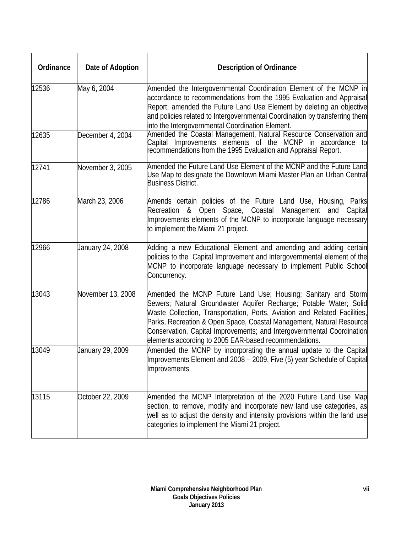| Ordinance | Date of Adoption  | <b>Description of Ordinance</b>                                                                                                                                                                                                                                                                                                                                                                                             |
|-----------|-------------------|-----------------------------------------------------------------------------------------------------------------------------------------------------------------------------------------------------------------------------------------------------------------------------------------------------------------------------------------------------------------------------------------------------------------------------|
| 12536     | May 6, 2004       | Amended the Intergovernmental Coordination Element of the MCNP in<br>accordance to recommendations from the 1995 Evaluation and Appraisal<br>Report; amended the Future Land Use Element by deleting an objective<br>and policies related to Intergovernmental Coordination by transferring them<br>into the Intergovernmental Coordination Element.                                                                        |
| 12635     | December 4, 2004  | Amended the Coastal Management, Natural Resource Conservation and<br>Capital Improvements elements of the MCNP in accordance to<br>recommendations from the 1995 Evaluation and Appraisal Report.                                                                                                                                                                                                                           |
| 12741     | November 3, 2005  | Amended the Future Land Use Element of the MCNP and the Future Land<br>Use Map to designate the Downtown Miami Master Plan an Urban Central<br><b>Business District.</b>                                                                                                                                                                                                                                                    |
| 12786     | March 23, 2006    | Amends certain policies of the Future Land Use, Housing, Parks<br>Recreation & Open Space, Coastal<br>Management and Capital<br>Improvements elements of the MCNP to incorporate language necessary<br>to implement the Miami 21 project.                                                                                                                                                                                   |
| 12966     | January 24, 2008  | Adding a new Educational Element and amending and adding certain<br>policies to the Capital Improvement and Intergovernmental element of the<br>MCNP to incorporate language necessary to implement Public School<br>Concurrency.                                                                                                                                                                                           |
| 13043     | November 13, 2008 | Amended the MCNP Future Land Use; Housing; Sanitary and Storm<br>Sewers; Natural Groundwater Aquifer Recharge; Potable Water; Solid<br>Waste Collection, Transportation, Ports, Aviation and Related Facilities,<br>Parks, Recreation & Open Space, Coastal Management, Natural Resource<br>Conservation, Capital Improvements; and Intergovernmental Coordination<br>elements according to 2005 EAR-based recommendations. |
| 13049     | January 29, 2009  | Amended the MCNP by incorporating the annual update to the Capital<br>Improvements Element and 2008 - 2009, Five (5) year Schedule of Capital<br>Improvements.                                                                                                                                                                                                                                                              |
| 13115     | October 22, 2009  | Amended the MCNP Interpretation of the 2020 Future Land Use Map<br>section, to remove, modify and incorporate new land use categories, as<br>well as to adjust the density and intensity provisions within the land use<br>categories to implement the Miami 21 project.                                                                                                                                                    |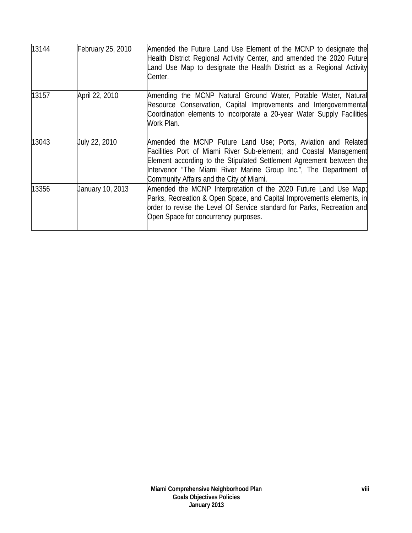| 13144 | February 25, 2010 | Amended the Future Land Use Element of the MCNP to designate the<br>Health District Regional Activity Center, and amended the 2020 Future<br>Land Use Map to designate the Health District as a Regional Activity<br>Center.                                                                                                 |
|-------|-------------------|------------------------------------------------------------------------------------------------------------------------------------------------------------------------------------------------------------------------------------------------------------------------------------------------------------------------------|
| 13157 | April 22, 2010    | Amending the MCNP Natural Ground Water, Potable Water, Natural<br>Resource Conservation, Capital Improvements and Intergovernmental<br>Coordination elements to incorporate a 20-year Water Supply Facilities<br>Work Plan.                                                                                                  |
| 13043 | July 22, 2010     | Amended the MCNP Future Land Use; Ports, Aviation and Related<br>Facilities Port of Miami River Sub-element; and Coastal Management<br>Element according to the Stipulated Settlement Agreement between the<br>Intervenor "The Miami River Marine Group Inc.", The Department of<br>Community Affairs and the City of Miami. |
| 13356 | January 10, 2013  | Amended the MCNP Interpretation of the 2020 Future Land Use Map;<br>Parks, Recreation & Open Space, and Capital Improvements elements, in<br>order to revise the Level Of Service standard for Parks, Recreation and<br>Open Space for concurrency purposes.                                                                 |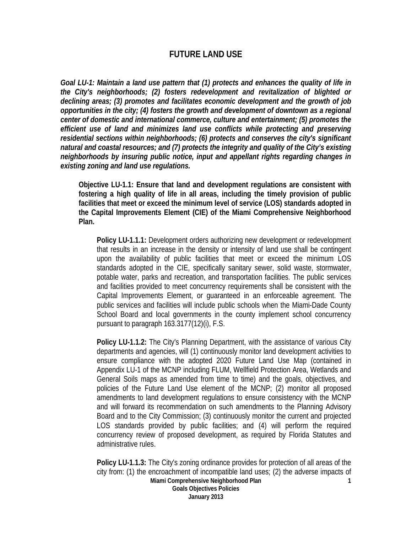#### **FUTURE LAND USE**

*Goal LU-1: Maintain a land use pattern that (1) protects and enhances the quality of life in the City's neighborhoods; (2) fosters redevelopment and revitalization of blighted or declining areas; (3) promotes and facilitates economic development and the growth of job opportunities in the city; (4) fosters the growth and development of downtown as a regional center of domestic and international commerce, culture and entertainment; (5) promotes the efficient use of land and minimizes land use conflicts while protecting and preserving residential sections within neighborhoods; (6) protects and conserves the city's significant natural and coastal resources; and (7) protects the integrity and quality of the City's existing neighborhoods by insuring public notice, input and appellant rights regarding changes in existing zoning and land use regulations.*

**Objective LU-1.1: Ensure that land and development regulations are consistent with fostering a high quality of life in all areas, including the timely provision of public facilities that meet or exceed the minimum level of service (LOS) standards adopted in the Capital Improvements Element (CIE) of the Miami Comprehensive Neighborhood Plan.** 

**Policy LU-1.1.1:** Development orders authorizing new development or redevelopment that results in an increase in the density or intensity of land use shall be contingent upon the availability of public facilities that meet or exceed the minimum LOS standards adopted in the CIE, specifically sanitary sewer, solid waste, stormwater, potable water, parks and recreation, and transportation facilities. The public services and facilities provided to meet concurrency requirements shall be consistent with the Capital Improvements Element, or guaranteed in an enforceable agreement. The public services and facilities will include public schools when the Miami-Dade County School Board and local governments in the county implement school concurrency pursuant to paragraph 163.3177(12)(i), F.S.

**Policy LU-1.1.2:** The City's Planning Department, with the assistance of various City departments and agencies, will (1) continuously monitor land development activities to ensure compliance with the adopted 2020 Future Land Use Map (contained in Appendix LU-1 of the MCNP including FLUM, Wellfield Protection Area, Wetlands and General Soils maps as amended from time to time) and the goals, objectives, and policies of the Future Land Use element of the MCNP; (2) monitor all proposed amendments to land development regulations to ensure consistency with the MCNP and will forward its recommendation on such amendments to the Planning Advisory Board and to the City Commission; (3) continuously monitor the current and projected LOS standards provided by public facilities; and (4) will perform the required concurrency review of proposed development, as required by Florida Statutes and administrative rules.

**Miami Comprehensive Neighborhood Plan Goals Objectives Policies January 2013 1 Policy LU-1.1.3:** The City's zoning ordinance provides for protection of all areas of the city from: (1) the encroachment of incompatible land uses; (2) the adverse impacts of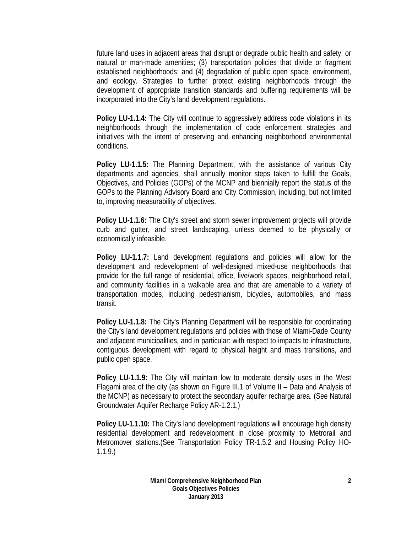future land uses in adjacent areas that disrupt or degrade public health and safety, or natural or man-made amenities; (3) transportation policies that divide or fragment established neighborhoods; and (4) degradation of public open space, environment, and ecology. Strategies to further protect existing neighborhoods through the development of appropriate transition standards and buffering requirements will be incorporated into the City's land development regulations.

**Policy LU-1.1.4:** The City will continue to aggressively address code violations in its neighborhoods through the implementation of code enforcement strategies and initiatives with the intent of preserving and enhancing neighborhood environmental conditions.

**Policy LU-1.1.5:** The Planning Department, with the assistance of various City departments and agencies, shall annually monitor steps taken to fulfill the Goals, Objectives, and Policies (GOPs) of the MCNP and biennially report the status of the GOPs to the Planning Advisory Board and City Commission, including, but not limited to, improving measurability of objectives.

**Policy LU-1.1.6:** The City's street and storm sewer improvement projects will provide curb and gutter, and street landscaping, unless deemed to be physically or economically infeasible.

**Policy LU-1.1.7:** Land development regulations and policies will allow for the development and redevelopment of well-designed mixed-use neighborhoods that provide for the full range of residential, office, live/work spaces, neighborhood retail, and community facilities in a walkable area and that are amenable to a variety of transportation modes, including pedestrianism, bicycles, automobiles, and mass transit.

**Policy LU-1.1.8:** The City's Planning Department will be responsible for coordinating the City's land development regulations and policies with those of Miami-Dade County and adjacent municipalities, and in particular: with respect to impacts to infrastructure, contiguous development with regard to physical height and mass transitions, and public open space.

**Policy LU-1.1.9:** The City will maintain low to moderate density uses in the West Flagami area of the city (as shown on Figure III.1 of Volume II – Data and Analysis of the MCNP) as necessary to protect the secondary aquifer recharge area. (See Natural Groundwater Aquifer Recharge Policy AR-1.2.1.)

**Policy LU-1.1.10:** The City's land development regulations will encourage high density residential development and redevelopment in close proximity to Metrorail and Metromover stations.(See Transportation Policy TR-1.5.2 and Housing Policy HO-1.1.9.)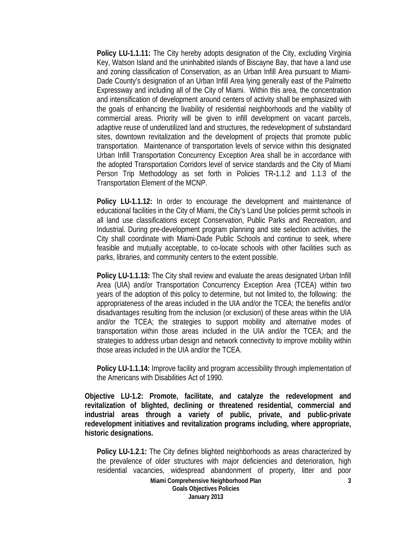**Policy LU-1.1.11:** The City hereby adopts designation of the City, excluding Virginia Key, Watson Island and the uninhabited islands of Biscayne Bay, that have a land use and zoning classification of Conservation, as an Urban Infill Area pursuant to Miami-Dade County's designation of an Urban Infill Area lying generally east of the Palmetto Expressway and including all of the City of Miami. Within this area, the concentration and intensification of development around centers of activity shall be emphasized with the goals of enhancing the livability of residential neighborhoods and the viability of commercial areas. Priority will be given to infill development on vacant parcels, adaptive reuse of underutilized land and structures, the redevelopment of substandard sites, downtown revitalization and the development of projects that promote public transportation. Maintenance of transportation levels of service within this designated Urban Infill Transportation Concurrency Exception Area shall be in accordance with the adopted Transportation Corridors level of service standards and the City of Miami Person Trip Methodology as set forth in Policies TR**-**1.1.2 and 1.1.3 of the Transportation Element of the MCNP.

**Policy LU-1.1.12:** In order to encourage the development and maintenance of educational facilities in the City of Miami, the City's Land Use policies permit schools in all land use classifications except Conservation, Public Parks and Recreation, and Industrial. During pre-development program planning and site selection activities, the City shall coordinate with Miami-Dade Public Schools and continue to seek, where feasible and mutually acceptable, to co-locate schools with other facilities such as parks, libraries, and community centers to the extent possible.

**Policy LU-1.1.13:** The City shall review and evaluate the areas designated Urban Infill Area (UIA) and/or Transportation Concurrency Exception Area (TCEA) within two years of the adoption of this policy to determine, but not limited to, the following: the appropriateness of the areas included in the UIA and/or the TCEA; the benefits and/or disadvantages resulting from the inclusion (or exclusion) of these areas within the UIA and/or the TCEA; the strategies to support mobility and alternative modes of transportation within those areas included in the UIA and/or the TCEA; and the strategies to address urban design and network connectivity to improve mobility within those areas included in the UIA and/or the TCEA.

**Policy LU-1.1.14:** Improve facility and program accessibility through implementation of the Americans with Disabilities Act of 1990.

**Objective LU-1.2: Promote, facilitate, and catalyze the redevelopment and revitalization of blighted, declining or threatened residential, commercial and industrial areas through a variety of public, private, and public-private redevelopment initiatives and revitalization programs including, where appropriate, historic designations.** 

**Policy LU-1.2.1:** The City defines blighted neighborhoods as areas characterized by the prevalence of older structures with major deficiencies and deterioration, high residential vacancies, widespread abandonment of property, litter and poor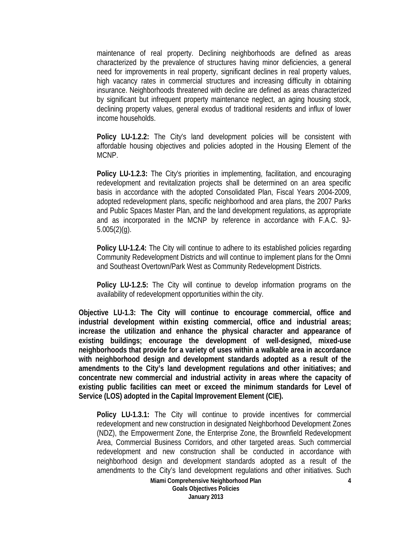maintenance of real property. Declining neighborhoods are defined as areas characterized by the prevalence of structures having minor deficiencies, a general need for improvements in real property, significant declines in real property values, high vacancy rates in commercial structures and increasing difficulty in obtaining insurance. Neighborhoods threatened with decline are defined as areas characterized by significant but infrequent property maintenance neglect, an aging housing stock, declining property values, general exodus of traditional residents and influx of lower income households.

**Policy LU-1.2.2:** The City's land development policies will be consistent with affordable housing objectives and policies adopted in the Housing Element of the MCNP.

**Policy LU-1.2.3:** The City's priorities in implementing, facilitation, and encouraging redevelopment and revitalization projects shall be determined on an area specific basis in accordance with the adopted Consolidated Plan, Fiscal Years 2004-2009, adopted redevelopment plans, specific neighborhood and area plans, the 2007 Parks and Public Spaces Master Plan, and the land development regulations, as appropriate and as incorporated in the MCNP by reference in accordance with F.A.C. 9J- $5.005(2)(q)$ .

**Policy LU-1.2.4:** The City will continue to adhere to its established policies regarding Community Redevelopment Districts and will continue to implement plans for the Omni and Southeast Overtown/Park West as Community Redevelopment Districts.

**Policy LU-1.2.5:** The City will continue to develop information programs on the availability of redevelopment opportunities within the city.

**Objective LU-1.3: The City will continue to encourage commercial, office and industrial development within existing commercial, office and industrial areas; increase the utilization and enhance the physical character and appearance of existing buildings; encourage the development of well-designed, mixed-use neighborhoods that provide for a variety of uses within a walkable area in accordance with neighborhood design and development standards adopted as a result of the amendments to the City's land development regulations and other initiatives; and concentrate new commercial and industrial activity in areas where the capacity of existing public facilities can meet or exceed the minimum standards for Level of Service (LOS) adopted in the Capital Improvement Element (CIE).** 

**Policy LU-1.3.1:** The City will continue to provide incentives for commercial redevelopment and new construction in designated Neighborhood Development Zones (NDZ), the Empowerment Zone, the Enterprise Zone, the Brownfield Redevelopment Area, Commercial Business Corridors, and other targeted areas. Such commercial redevelopment and new construction shall be conducted in accordance with neighborhood design and development standards adopted as a result of the amendments to the City's land development regulations and other initiatives. Such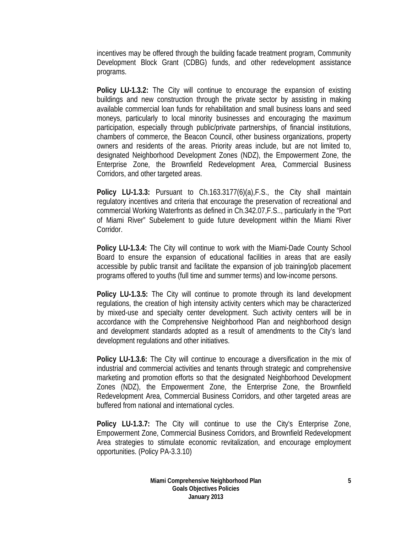incentives may be offered through the building facade treatment program, Community Development Block Grant (CDBG) funds, and other redevelopment assistance programs.

**Policy LU-1.3.2:** The City will continue to encourage the expansion of existing buildings and new construction through the private sector by assisting in making available commercial loan funds for rehabilitation and small business loans and seed moneys, particularly to local minority businesses and encouraging the maximum participation, especially through public/private partnerships, of financial institutions, chambers of commerce, the Beacon Council, other business organizations, property owners and residents of the areas. Priority areas include, but are not limited to, designated Neighborhood Development Zones (NDZ), the Empowerment Zone, the Enterprise Zone, the Brownfield Redevelopment Area, Commercial Business Corridors, and other targeted areas.

**Policy LU-1.3.3:** Pursuant to Ch.163.3177(6)(a),F.S., the City shall maintain regulatory incentives and criteria that encourage the preservation of recreational and commercial Working Waterfronts as defined in Ch.342.07,F.S.., particularly in the "Port of Miami River" Subelement to guide future development within the Miami River Corridor.

**Policy LU-1.3.4:** The City will continue to work with the Miami-Dade County School Board to ensure the expansion of educational facilities in areas that are easily accessible by public transit and facilitate the expansion of job training/job placement programs offered to youths (full time and summer terms) and low-income persons.

**Policy LU-1.3.5:** The City will continue to promote through its land development regulations, the creation of high intensity activity centers which may be characterized by mixed-use and specialty center development. Such activity centers will be in accordance with the Comprehensive Neighborhood Plan and neighborhood design and development standards adopted as a result of amendments to the City's land development regulations and other initiatives.

**Policy LU-1.3.6:** The City will continue to encourage a diversification in the mix of industrial and commercial activities and tenants through strategic and comprehensive marketing and promotion efforts so that the designated Neighborhood Development Zones (NDZ), the Empowerment Zone, the Enterprise Zone, the Brownfield Redevelopment Area, Commercial Business Corridors, and other targeted areas are buffered from national and international cycles.

**Policy LU-1.3.7:** The City will continue to use the City's Enterprise Zone, Empowerment Zone, Commercial Business Corridors, and Brownfield Redevelopment Area strategies to stimulate economic revitalization, and encourage employment opportunities. (Policy PA-3.3.10)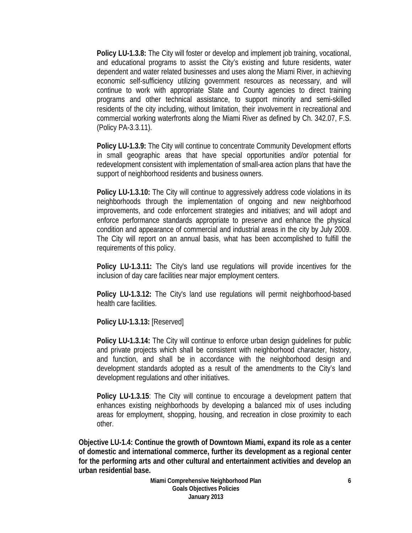**Policy LU-1.3.8:** The City will foster or develop and implement job training, vocational, and educational programs to assist the City's existing and future residents, water dependent and water related businesses and uses along the Miami River, in achieving economic self-sufficiency utilizing government resources as necessary, and will continue to work with appropriate State and County agencies to direct training programs and other technical assistance, to support minority and semi-skilled residents of the city including, without limitation, their involvement in recreational and commercial working waterfronts along the Miami River as defined by Ch. 342.07, F.S. (Policy PA-3.3.11).

**Policy LU-1.3.9:** The City will continue to concentrate Community Development efforts in small geographic areas that have special opportunities and/or potential for redevelopment consistent with implementation of small-area action plans that have the support of neighborhood residents and business owners.

**Policy LU-1.3.10:** The City will continue to aggressively address code violations in its neighborhoods through the implementation of ongoing and new neighborhood improvements, and code enforcement strategies and initiatives; and will adopt and enforce performance standards appropriate to preserve and enhance the physical condition and appearance of commercial and industrial areas in the city by July 2009. The City will report on an annual basis, what has been accomplished to fulfill the requirements of this policy.

**Policy LU-1.3.11:** The City's land use regulations will provide incentives for the inclusion of day care facilities near major employment centers.

**Policy LU-1.3.12:** The City's land use regulations will permit neighborhood-based health care facilities.

**Policy LU-1.3.13:** [Reserved]

**Policy LU-1.3.14:** The City will continue to enforce urban design guidelines for public and private projects which shall be consistent with neighborhood character, history, and function, and shall be in accordance with the neighborhood design and development standards adopted as a result of the amendments to the City's land development regulations and other initiatives.

**Policy LU-1.3.15**: The City will continue to encourage a development pattern that enhances existing neighborhoods by developing a balanced mix of uses including areas for employment, shopping, housing, and recreation in close proximity to each other.

**Objective LU-1.4: Continue the growth of Downtown Miami, expand its role as a center of domestic and international commerce, further its development as a regional center for the performing arts and other cultural and entertainment activities and develop an urban residential base.**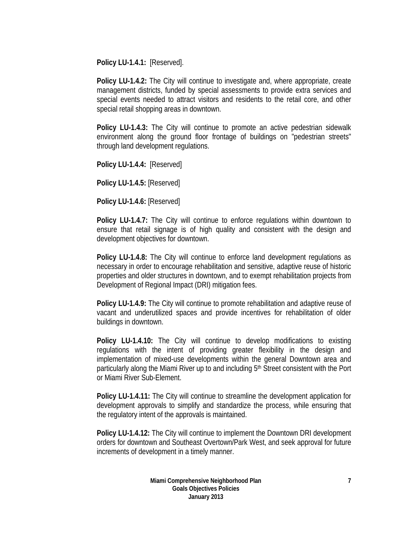**Policy LU-1.4.1:** [Reserved].

**Policy LU-1.4.2:** The City will continue to investigate and, where appropriate, create management districts, funded by special assessments to provide extra services and special events needed to attract visitors and residents to the retail core, and other special retail shopping areas in downtown.

**Policy LU-1.4.3:** The City will continue to promote an active pedestrian sidewalk environment along the ground floor frontage of buildings on "pedestrian streets" through land development regulations.

**Policy LU-1.4.4:** [Reserved]

**Policy LU-1.4.5:** [Reserved]

**Policy LU-1.4.6:** [Reserved]

**Policy LU-1.4.7:** The City will continue to enforce regulations within downtown to ensure that retail signage is of high quality and consistent with the design and development objectives for downtown.

**Policy LU-1.4.8:** The City will continue to enforce land development regulations as necessary in order to encourage rehabilitation and sensitive, adaptive reuse of historic properties and older structures in downtown, and to exempt rehabilitation projects from Development of Regional Impact (DRI) mitigation fees.

**Policy LU-1.4.9:** The City will continue to promote rehabilitation and adaptive reuse of vacant and underutilized spaces and provide incentives for rehabilitation of older buildings in downtown.

**Policy LU-1.4.10:** The City will continue to develop modifications to existing regulations with the intent of providing greater flexibility in the design and implementation of mixed-use developments within the general Downtown area and particularly along the Miami River up to and including 5<sup>th</sup> Street consistent with the Port or Miami River Sub-Element.

**Policy LU-1.4.11:** The City will continue to streamline the development application for development approvals to simplify and standardize the process, while ensuring that the regulatory intent of the approvals is maintained.

**Policy LU-1.4.12:** The City will continue to implement the Downtown DRI development orders for downtown and Southeast Overtown/Park West, and seek approval for future increments of development in a timely manner.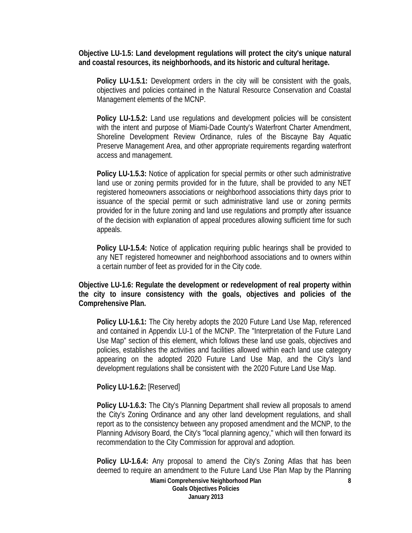**Objective LU-1.5: Land development regulations will protect the city's unique natural and coastal resources, its neighborhoods, and its historic and cultural heritage.** 

**Policy LU-1.5.1:** Development orders in the city will be consistent with the goals, objectives and policies contained in the Natural Resource Conservation and Coastal Management elements of the MCNP.

**Policy LU-1.5.2:** Land use regulations and development policies will be consistent with the intent and purpose of Miami-Dade County's Waterfront Charter Amendment, Shoreline Development Review Ordinance, rules of the Biscayne Bay Aquatic Preserve Management Area, and other appropriate requirements regarding waterfront access and management.

**Policy LU-1.5.3:** Notice of application for special permits or other such administrative land use or zoning permits provided for in the future, shall be provided to any NET registered homeowners associations or neighborhood associations thirty days prior to issuance of the special permit or such administrative land use or zoning permits provided for in the future zoning and land use regulations and promptly after issuance of the decision with explanation of appeal procedures allowing sufficient time for such appeals.

**Policy LU-1.5.4:** Notice of application requiring public hearings shall be provided to any NET registered homeowner and neighborhood associations and to owners within a certain number of feet as provided for in the City code.

**Objective LU-1.6: Regulate the development or redevelopment of real property within the city to insure consistency with the goals, objectives and policies of the Comprehensive Plan.** 

**Policy LU-1.6.1:** The City hereby adopts the 2020 Future Land Use Map, referenced and contained in Appendix LU-1 of the MCNP. The "Interpretation of the Future Land Use Map" section of this element, which follows these land use goals, objectives and policies, establishes the activities and facilities allowed within each land use category appearing on the adopted 2020 Future Land Use Map, and the City's land development regulations shall be consistent with the 2020 Future Land Use Map.

**Policy LU-1.6.2:** [Reserved]

**Policy LU-1.6.3:** The City's Planning Department shall review all proposals to amend the City's Zoning Ordinance and any other land development regulations, and shall report as to the consistency between any proposed amendment and the MCNP, to the Planning Advisory Board, the City's "local planning agency," which will then forward its recommendation to the City Commission for approval and adoption.

**Policy LU-1.6.4:** Any proposal to amend the City's Zoning Atlas that has been deemed to require an amendment to the Future Land Use Plan Map by the Planning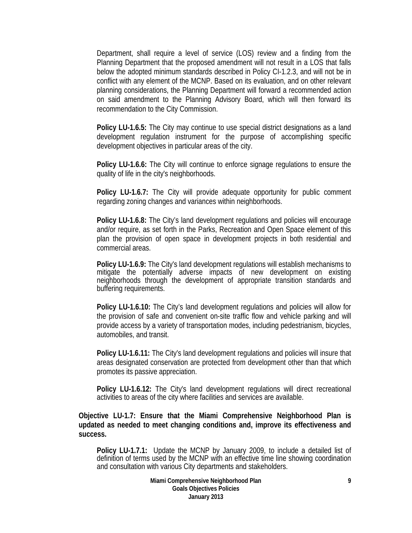Department, shall require a level of service (LOS) review and a finding from the Planning Department that the proposed amendment will not result in a LOS that falls below the adopted minimum standards described in Policy CI-1.2.3, and will not be in conflict with any element of the MCNP. Based on its evaluation, and on other relevant planning considerations, the Planning Department will forward a recommended action on said amendment to the Planning Advisory Board, which will then forward its recommendation to the City Commission.

**Policy LU-1.6.5:** The City may continue to use special district designations as a land development regulation instrument for the purpose of accomplishing specific development objectives in particular areas of the city.

**Policy LU-1.6.6:** The City will continue to enforce signage regulations to ensure the quality of life in the city's neighborhoods.

**Policy LU-1.6.7:** The City will provide adequate opportunity for public comment regarding zoning changes and variances within neighborhoods.

**Policy LU-1.6.8:** The City's land development regulations and policies will encourage and/or require, as set forth in the Parks, Recreation and Open Space element of this plan the provision of open space in development projects in both residential and commercial areas.

**Policy LU-1.6.9:** The City's land development regulations will establish mechanisms to mitigate the potentially adverse impacts of new development on existing neighborhoods through the development of appropriate transition standards and buffering requirements.

**Policy LU-1.6.10:** The City's land development regulations and policies will allow for the provision of safe and convenient on-site traffic flow and vehicle parking and will provide access by a variety of transportation modes, including pedestrianism, bicycles, automobiles, and transit.

**Policy LU-1.6.11:** The City's land development regulations and policies will insure that areas designated conservation are protected from development other than that which promotes its passive appreciation.

**Policy LU-1.6.12:** The City's land development regulations will direct recreational activities to areas of the city where facilities and services are available.

**Objective LU-1.7: Ensure that the Miami Comprehensive Neighborhood Plan is updated as needed to meet changing conditions and, improve its effectiveness and success.** 

**Policy LU-1.7.1:** Update the MCNP by January 2009, to include a detailed list of definition of terms used by the MCNP with an effective time line showing coordination and consultation with various City departments and stakeholders.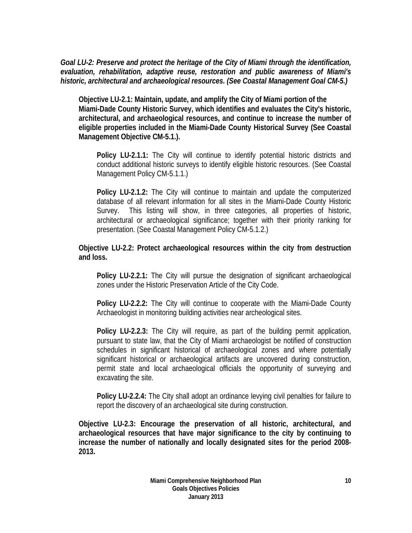*Goal LU-2: Preserve and protect the heritage of the City of Miami through the identification, evaluation, rehabilitation, adaptive reuse, restoration and public awareness of Miami's historic, architectural and archaeological resources. (See Coastal Management Goal CM-5.)* 

**Objective LU-2.1: Maintain, update, and amplify the City of Miami portion of the Miami-Dade County Historic Survey, which identifies and evaluates the City's historic, architectural, and archaeological resources, and continue to increase the number of eligible properties included in the Miami-Dade County Historical Survey (See Coastal Management Objective CM-5.1.).** 

**Policy LU-2.1.1:** The City will continue to identify potential historic districts and conduct additional historic surveys to identify eligible historic resources. (See Coastal Management Policy CM-5.1.1.)

**Policy LU-2.1.2:** The City will continue to maintain and update the computerized database of all relevant information for all sites in the Miami-Dade County Historic Survey. This listing will show, in three categories, all properties of historic, architectural or archaeological significance; together with their priority ranking for presentation. (See Coastal Management Policy CM-5.1.2.)

**Objective LU-2.2: Protect archaeological resources within the city from destruction and loss.** 

**Policy LU-2.2.1:** The City will pursue the designation of significant archaeological zones under the Historic Preservation Article of the City Code.

**Policy LU-2.2.2:** The City will continue to cooperate with the Miami-Dade County Archaeologist in monitoring building activities near archeological sites.

**Policy LU-2.2.3:** The City will require, as part of the building permit application, pursuant to state law, that the City of Miami archaeologist be notified of construction schedules in significant historical of archaeological zones and where potentially significant historical or archaeological artifacts are uncovered during construction, permit state and local archaeological officials the opportunity of surveying and excavating the site.

**Policy LU-2.2.4:** The City shall adopt an ordinance levying civil penalties for failure to report the discovery of an archaeological site during construction.

**Objective LU-2.3: Encourage the preservation of all historic, architectural, and archaeological resources that have major significance to the city by continuing to increase the number of nationally and locally designated sites for the period 2008- 2013.**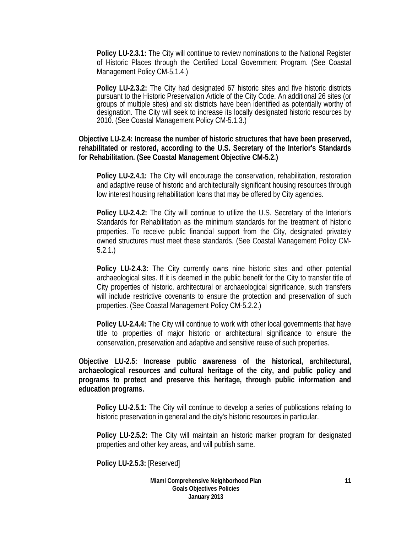**Policy LU-2.3.1:** The City will continue to review nominations to the National Register of Historic Places through the Certified Local Government Program. (See Coastal Management Policy CM-5.1.4.)

**Policy LU-2.3.2:** The City had designated 67 historic sites and five historic districts pursuant to the Historic Preservation Article of the City Code. An additional 26 sites (or groups of multiple sites) and six districts have been identified as potentially worthy of designation. The City will seek to increase its locally designated historic resources by 2010. (See Coastal Management Policy CM-5.1.3.)

**Objective LU-2.4: Increase the number of historic structures that have been preserved, rehabilitated or restored, according to the U.S. Secretary of the Interior's Standards for Rehabilitation. (See Coastal Management Objective CM-5.2.)** 

**Policy LU-2.4.1:** The City will encourage the conservation, rehabilitation, restoration and adaptive reuse of historic and architecturally significant housing resources through low interest housing rehabilitation loans that may be offered by City agencies.

**Policy LU-2.4.2:** The City will continue to utilize the U.S. Secretary of the Interior's Standards for Rehabilitation as the minimum standards for the treatment of historic properties. To receive public financial support from the City, designated privately owned structures must meet these standards. (See Coastal Management Policy CM-5.2.1.)

**Policy LU-2.4.3:** The City currently owns nine historic sites and other potential archaeological sites. If it is deemed in the public benefit for the City to transfer title of City properties of historic, architectural or archaeological significance, such transfers will include restrictive covenants to ensure the protection and preservation of such properties. (See Coastal Management Policy CM-5.2.2.)

**Policy LU-2.4.4:** The City will continue to work with other local governments that have title to properties of major historic or architectural significance to ensure the conservation, preservation and adaptive and sensitive reuse of such properties.

**Objective LU-2.5: Increase public awareness of the historical, architectural, archaeological resources and cultural heritage of the city, and public policy and programs to protect and preserve this heritage, through public information and education programs.** 

**Policy LU-2.5.1:** The City will continue to develop a series of publications relating to historic preservation in general and the city's historic resources in particular.

**Policy LU-2.5.2:** The City will maintain an historic marker program for designated properties and other key areas, and will publish same.

**Policy LU-2.5.3:** [Reserved]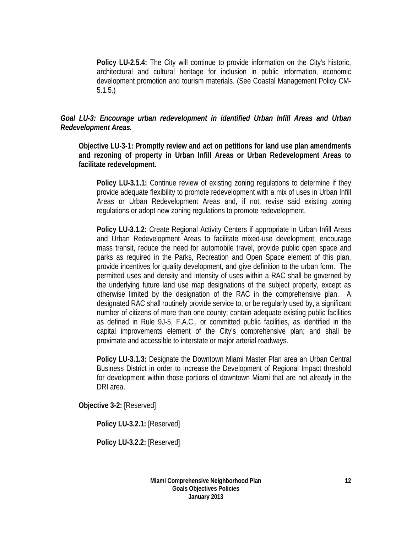**Policy LU-2.5.4:** The City will continue to provide information on the City's historic, architectural and cultural heritage for inclusion in public information, economic development promotion and tourism materials. (See Coastal Management Policy CM-5.1.5.)

#### *Goal LU-3: Encourage urban redevelopment in identified Urban Infill Areas and Urban Redevelopment Areas.*

**Objective LU-3-1: Promptly review and act on petitions for land use plan amendments and rezoning of property in Urban Infill Areas or Urban Redevelopment Areas to facilitate redevelopment.** 

**Policy LU-3.1.1:** Continue review of existing zoning regulations to determine if they provide adequate flexibility to promote redevelopment with a mix of uses in Urban Infill Areas or Urban Redevelopment Areas and, if not, revise said existing zoning regulations or adopt new zoning regulations to promote redevelopment.

**Policy LU-3.1.2:** Create Regional Activity Centers if appropriate in Urban Infill Areas and Urban Redevelopment Areas to facilitate mixed-use development, encourage mass transit, reduce the need for automobile travel, provide public open space and parks as required in the Parks, Recreation and Open Space element of this plan, provide incentives for quality development, and give definition to the urban form. The permitted uses and density and intensity of uses within a RAC shall be governed by the underlying future land use map designations of the subject property, except as otherwise limited by the designation of the RAC in the comprehensive plan. A designated RAC shall routinely provide service to, or be regularly used by, a significant number of citizens of more than one county; contain adequate existing public facilities as defined in Rule 9J-5, F.A.C., or committed public facilities, as identified in the capital improvements element of the City's comprehensive plan; and shall be proximate and accessible to interstate or major arterial roadways.

**Policy LU-3.1.3:** Designate the Downtown Miami Master Plan area an Urban Central Business District in order to increase the Development of Regional Impact threshold for development within those portions of downtown Miami that are not already in the DRI area.

**Objective 3-2:** [Reserved]

**Policy LU-3.2.1:** [Reserved]

**Policy LU-3.2.2:** [Reserved]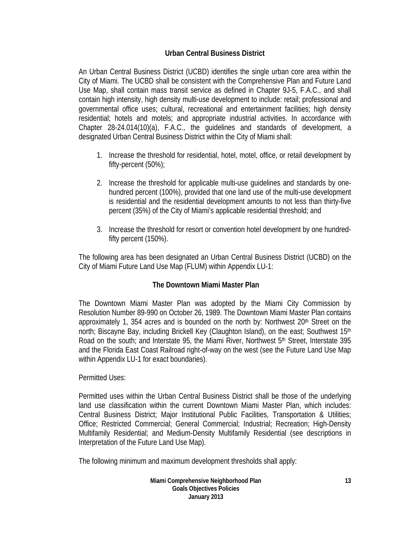#### **Urban Central Business District**

An Urban Central Business District (UCBD) identifies the single urban core area within the City of Miami. The UCBD shall be consistent with the Comprehensive Plan and Future Land Use Map, shall contain mass transit service as defined in Chapter 9J-5, F.A.C., and shall contain high intensity, high density multi-use development to include: retail; professional and governmental office uses; cultural, recreational and entertainment facilities; high density residential; hotels and motels; and appropriate industrial activities. In accordance with Chapter 28-24.014(10)(a), F.A.C., the guidelines and standards of development, a designated Urban Central Business District within the City of Miami shall:

- 1. Increase the threshold for residential, hotel, motel, office, or retail development by fifty-percent (50%);
- 2. Increase the threshold for applicable multi-use guidelines and standards by onehundred percent (100%), provided that one land use of the multi-use development is residential and the residential development amounts to not less than thirty-five percent (35%) of the City of Miami's applicable residential threshold; and
- 3. Increase the threshold for resort or convention hotel development by one hundredfifty percent (150%).

The following area has been designated an Urban Central Business District (UCBD) on the City of Miami Future Land Use Map (FLUM) within Appendix LU-1:

#### **The Downtown Miami Master Plan**

The Downtown Miami Master Plan was adopted by the Miami City Commission by Resolution Number 89-990 on October 26, 1989. The Downtown Miami Master Plan contains approximately 1, 354 acres and is bounded on the north by: Northwest  $20<sup>th</sup>$  Street on the north; Biscayne Bay, including Brickell Key (Claughton Island), on the east; Southwest 15<sup>th</sup> Road on the south; and Interstate 95, the Miami River, Northwest 5<sup>th</sup> Street, Interstate 395 and the Florida East Coast Railroad right-of-way on the west (see the Future Land Use Map within Appendix LU-1 for exact boundaries).

#### Permitted Uses:

Permitted uses within the Urban Central Business District shall be those of the underlying land use classification within the current Downtown Miami Master Plan, which includes: Central Business District; Major Institutional Public Facilities, Transportation & Utilities; Office; Restricted Commercial; General Commercial; Industrial; Recreation; High-Density Multifamily Residential; and Medium-Density Multifamily Residential (see descriptions in Interpretation of the Future Land Use Map).

The following minimum and maximum development thresholds shall apply: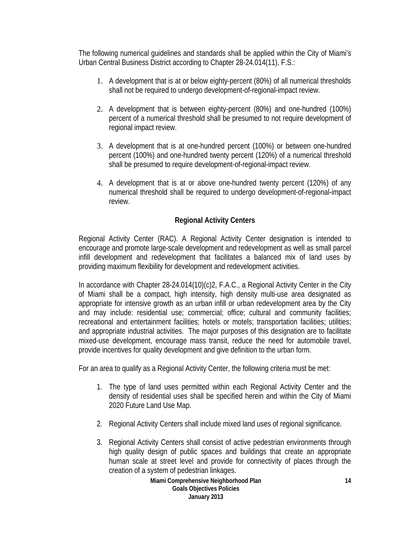The following numerical guidelines and standards shall be applied within the City of Miami's Urban Central Business District according to Chapter 28-24.014(11), F.S.:

- 1. A development that is at or below eighty-percent (80%) of all numerical thresholds shall not be required to undergo development-of-regional-impact review.
- 2. A development that is between eighty-percent (80%) and one-hundred (100%) percent of a numerical threshold shall be presumed to not require development of regional impact review.
- 3. A development that is at one-hundred percent (100%) or between one-hundred percent (100%) and one-hundred twenty percent (120%) of a numerical threshold shall be presumed to require development-of-regional-impact review.
- 4. A development that is at or above one-hundred twenty percent (120%) of any numerical threshold shall be required to undergo development-of-regional-impact review.

#### **Regional Activity Centers**

Regional Activity Center (RAC). A Regional Activity Center designation is intended to encourage and promote large-scale development and redevelopment as well as small parcel infill development and redevelopment that facilitates a balanced mix of land uses by providing maximum flexibility for development and redevelopment activities.

In accordance with Chapter 28-24.014(10)(c)2, F.A.C., a Regional Activity Center in the City of Miami shall be a compact, high intensity, high density multi-use area designated as appropriate for intensive growth as an urban infill or urban redevelopment area by the City and may include: residential use; commercial; office; cultural and community facilities; recreational and entertainment facilities; hotels or motels; transportation facilities; utilities; and appropriate industrial activities. The major purposes of this designation are to facilitate mixed-use development, encourage mass transit, reduce the need for automobile travel, provide incentives for quality development and give definition to the urban form.

For an area to qualify as a Regional Activity Center, the following criteria must be met:

- 1. The type of land uses permitted within each Regional Activity Center and the density of residential uses shall be specified herein and within the City of Miami 2020 Future Land Use Map.
- 2. Regional Activity Centers shall include mixed land uses of regional significance.
- 3. Regional Activity Centers shall consist of active pedestrian environments through high quality design of public spaces and buildings that create an appropriate human scale at street level and provide for connectivity of places through the creation of a system of pedestrian linkages.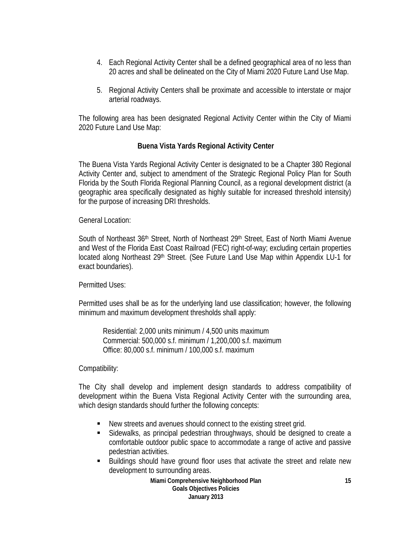- 4. Each Regional Activity Center shall be a defined geographical area of no less than 20 acres and shall be delineated on the City of Miami 2020 Future Land Use Map.
- 5. Regional Activity Centers shall be proximate and accessible to interstate or major arterial roadways.

The following area has been designated Regional Activity Center within the City of Miami 2020 Future Land Use Map:

#### **Buena Vista Yards Regional Activity Center**

The Buena Vista Yards Regional Activity Center is designated to be a Chapter 380 Regional Activity Center and, subject to amendment of the Strategic Regional Policy Plan for South Florida by the South Florida Regional Planning Council, as a regional development district (a geographic area specifically designated as highly suitable for increased threshold intensity) for the purpose of increasing DRI thresholds.

General Location:

South of Northeast 36<sup>th</sup> Street, North of Northeast 29<sup>th</sup> Street, East of North Miami Avenue and West of the Florida East Coast Railroad (FEC) right-of-way; excluding certain properties located along Northeast 29<sup>th</sup> Street. (See Future Land Use Map within Appendix LU-1 for exact boundaries).

Permitted Uses:

Permitted uses shall be as for the underlying land use classification; however, the following minimum and maximum development thresholds shall apply:

Residential: 2,000 units minimum / 4,500 units maximum Commercial: 500,000 s.f. minimum / 1,200,000 s.f. maximum Office: 80,000 s.f. minimum / 100,000 s.f. maximum

Compatibility:

The City shall develop and implement design standards to address compatibility of development within the Buena Vista Regional Activity Center with the surrounding area, which design standards should further the following concepts:

- New streets and avenues should connect to the existing street grid.
- Sidewalks, as principal pedestrian throughways, should be designed to create a comfortable outdoor public space to accommodate a range of active and passive pedestrian activities.
- Buildings should have ground floor uses that activate the street and relate new development to surrounding areas.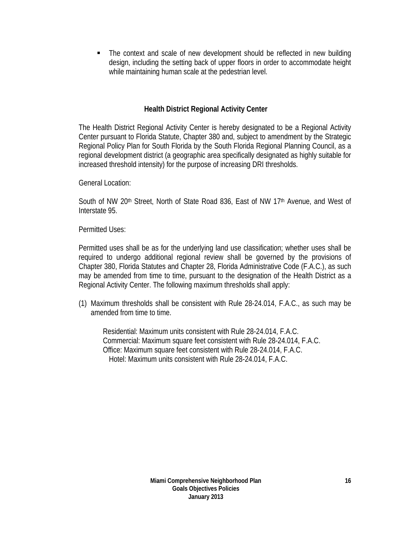The context and scale of new development should be reflected in new building design, including the setting back of upper floors in order to accommodate height while maintaining human scale at the pedestrian level.

#### **Health District Regional Activity Center**

The Health District Regional Activity Center is hereby designated to be a Regional Activity Center pursuant to Florida Statute, Chapter 380 and, subject to amendment by the Strategic Regional Policy Plan for South Florida by the South Florida Regional Planning Council, as a regional development district (a geographic area specifically designated as highly suitable for increased threshold intensity) for the purpose of increasing DRI thresholds.

General Location:

South of NW 20<sup>th</sup> Street, North of State Road 836, East of NW 17<sup>th</sup> Avenue, and West of Interstate 95.

Permitted Uses:

Permitted uses shall be as for the underlying land use classification; whether uses shall be required to undergo additional regional review shall be governed by the provisions of Chapter 380, Florida Statutes and Chapter 28, Florida Administrative Code (F.A.C.), as such may be amended from time to time, pursuant to the designation of the Health District as a Regional Activity Center. The following maximum thresholds shall apply:

(1) Maximum thresholds shall be consistent with Rule 28-24.014, F.A.C., as such may be amended from time to time.

Residential: Maximum units consistent with Rule 28-24.014, F.A.C. Commercial: Maximum square feet consistent with Rule 28-24.014, F.A.C. Office: Maximum square feet consistent with Rule 28-24.014, F.A.C. Hotel: Maximum units consistent with Rule 28-24.014, F.A.C.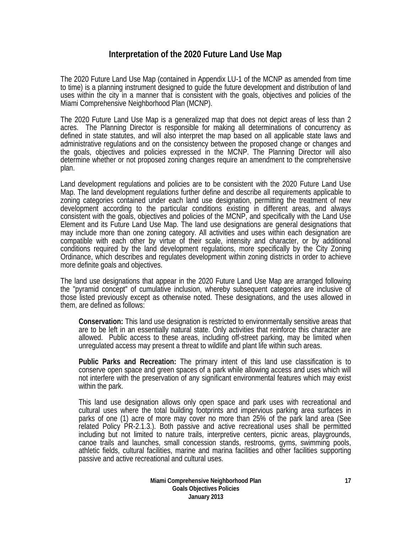#### **Interpretation of the 2020 Future Land Use Map**

The 2020 Future Land Use Map (contained in Appendix LU-1 of the MCNP as amended from time to time) is a planning instrument designed to guide the future development and distribution of land uses within the city in a manner that is consistent with the goals, objectives and policies of the Miami Comprehensive Neighborhood Plan (MCNP).

The 2020 Future Land Use Map is a generalized map that does not depict areas of less than 2 acres. The Planning Director is responsible for making all determinations of concurrency as defined in state statutes, and will also interpret the map based on all applicable state laws and administrative regulations and on the consistency between the proposed change or changes and the goals, objectives and policies expressed in the MCNP. The Planning Director will also determine whether or not proposed zoning changes require an amendment to the comprehensive plan.

Land development regulations and policies are to be consistent with the 2020 Future Land Use Map. The land development regulations further define and describe all requirements applicable to zoning categories contained under each land use designation, permitting the treatment of new development according to the particular conditions existing in different areas, and always consistent with the goals, objectives and policies of the MCNP, and specifically with the Land Use Element and its Future Land Use Map. The land use designations are general designations that may include more than one zoning category. All activities and uses within each designation are compatible with each other by virtue of their scale, intensity and character, or by additional conditions required by the land development regulations, more specifically by the City Zoning Ordinance, which describes and regulates development within zoning districts in order to achieve more definite goals and objectives.

The land use designations that appear in the 2020 Future Land Use Map are arranged following the "pyramid concept" of cumulative inclusion, whereby subsequent categories are inclusive of those listed previously except as otherwise noted. These designations, and the uses allowed in them, are defined as follows:

**Conservation:** This land use designation is restricted to environmentally sensitive areas that are to be left in an essentially natural state. Only activities that reinforce this character are allowed. Public access to these areas, including off-street parking, may be limited when unregulated access may present a threat to wildlife and plant life within such areas.

**Public Parks and Recreation:** The primary intent of this land use classification is to conserve open space and green spaces of a park while allowing access and uses which will not interfere with the preservation of any significant environmental features which may exist within the park.

This land use designation allows only open space and park uses with recreational and cultural uses where the total building footprints and impervious parking area surfaces in parks of one (1) acre of more may cover no more than 25% of the park land area (See related Policy PR-2.1.3.). Both passive and active recreational uses shall be permitted including but not limited to nature trails, interpretive centers, picnic areas, playgrounds, canoe trails and launches, small concession stands, restrooms, gyms, swimming pools, athletic fields, cultural facilities, marine and marina facilities and other facilities supporting passive and active recreational and cultural uses.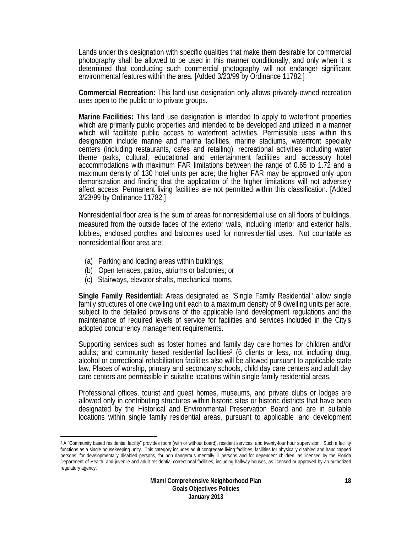Lands under this designation with specific qualities that make them desirable for commercial photography shall be allowed to be used in this manner conditionally, and only when it is determined that conducting such commercial photography will not endanger significant environmental features within the area. [Added 3/23/99 by Ordinance 11782.]

**Commercial Recreation:** This land use designation only allows privately-owned recreation uses open to the public or to private groups.

**Marine Facilities:** This land use designation is intended to apply to waterfront properties which are primarily public properties and intended to be developed and utilized in a manner which will facilitate public access to waterfront activities. Permissible uses within this designation include marine and marina facilities, marine stadiums, waterfront specialty centers (including restaurants, cafes and retailing), recreational activities including water theme parks, cultural, educational and entertainment facilities and accessory hotel accommodations with maximum FAR limitations between the range of 0.65 to 1.72 and a maximum density of 130 hotel units per acre; the higher FAR may be approved only upon demonstration and finding that the application of the higher limitations will not adversely affect access. Permanent living facilities are not permitted within this classification. [Added 3/23/99 by Ordinance 11782.]

Nonresidential floor area is the sum of areas for nonresidential use on all floors of buildings, measured from the outside faces of the exterior walls, including interior and exterior halls, lobbies, enclosed porches and balconies used for nonresidential uses. Not countable as nonresidential floor area are:

- (a) Parking and loading areas within buildings;
- (b) Open terraces, patios, atriums or balconies; or
- (c) Stairways, elevator shafts, mechanical rooms.

**Single Family Residential:** Areas designated as "Single Family Residential" allow single family structures of one dwelling unit each to a maximum density of 9 dwelling units per acre, subject to the detailed provisions of the applicable land development regulations and the maintenance of required levels of service for facilities and services included in the City's adopted concurrency management requirements.

Supporting services such as foster homes and family day care homes for children and/or adults; and community based residential facilities<sup>2</sup> (6 clients or less, not including drug, alcohol or correctional rehabilitation facilities also will be allowed pursuant to applicable state law. Places of worship, primary and secondary schools, child day care centers and adult day care centers are permissible in suitable locations within single family residential areas.

Professional offices, tourist and guest homes, museums, and private clubs or lodges are allowed only in contributing structures within historic sites or historic districts that have been designated by the Historical and Environmental Preservation Board and are in suitable locations within single family residential areas, pursuant to applicable land development

 $\overline{\phantom{a}}$ <sup>2</sup> A "Community based residential facility" provides room (with or without board), resident services, and twenty-four hour supervision. Such a facility functions as a single housekeeping unity. This category includes adult congregate living facilities, facilities for physically disabled and handicapped persons, for developmentally disabled persons, for non dangerous mentally ill persons and for dependent children, as licensed by the Florida Department of Health, and juvenile and adult residential correctional facilities, including halfway houses, as licensed or approved by an authorized regulatory agency.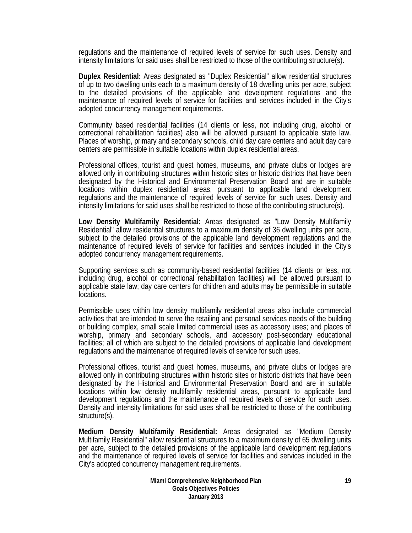regulations and the maintenance of required levels of service for such uses. Density and intensity limitations for said uses shall be restricted to those of the contributing structure(s).

**Duplex Residential:** Areas designated as "Duplex Residential" allow residential structures of up to two dwelling units each to a maximum density of 18 dwelling units per acre, subject to the detailed provisions of the applicable land development regulations and the maintenance of required levels of service for facilities and services included in the City's adopted concurrency management requirements.

Community based residential facilities (14 clients or less, not including drug, alcohol or correctional rehabilitation facilities) also will be allowed pursuant to applicable state law. Places of worship, primary and secondary schools, child day care centers and adult day care centers are permissible in suitable locations within duplex residential areas.

Professional offices, tourist and guest homes, museums, and private clubs or lodges are allowed only in contributing structures within historic sites or historic districts that have been designated by the Historical and Environmental Preservation Board and are in suitable locations within duplex residential areas, pursuant to applicable land development regulations and the maintenance of required levels of service for such uses. Density and intensity limitations for said uses shall be restricted to those of the contributing structure(s).

**Low Density Multifamily Residential:** Areas designated as "Low Density Multifamily Residential" allow residential structures to a maximum density of 36 dwelling units per acre, subject to the detailed provisions of the applicable land development regulations and the maintenance of required levels of service for facilities and services included in the City's adopted concurrency management requirements.

Supporting services such as community-based residential facilities (14 clients or less, not including drug, alcohol or correctional rehabilitation facilities) will be allowed pursuant to applicable state law; day care centers for children and adults may be permissible in suitable locations.

Permissible uses within low density multifamily residential areas also include commercial activities that are intended to serve the retailing and personal services needs of the building or building complex, small scale limited commercial uses as accessory uses; and places of worship, primary and secondary schools, and accessory post-secondary educational facilities; all of which are subject to the detailed provisions of applicable land development regulations and the maintenance of required levels of service for such uses.

Professional offices, tourist and guest homes, museums, and private clubs or lodges are allowed only in contributing structures within historic sites or historic districts that have been designated by the Historical and Environmental Preservation Board and are in suitable locations within low density multifamily residential areas, pursuant to applicable land development regulations and the maintenance of required levels of service for such uses. Density and intensity limitations for said uses shall be restricted to those of the contributing structure(s).

**Medium Density Multifamily Residential:** Areas designated as "Medium Density Multifamily Residential" allow residential structures to a maximum density of 65 dwelling units per acre, subject to the detailed provisions of the applicable land development regulations and the maintenance of required levels of service for facilities and services included in the City's adopted concurrency management requirements.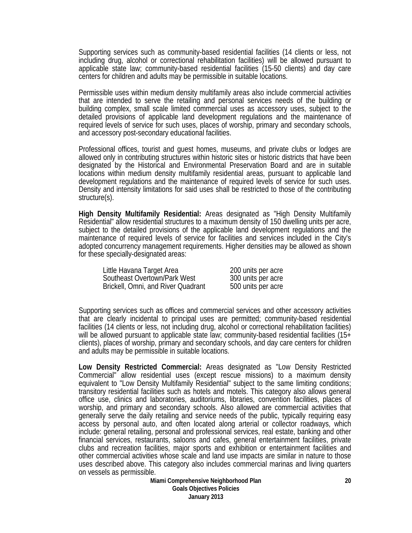Supporting services such as community-based residential facilities (14 clients or less, not including drug, alcohol or correctional rehabilitation facilities) will be allowed pursuant to applicable state law; community-based residential facilities (15-50 clients) and day care centers for children and adults may be permissible in suitable locations.

Permissible uses within medium density multifamily areas also include commercial activities that are intended to serve the retailing and personal services needs of the building or building complex, small scale limited commercial uses as accessory uses, subject to the detailed provisions of applicable land development regulations and the maintenance of required levels of service for such uses, places of worship, primary and secondary schools, and accessory post-secondary educational facilities.

Professional offices, tourist and guest homes, museums, and private clubs or lodges are allowed only in contributing structures within historic sites or historic districts that have been designated by the Historical and Environmental Preservation Board and are in suitable locations within medium density multifamily residential areas, pursuant to applicable land development regulations and the maintenance of required levels of service for such uses. Density and intensity limitations for said uses shall be restricted to those of the contributing structure(s).

**High Density Multifamily Residential:** Areas designated as "High Density Multifamily Residential" allow residential structures to a maximum density of 150 dwelling units per acre, subject to the detailed provisions of the applicable land development regulations and the maintenance of required levels of service for facilities and services included in the City's adopted concurrency management requirements. Higher densities may be allowed as shown for these specially-designated areas:

| Little Havana Target Area          | 200 units per acre |
|------------------------------------|--------------------|
| Southeast Overtown/Park West       | 300 units per acre |
| Brickell, Omni, and River Quadrant | 500 units per acre |

Supporting services such as offices and commercial services and other accessory activities that are clearly incidental to principal uses are permitted; community-based residential facilities (14 clients or less, not including drug, alcohol or correctional rehabilitation facilities) will be allowed pursuant to applicable state law; community-based residential facilities (15+ clients), places of worship, primary and secondary schools, and day care centers for children and adults may be permissible in suitable locations.

**Low Density Restricted Commercial:** Areas designated as "Low Density Restricted Commercial" allow residential uses (except rescue missions) to a maximum density equivalent to "Low Density Multifamily Residential" subject to the same limiting conditions; transitory residential facilities such as hotels and motels. This category also allows general office use, clinics and laboratories, auditoriums, libraries, convention facilities, places of worship, and primary and secondary schools. Also allowed are commercial activities that generally serve the daily retailing and service needs of the public, typically requiring easy access by personal auto, and often located along arterial or collector roadways, which include: general retailing, personal and professional services, real estate, banking and other financial services, restaurants, saloons and cafes, general entertainment facilities, private clubs and recreation facilities, major sports and exhibition or entertainment facilities and other commercial activities whose scale and land use impacts are similar in nature to those uses described above. This category also includes commercial marinas and living quarters on vessels as permissible.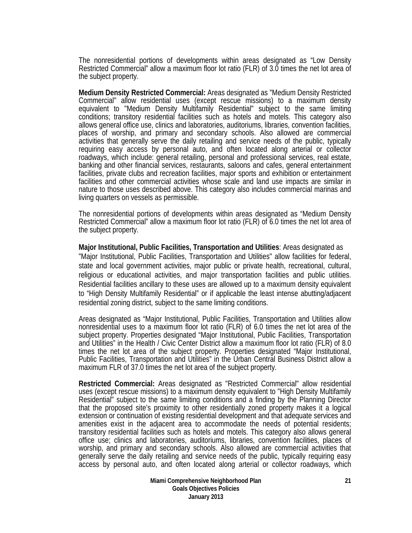The nonresidential portions of developments within areas designated as "Low Density Restricted Commercial" allow a maximum floor lot ratio (FLR) of 3.0 times the net lot area of the subject property.

**Medium Density Restricted Commercial:** Areas designated as "Medium Density Restricted Commercial" allow residential uses (except rescue missions) to a maximum density equivalent to "Medium Density Multifamily Residential" subject to the same limiting conditions; transitory residential facilities such as hotels and motels. This category also allows general office use, clinics and laboratories, auditoriums, libraries, convention facilities, places of worship, and primary and secondary schools. Also allowed are commercial activities that generally serve the daily retailing and service needs of the public, typically requiring easy access by personal auto, and often located along arterial or collector roadways, which include: general retailing, personal and professional services, real estate, banking and other financial services, restaurants, saloons and cafes, general entertainment facilities, private clubs and recreation facilities, major sports and exhibition or entertainment facilities and other commercial activities whose scale and land use impacts are similar in nature to those uses described above. This category also includes commercial marinas and living quarters on vessels as permissible.

The nonresidential portions of developments within areas designated as "Medium Density Restricted Commercial" allow a maximum floor lot ratio (FLR) of 6.0 times the net lot area of the subject property.

**Major Institutional, Public Facilities, Transportation and Utilities**: Areas designated as "Major Institutional, Public Facilities, Transportation and Utilities" allow facilities for federal, state and local government activities, major public or private health, recreational, cultural, religious or educational activities, and major transportation facilities and public utilities. Residential facilities ancillary to these uses are allowed up to a maximum density equivalent to "High Density Multifamily Residential" or if applicable the least intense abutting/adjacent residential zoning district, subject to the same limiting conditions.

Areas designated as "Major Institutional, Public Facilities, Transportation and Utilities allow nonresidential uses to a maximum floor lot ratio (FLR) of 6.0 times the net lot area of the subject property. Properties designated "Major Institutional, Public Facilities, Transportation and Utilities" in the Health / Civic Center District allow a maximum floor lot ratio (FLR) of 8.0 times the net lot area of the subject property. Properties designated "Major Institutional, Public Facilities, Transportation and Utilities" in the Urban Central Business District allow a maximum FLR of 37.0 times the net lot area of the subject property.

**Restricted Commercial:** Areas designated as "Restricted Commercial" allow residential uses (except rescue missions) to a maximum density equivalent to "High Density Multifamily Residential" subject to the same limiting conditions and a finding by the Planning Director that the proposed site's proximity to other residentially zoned property makes it a logical extension or continuation of existing residential development and that adequate services and amenities exist in the adjacent area to accommodate the needs of potential residents; transitory residential facilities such as hotels and motels. This category also allows general office use; clinics and laboratories, auditoriums, libraries, convention facilities, places of worship, and primary and secondary schools. Also allowed are commercial activities that generally serve the daily retailing and service needs of the public, typically requiring easy access by personal auto, and often located along arterial or collector roadways, which

> **Miami Comprehensive Neighborhood Plan Goals Objectives Policies January 2013**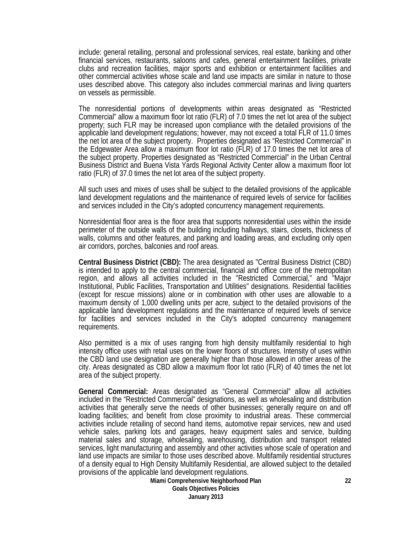include: general retailing, personal and professional services, real estate, banking and other financial services, restaurants, saloons and cafes, general entertainment facilities, private clubs and recreation facilities, major sports and exhibition or entertainment facilities and other commercial activities whose scale and land use impacts are similar in nature to those uses described above. This category also includes commercial marinas and living quarters on vessels as permissible.

The nonresidential portions of developments within areas designated as "Restricted Commercial" allow a maximum floor lot ratio (FLR) of 7.0 times the net lot area of the subject property; such FLR may be increased upon compliance with the detailed provisions of the applicable land development regulations; however, may not exceed a total FLR of 11.0 times the net lot area of the subject property. Properties designated as "Restricted Commercial" in the Edgewater Area allow a maximum floor lot ratio (FLR) of 17.0 times the net lot area of the subject property. Properties designated as "Restricted Commercial" in the Urban Central Business District and Buena Vista Yards Regional Activity Center allow a maximum floor lot ratio (FLR) of 37.0 times the net lot area of the subject property.

All such uses and mixes of uses shall be subject to the detailed provisions of the applicable land development regulations and the maintenance of required levels of service for facilities and services included in the City's adopted concurrency management requirements.

Nonresidential floor area is the floor area that supports nonresidential uses within the inside perimeter of the outside walls of the building including hallways, stairs, closets, thickness of walls, columns and other features, and parking and loading areas, and excluding only open air corridors, porches, balconies and roof areas.

**Central Business District (CBD):** The area designated as "Central Business District (CBD) is intended to apply to the central commercial, financial and office core of the metropolitan region, and allows all activities included in the "Restricted Commercial," and "Major Institutional, Public Facilities, Transportation and Utilities" designations. Residential facilities (except for rescue missions) alone or in combination with other uses are allowable to a maximum density of 1,000 dwelling units per acre, subject to the detailed provisions of the applicable land development regulations and the maintenance of required levels of service for facilities and services included in the City's adopted concurrency management requirements.

Also permitted is a mix of uses ranging from high density multifamily residential to high intensity office uses with retail uses on the lower floors of structures. Intensity of uses within the CBD land use designation are generally higher than those allowed in other areas of the city. Areas designated as CBD allow a maximum floor lot ratio (FLR) of 40 times the net lot area of the subject property.

**General Commercial:** Areas designated as "General Commercial" allow all activities included in the "Restricted Commercial" designations, as well as wholesaling and distribution activities that generally serve the needs of other businesses; generally require on and off loading facilities; and benefit from close proximity to industrial areas. These commercial activities include retailing of second hand items, automotive repair services, new and used vehicle sales, parking lots and garages, heavy equipment sales and service, building material sales and storage, wholesaling, warehousing, distribution and transport related services, light manufacturing and assembly and other activities whose scale of operation and land use impacts are similar to those uses described above. Multifamily residential structures of a density equal to High Density Multifamily Residential, are allowed subject to the detailed provisions of the applicable land development regulations.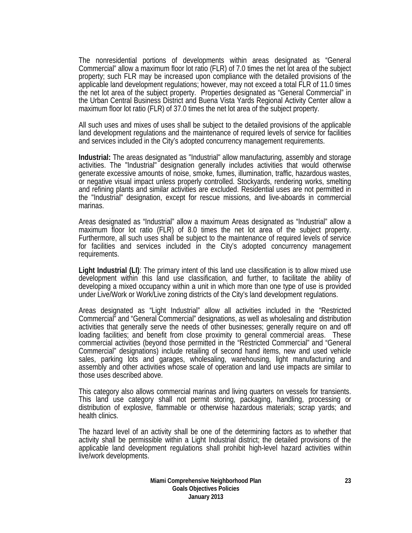The nonresidential portions of developments within areas designated as "General Commercial" allow a maximum floor lot ratio (FLR) of 7.0 times the net lot area of the subject property; such FLR may be increased upon compliance with the detailed provisions of the applicable land development regulations; however, may not exceed a total FLR of 11.0 times the net lot area of the subject property. Properties designated as "General Commercial" in the Urban Central Business District and Buena Vista Yards Regional Activity Center allow a maximum floor lot ratio (FLR) of 37.0 times the net lot area of the subject property.

All such uses and mixes of uses shall be subject to the detailed provisions of the applicable land development regulations and the maintenance of required levels of service for facilities and services included in the City's adopted concurrency management requirements.

**Industrial:** The areas designated as "Industrial" allow manufacturing, assembly and storage activities. The "Industrial" designation generally includes activities that would otherwise generate excessive amounts of noise, smoke, fumes, illumination, traffic, hazardous wastes, or negative visual impact unless properly controlled. Stockyards, rendering works, smelting and refining plants and similar activities are excluded. Residential uses are not permitted in the "Industrial" designation, except for rescue missions, and live-aboards in commercial marinas.

Areas designated as "Industrial" allow a maximum Areas designated as "Industrial" allow a maximum floor lot ratio (FLR) of 8.0 times the net lot area of the subject property. Furthermore, all such uses shall be subject to the maintenance of required levels of service for facilities and services included in the City's adopted concurrency management requirements.

**Light Industrial (LI)**: The primary intent of this land use classification is to allow mixed use development within this land use classification, and further, to facilitate the ability of developing a mixed occupancy within a unit in which more than one type of use is provided under Live/Work or Work/Live zoning districts of the City's land development regulations.

Areas designated as "Light Industrial" allow all activities included in the "Restricted Commercial" and "General Commercial" designations, as well as wholesaling and distribution activities that generally serve the needs of other businesses; generally require on and off loading facilities; and benefit from close proximity to general commercial areas. These commercial activities (beyond those permitted in the "Restricted Commercial" and "General Commercial" designations) include retailing of second hand items, new and used vehicle sales, parking lots and garages, wholesaling, warehousing, light manufacturing and assembly and other activities whose scale of operation and land use impacts are similar to those uses described above.

This category also allows commercial marinas and living quarters on vessels for transients. This land use category shall not permit storing, packaging, handling, processing or distribution of explosive, flammable or otherwise hazardous materials; scrap yards; and health clinics.

The hazard level of an activity shall be one of the determining factors as to whether that activity shall be permissible within a Light Industrial district; the detailed provisions of the applicable land development regulations shall prohibit high-level hazard activities within live/work developments.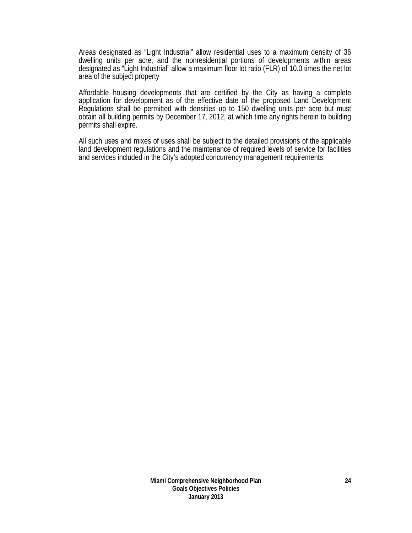Areas designated as "Light Industrial" allow residential uses to a maximum density of 36 dwelling units per acre, and the nonresidential portions of developments within areas designated as "Light Industrial" allow a maximum floor lot ratio (FLR) of 10.0 times the net lot area of the subject property

Affordable housing developments that are certified by the City as having a complete application for development as of the effective date of the proposed Land Development Regulations shall be permitted with densities up to 150 dwelling units per acre but must obtain all building permits by December 17, 2012, at which time any rights herein to building permits shall expire.

All such uses and mixes of uses shall be subject to the detailed provisions of the applicable land development regulations and the maintenance of required levels of service for facilities and services included in the City's adopted concurrency management requirements.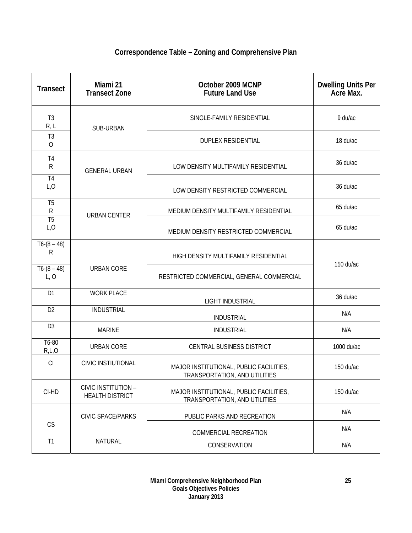## **Correspondence Table – Zoning and Comprehensive Plan**

| <b>Transect</b>                  | Miami 21<br><b>Transect Zone</b>              | October 2009 MCNP<br><b>Future Land Use</b>                              | Dwelling Units Per<br>Acre Max. |  |
|----------------------------------|-----------------------------------------------|--------------------------------------------------------------------------|---------------------------------|--|
| T <sub>3</sub><br>R, L           | SUB-URBAN                                     | SINGLE-FAMILY RESIDENTIAL                                                | 9 du/ac                         |  |
| T <sub>3</sub><br>$\overline{O}$ |                                               | <b>DUPLEX RESIDENTIAL</b>                                                | 18 du/ac                        |  |
| T <sub>4</sub><br>${\sf R}$      | <b>GENERAL URBAN</b>                          | LOW DENSITY MULTIFAMILY RESIDENTIAL                                      | 36 du/ac                        |  |
| T <sub>4</sub><br>L, O           |                                               | LOW DENSITY RESTRICTED COMMERCIAL                                        | 36 du/ac                        |  |
| T <sub>5</sub><br>${\sf R}$      | <b>URBAN CENTER</b>                           | MEDIUM DENSITY MULTIFAMILY RESIDENTIAL                                   | 65 du/ac                        |  |
| T <sub>5</sub><br>L, O           |                                               | MEDIUM DENSITY RESTRICTED COMMERCIAL                                     | 65 du/ac                        |  |
| $T6-(8-48)$<br>R                 |                                               | HIGH DENSITY MULTIFAMILY RESIDENTIAL                                     |                                 |  |
| $T6-(8-48)$<br>L, O              | <b>URBAN CORE</b>                             | RESTRICTED COMMERCIAL, GENERAL COMMERCIAL                                | 150 du/ac                       |  |
| D <sub>1</sub>                   | <b>WORK PLACE</b>                             | <b>LIGHT INDUSTRIAL</b>                                                  | 36 du/ac                        |  |
| D <sub>2</sub>                   | <b>INDUSTRIAL</b>                             | <b>INDUSTRIAL</b>                                                        | N/A                             |  |
| D <sub>3</sub>                   | <b>MARINE</b>                                 | <b>INDUSTRIAL</b>                                                        | N/A                             |  |
| T6-80<br>R,L,O                   | <b>URBAN CORE</b>                             | CENTRAL BUSINESS DISTRICT                                                | 1000 du/ac                      |  |
| CI                               | <b>CIVIC INSTIUTIONAL</b>                     | MAJOR INSTITUTIONAL, PUBLIC FACILITIES,<br>TRANSPORTATION, AND UTILITIES | 150 du/ac                       |  |
| CI-HD                            | CIVIC INSTITUTION -<br><b>HEALTH DISTRICT</b> | MAJOR INSTITUTIONAL, PUBLIC FACILITIES,<br>TRANSPORTATION, AND UTILITIES | 150 du/ac                       |  |
|                                  | <b>CIVIC SPACE/PARKS</b>                      | PUBLIC PARKS AND RECREATION                                              | N/A                             |  |
| CS                               |                                               | COMMERCIAL RECREATION                                                    | N/A                             |  |
| T1                               | <b>NATURAL</b>                                | CONSERVATION                                                             | N/A                             |  |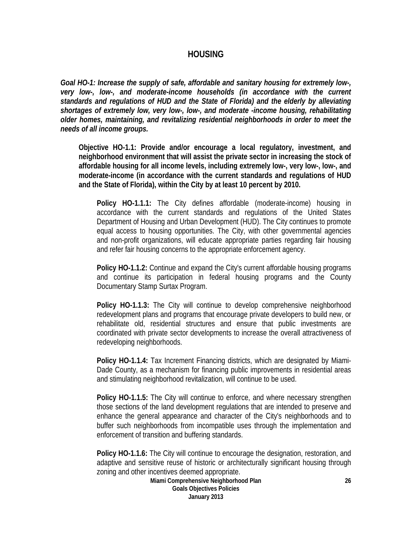#### **HOUSING**

*Goal HO-1: Increase the supply of safe, affordable and sanitary housing for extremely low-, very low-, low-, and moderate-income households (in accordance with the current standards and regulations of HUD and the State of Florida) and the elderly by alleviating shortages of extremely low, very low-, low-, and moderate -income housing, rehabilitating older homes, maintaining, and revitalizing residential neighborhoods in order to meet the needs of all income groups.* 

**Objective HO-1.1: Provide and/or encourage a local regulatory, investment, and neighborhood environment that will assist the private sector in increasing the stock of affordable housing for all income levels, including extremely low-, very low-, low-, and moderate-income (in accordance with the current standards and regulations of HUD and the State of Florida), within the City by at least 10 percent by 2010.** 

**Policy HO-1.1.1:** The City defines affordable (moderate-income) housing in accordance with the current standards and regulations of the United States Department of Housing and Urban Development (HUD). The City continues to promote equal access to housing opportunities. The City, with other governmental agencies and non-profit organizations, will educate appropriate parties regarding fair housing and refer fair housing concerns to the appropriate enforcement agency.

**Policy HO-1.1.2:** Continue and expand the City's current affordable housing programs and continue its participation in federal housing programs and the County Documentary Stamp Surtax Program.

**Policy HO-1.1.3:** The City will continue to develop comprehensive neighborhood redevelopment plans and programs that encourage private developers to build new, or rehabilitate old, residential structures and ensure that public investments are coordinated with private sector developments to increase the overall attractiveness of redeveloping neighborhoods.

**Policy HO-1.1.4:** Tax Increment Financing districts, which are designated by Miami-Dade County, as a mechanism for financing public improvements in residential areas and stimulating neighborhood revitalization, will continue to be used.

**Policy HO-1.1.5:** The City will continue to enforce, and where necessary strengthen those sections of the land development regulations that are intended to preserve and enhance the general appearance and character of the City's neighborhoods and to buffer such neighborhoods from incompatible uses through the implementation and enforcement of transition and buffering standards.

**Policy HO-1.1.6:** The City will continue to encourage the designation, restoration, and adaptive and sensitive reuse of historic or architecturally significant housing through zoning and other incentives deemed appropriate.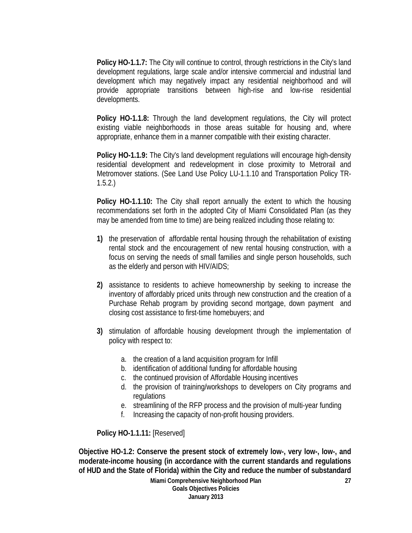Policy HO-1.1.7: The City will continue to control, through restrictions in the City's land development regulations, large scale and/or intensive commercial and industrial land development which may negatively impact any residential neighborhood and will provide appropriate transitions between high-rise and low-rise residential developments.

**Policy HO-1.1.8:** Through the land development regulations, the City will protect existing viable neighborhoods in those areas suitable for housing and, where appropriate, enhance them in a manner compatible with their existing character.

**Policy HO-1.1.9:** The City's land development regulations will encourage high-density residential development and redevelopment in close proximity to Metrorail and Metromover stations. (See Land Use Policy LU-1.1.10 and Transportation Policy TR-1.5.2.)

**Policy HO-1.1.10:** The City shall report annually the extent to which the housing recommendations set forth in the adopted City of Miami Consolidated Plan (as they may be amended from time to time) are being realized including those relating to:

- **1)** the preservation of affordable rental housing through the rehabilitation of existing rental stock and the encouragement of new rental housing construction, with a focus on serving the needs of small families and single person households, such as the elderly and person with HIV/AIDS;
- **2)** assistance to residents to achieve homeownership by seeking to increase the inventory of affordably priced units through new construction and the creation of a Purchase Rehab program by providing second mortgage, down payment and closing cost assistance to first-time homebuyers; and
- **3)** stimulation of affordable housing development through the implementation of policy with respect to:
	- a. the creation of a land acquisition program for Infill
	- b. identification of additional funding for affordable housing
	- c. the continued provision of Affordable Housing incentives
	- d. the provision of training/workshops to developers on City programs and regulations
	- e. streamlining of the RFP process and the provision of multi-year funding
	- f. Increasing the capacity of non-profit housing providers.

**Policy HO-1.1.11:** [Reserved]

**Objective HO-1.2: Conserve the present stock of extremely low-, very low-, low-, and moderate-income housing (in accordance with the current standards and regulations of HUD and the State of Florida) within the City and reduce the number of substandard** 

> **Miami Comprehensive Neighborhood Plan Goals Objectives Policies January 2013**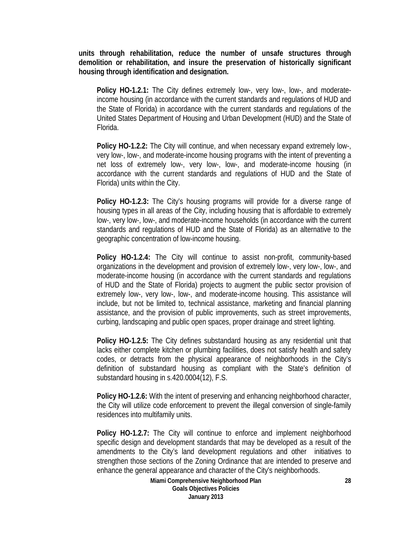**units through rehabilitation, reduce the number of unsafe structures through demolition or rehabilitation, and insure the preservation of historically significant housing through identification and designation.** 

**Policy HO-1.2.1:** The City defines extremely low-, very low-, low-, and moderateincome housing (in accordance with the current standards and regulations of HUD and the State of Florida) in accordance with the current standards and regulations of the United States Department of Housing and Urban Development (HUD) and the State of Florida.

**Policy HO-1.2.2:** The City will continue, and when necessary expand extremely low-, very low-, low-, and moderate-income housing programs with the intent of preventing a net loss of extremely low-, very low-, low-, and moderate-income housing (in accordance with the current standards and regulations of HUD and the State of Florida) units within the City.

**Policy HO-1.2.3:** The City's housing programs will provide for a diverse range of housing types in all areas of the City, including housing that is affordable to extremely low-, very low-, low-, and moderate-income households (in accordance with the current standards and regulations of HUD and the State of Florida) as an alternative to the geographic concentration of low-income housing.

**Policy HO-1.2.4:** The City will continue to assist non-profit, community-based organizations in the development and provision of extremely low-, very low-, low-, and moderate-income housing (in accordance with the current standards and regulations of HUD and the State of Florida) projects to augment the public sector provision of extremely low-, very low-, low-, and moderate-income housing. This assistance will include, but not be limited to, technical assistance, marketing and financial planning assistance, and the provision of public improvements, such as street improvements, curbing, landscaping and public open spaces, proper drainage and street lighting.

**Policy HO-1.2.5:** The City defines substandard housing as any residential unit that lacks either complete kitchen or plumbing facilities, does not satisfy health and safety codes, or detracts from the physical appearance of neighborhoods in the City's definition of substandard housing as compliant with the State's definition of substandard housing in s.420.0004(12), F.S.

**Policy HO-1.2.6:** With the intent of preserving and enhancing neighborhood character, the City will utilize code enforcement to prevent the illegal conversion of single-family residences into multifamily units.

**Policy HO-1.2.7:** The City will continue to enforce and implement neighborhood specific design and development standards that may be developed as a result of the amendments to the City's land development regulations and other initiatives to strengthen those sections of the Zoning Ordinance that are intended to preserve and enhance the general appearance and character of the City's neighborhoods.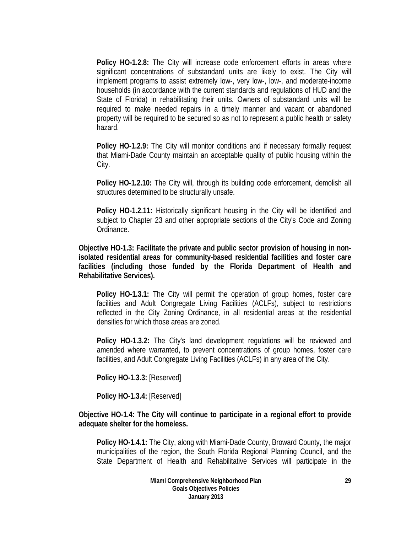**Policy HO-1.2.8:** The City will increase code enforcement efforts in areas where significant concentrations of substandard units are likely to exist. The City will implement programs to assist extremely low-, very low-, low-, and moderate-income households (in accordance with the current standards and regulations of HUD and the State of Florida) in rehabilitating their units. Owners of substandard units will be required to make needed repairs in a timely manner and vacant or abandoned property will be required to be secured so as not to represent a public health or safety hazard.

**Policy HO-1.2.9:** The City will monitor conditions and if necessary formally request that Miami-Dade County maintain an acceptable quality of public housing within the City.

**Policy HO-1.2.10:** The City will, through its building code enforcement, demolish all structures determined to be structurally unsafe.

**Policy HO-1.2.11:** Historically significant housing in the City will be identified and subject to Chapter 23 and other appropriate sections of the City's Code and Zoning Ordinance.

**Objective HO-1.3: Facilitate the private and public sector provision of housing in nonisolated residential areas for community-based residential facilities and foster care facilities (including those funded by the Florida Department of Health and Rehabilitative Services).** 

**Policy HO-1.3.1:** The City will permit the operation of group homes, foster care facilities and Adult Congregate Living Facilities (ACLFs), subject to restrictions reflected in the City Zoning Ordinance, in all residential areas at the residential densities for which those areas are zoned.

**Policy HO-1.3.2:** The City's land development regulations will be reviewed and amended where warranted, to prevent concentrations of group homes, foster care facilities, and Adult Congregate Living Facilities (ACLFs) in any area of the City.

**Policy HO-1.3.3:** [Reserved]

**Policy HO-1.3.4:** [Reserved]

**Objective HO-1.4: The City will continue to participate in a regional effort to provide adequate shelter for the homeless.** 

**Policy HO-1.4.1:** The City, along with Miami-Dade County, Broward County, the major municipalities of the region, the South Florida Regional Planning Council, and the State Department of Health and Rehabilitative Services will participate in the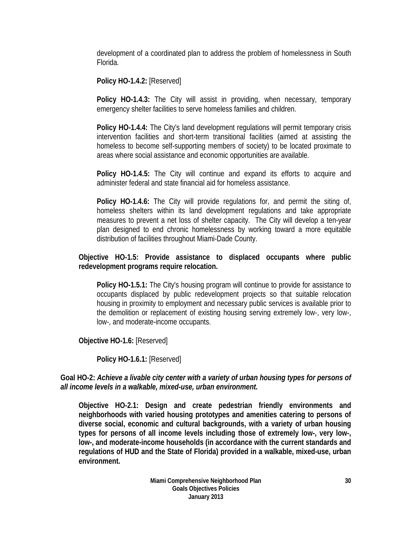development of a coordinated plan to address the problem of homelessness in South Florida.

**Policy HO-1.4.2:** [Reserved]

**Policy HO-1.4.3:** The City will assist in providing, when necessary, temporary emergency shelter facilities to serve homeless families and children.

**Policy HO-1.4.4:** The City's land development regulations will permit temporary crisis intervention facilities and short-term transitional facilities (aimed at assisting the homeless to become self-supporting members of society) to be located proximate to areas where social assistance and economic opportunities are available.

**Policy HO-1.4.5:** The City will continue and expand its efforts to acquire and administer federal and state financial aid for homeless assistance.

**Policy HO-1.4.6:** The City will provide regulations for, and permit the siting of, homeless shelters within its land development regulations and take appropriate measures to prevent a net loss of shelter capacity. The City will develop a ten-year plan designed to end chronic homelessness by working toward a more equitable distribution of facilities throughout Miami-Dade County.

### **Objective HO-1.5: Provide assistance to displaced occupants where public redevelopment programs require relocation.**

**Policy HO-1.5.1:** The City's housing program will continue to provide for assistance to occupants displaced by public redevelopment projects so that suitable relocation housing in proximity to employment and necessary public services is available prior to the demolition or replacement of existing housing serving extremely low-, very low-, low-, and moderate-income occupants.

**Objective HO-1.6:** [Reserved]

**Policy HO-1.6.1:** [Reserved]

### **Goal HO-2:** *Achieve a livable city center with a variety of urban housing types for persons of all income levels in a walkable, mixed-use, urban environment.*

**Objective HO-2.1: Design and create pedestrian friendly environments and neighborhoods with varied housing prototypes and amenities catering to persons of diverse social, economic and cultural backgrounds, with a variety of urban housing types for persons of all income levels including those of extremely low-, very low-, low-, and moderate-income households (in accordance with the current standards and regulations of HUD and the State of Florida) provided in a walkable, mixed-use, urban environment.**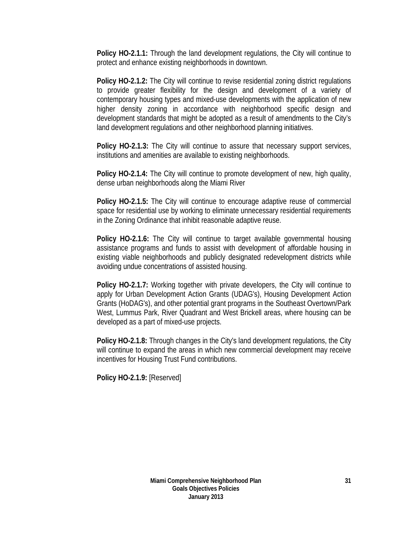**Policy HO-2.1.1:** Through the land development regulations, the City will continue to protect and enhance existing neighborhoods in downtown.

**Policy HO-2.1.2:** The City will continue to revise residential zoning district regulations to provide greater flexibility for the design and development of a variety of contemporary housing types and mixed-use developments with the application of new higher density zoning in accordance with neighborhood specific design and development standards that might be adopted as a result of amendments to the City's land development regulations and other neighborhood planning initiatives.

**Policy HO-2.1.3:** The City will continue to assure that necessary support services, institutions and amenities are available to existing neighborhoods.

**Policy HO-2.1.4:** The City will continue to promote development of new, high quality, dense urban neighborhoods along the Miami River

**Policy HO-2.1.5:** The City will continue to encourage adaptive reuse of commercial space for residential use by working to eliminate unnecessary residential requirements in the Zoning Ordinance that inhibit reasonable adaptive reuse.

**Policy HO-2.1.6:** The City will continue to target available governmental housing assistance programs and funds to assist with development of affordable housing in existing viable neighborhoods and publicly designated redevelopment districts while avoiding undue concentrations of assisted housing.

**Policy HO-2.1.7:** Working together with private developers, the City will continue to apply for Urban Development Action Grants (UDAG's), Housing Development Action Grants (HoDAG's), and other potential grant programs in the Southeast Overtown/Park West, Lummus Park, River Quadrant and West Brickell areas, where housing can be developed as a part of mixed-use projects.

**Policy HO-2.1.8:** Through changes in the City's land development regulations, the City will continue to expand the areas in which new commercial development may receive incentives for Housing Trust Fund contributions.

**Policy HO-2.1.9:** [Reserved]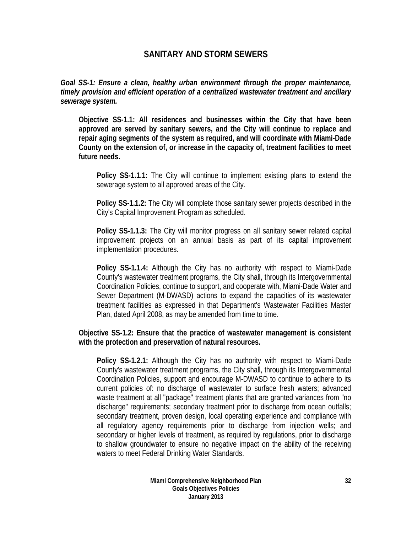## **SANITARY AND STORM SEWERS**

*Goal SS-1: Ensure a clean, healthy urban environment through the proper maintenance, timely provision and efficient operation of a centralized wastewater treatment and ancillary sewerage system.* 

**Objective SS-1.1: All residences and businesses within the City that have been approved are served by sanitary sewers, and the City will continue to replace and repair aging segments of the system as required, and will coordinate with Miami-Dade County on the extension of, or increase in the capacity of, treatment facilities to meet future needs.** 

**Policy SS-1.1.1:** The City will continue to implement existing plans to extend the sewerage system to all approved areas of the City.

**Policy SS-1.1.2:** The City will complete those sanitary sewer projects described in the City's Capital Improvement Program as scheduled.

**Policy SS-1.1.3:** The City will monitor progress on all sanitary sewer related capital improvement projects on an annual basis as part of its capital improvement implementation procedures.

**Policy SS-1.1.4:** Although the City has no authority with respect to Miami-Dade County's wastewater treatment programs, the City shall, through its Intergovernmental Coordination Policies, continue to support, and cooperate with, Miami-Dade Water and Sewer Department (M-DWASD) actions to expand the capacities of its wastewater treatment facilities as expressed in that Department's Wastewater Facilities Master Plan, dated April 2008, as may be amended from time to time.

**Objective SS-1.2: Ensure that the practice of wastewater management is consistent with the protection and preservation of natural resources.** 

**Policy SS-1.2.1:** Although the City has no authority with respect to Miami-Dade County's wastewater treatment programs, the City shall, through its Intergovernmental Coordination Policies, support and encourage M-DWASD to continue to adhere to its current policies of: no discharge of wastewater to surface fresh waters; advanced waste treatment at all "package" treatment plants that are granted variances from "no discharge" requirements; secondary treatment prior to discharge from ocean outfalls; secondary treatment, proven design, local operating experience and compliance with all regulatory agency requirements prior to discharge from injection wells; and secondary or higher levels of treatment, as required by regulations, prior to discharge to shallow groundwater to ensure no negative impact on the ability of the receiving waters to meet Federal Drinking Water Standards.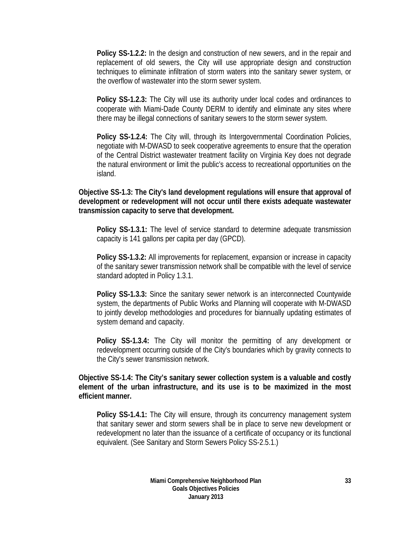**Policy SS-1.2.2:** In the design and construction of new sewers, and in the repair and replacement of old sewers, the City will use appropriate design and construction techniques to eliminate infiltration of storm waters into the sanitary sewer system, or the overflow of wastewater into the storm sewer system.

**Policy SS-1.2.3:** The City will use its authority under local codes and ordinances to cooperate with Miami-Dade County DERM to identify and eliminate any sites where there may be illegal connections of sanitary sewers to the storm sewer system.

**Policy SS-1.2.4:** The City will, through its Intergovernmental Coordination Policies, negotiate with M-DWASD to seek cooperative agreements to ensure that the operation of the Central District wastewater treatment facility on Virginia Key does not degrade the natural environment or limit the public's access to recreational opportunities on the island.

**Objective SS-1.3: The City's land development regulations will ensure that approval of development or redevelopment will not occur until there exists adequate wastewater transmission capacity to serve that development.** 

**Policy SS-1.3.1:** The level of service standard to determine adequate transmission capacity is 141 gallons per capita per day (GPCD).

**Policy SS-1.3.2:** All improvements for replacement, expansion or increase in capacity of the sanitary sewer transmission network shall be compatible with the level of service standard adopted in Policy 1.3.1.

**Policy SS-1.3.3:** Since the sanitary sewer network is an interconnected Countywide system, the departments of Public Works and Planning will cooperate with M-DWASD to jointly develop methodologies and procedures for biannually updating estimates of system demand and capacity.

**Policy SS-1.3.4:** The City will monitor the permitting of any development or redevelopment occurring outside of the City's boundaries which by gravity connects to the City's sewer transmission network.

**Objective SS-1.4: The City's sanitary sewer collection system is a valuable and costly element of the urban infrastructure, and its use is to be maximized in the most efficient manner.** 

**Policy SS-1.4.1:** The City will ensure, through its concurrency management system that sanitary sewer and storm sewers shall be in place to serve new development or redevelopment no later than the issuance of a certificate of occupancy or its functional equivalent. (See Sanitary and Storm Sewers Policy SS-2.5.1.)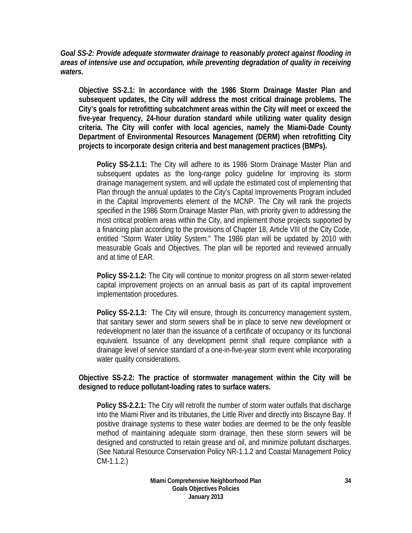*Goal SS-2: Provide adequate stormwater drainage to reasonably protect against flooding in areas of intensive use and occupation, while preventing degradation of quality in receiving waters.* 

**Objective SS-2.1: In accordance with the 1986 Storm Drainage Master Plan and subsequent updates, the City will address the most critical drainage problems. The City's goals for retrofitting subcatchment areas within the City will meet or exceed the five-year frequency, 24-hour duration standard while utilizing water quality design criteria. The City will confer with local agencies, namely the Miami-Dade County Department of Environmental Resources Management (DERM) when retrofitting City projects to incorporate design criteria and best management practices (BMPs).** 

**Policy SS-2.1.1:** The City will adhere to its 1986 Storm Drainage Master Plan and subsequent updates as the long-range policy guideline for improving its storm drainage management system, and will update the estimated cost of implementing that Plan through the annual updates to the City's Capital Improvements Program included in the Capital Improvements element of the MCNP. The City will rank the projects specified in the 1986 Storm Drainage Master Plan, with priority given to addressing the most critical problem areas within the City, and implement those projects supported by a financing plan according to the provisions of Chapter 18, Article VIII of the City Code, entitled "Storm Water Utility System." The 1986 plan will be updated by 2010 with measurable Goals and Objectives. The plan will be reported and reviewed annually and at time of EAR.

**Policy SS-2.1.2:** The City will continue to monitor progress on all storm sewer-related capital improvement projects on an annual basis as part of its capital improvement implementation procedures.

**Policy SS-2.1.3:** The City will ensure, through its concurrency management system, that sanitary sewer and storm sewers shall be in place to serve new development or redevelopment no later than the issuance of a certificate of occupancy or its functional equivalent. Issuance of any development permit shall require compliance with a drainage level of service standard of a one-in-five-year storm event while incorporating water quality considerations.

**Objective SS-2.2: The practice of stormwater management within the City will be designed to reduce pollutant-loading rates to surface waters.** 

**Policy SS-2.2.1:** The City will retrofit the number of storm water outfalls that discharge into the Miami River and its tributaries, the Little River and directly into Biscayne Bay. If positive drainage systems to these water bodies are deemed to be the only feasible method of maintaining adequate storm drainage, then these storm sewers will be designed and constructed to retain grease and oil, and minimize pollutant discharges. (See Natural Resource Conservation Policy NR-1.1.2 and Coastal Management Policy CM-1.1.2.)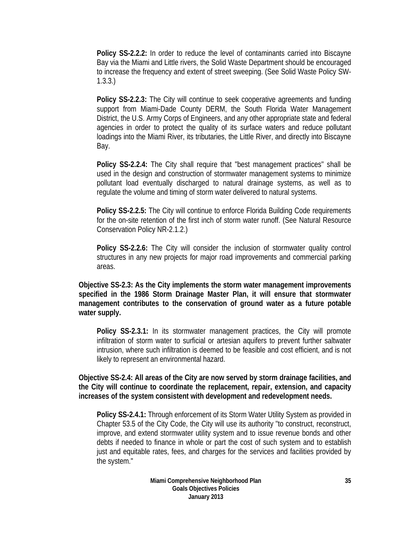**Policy SS-2.2.2:** In order to reduce the level of contaminants carried into Biscayne Bay via the Miami and Little rivers, the Solid Waste Department should be encouraged to increase the frequency and extent of street sweeping. (See Solid Waste Policy SW-1.3.3.)

**Policy SS-2.2.3:** The City will continue to seek cooperative agreements and funding support from Miami-Dade County DERM, the South Florida Water Management District, the U.S. Army Corps of Engineers, and any other appropriate state and federal agencies in order to protect the quality of its surface waters and reduce pollutant loadings into the Miami River, its tributaries, the Little River, and directly into Biscayne Bay.

**Policy SS-2.2.4:** The City shall require that "best management practices" shall be used in the design and construction of stormwater management systems to minimize pollutant load eventually discharged to natural drainage systems, as well as to regulate the volume and timing of storm water delivered to natural systems.

**Policy SS-2.2.5:** The City will continue to enforce Florida Building Code requirements for the on-site retention of the first inch of storm water runoff. (See Natural Resource Conservation Policy NR-2.1.2.)

**Policy SS-2.2.6:** The City will consider the inclusion of stormwater quality control structures in any new projects for major road improvements and commercial parking areas.

**Objective SS-2.3: As the City implements the storm water management improvements specified in the 1986 Storm Drainage Master Plan, it will ensure that stormwater management contributes to the conservation of ground water as a future potable water supply.** 

**Policy SS-2.3.1:** In its stormwater management practices, the City will promote infiltration of storm water to surficial or artesian aquifers to prevent further saltwater intrusion, where such infiltration is deemed to be feasible and cost efficient, and is not likely to represent an environmental hazard.

**Objective SS-2.4: All areas of the City are now served by storm drainage facilities, and the City will continue to coordinate the replacement, repair, extension, and capacity increases of the system consistent with development and redevelopment needs.** 

**Policy SS-2.4.1:** Through enforcement of its Storm Water Utility System as provided in Chapter 53.5 of the City Code, the City will use its authority "to construct, reconstruct, improve, and extend stormwater utility system and to issue revenue bonds and other debts if needed to finance in whole or part the cost of such system and to establish just and equitable rates, fees, and charges for the services and facilities provided by the system."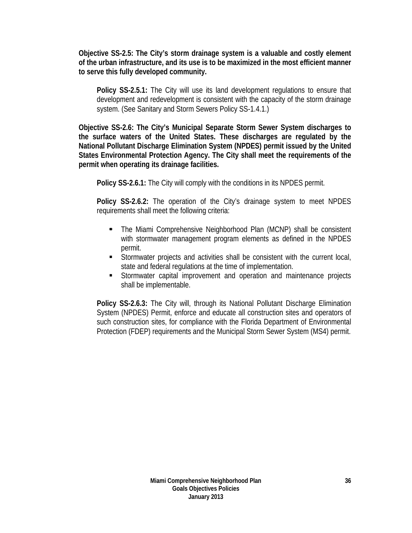**Objective SS-2.5: The City's storm drainage system is a valuable and costly element of the urban infrastructure, and its use is to be maximized in the most efficient manner to serve this fully developed community.** 

**Policy SS-2.5.1:** The City will use its land development regulations to ensure that development and redevelopment is consistent with the capacity of the storm drainage system. (See Sanitary and Storm Sewers Policy SS-1.4.1.)

**Objective SS-2.6: The City's Municipal Separate Storm Sewer System discharges to the surface waters of the United States. These discharges are regulated by the National Pollutant Discharge Elimination System (NPDES) permit issued by the United States Environmental Protection Agency. The City shall meet the requirements of the permit when operating its drainage facilities.** 

**Policy SS-2.6.1:** The City will comply with the conditions in its NPDES permit.

**Policy SS-2.6.2:** The operation of the City's drainage system to meet NPDES requirements shall meet the following criteria:

- The Miami Comprehensive Neighborhood Plan (MCNP) shall be consistent with stormwater management program elements as defined in the NPDES permit.
- Stormwater projects and activities shall be consistent with the current local, state and federal regulations at the time of implementation.
- Stormwater capital improvement and operation and maintenance projects shall be implementable.

**Policy SS-2.6.3:** The City will, through its National Pollutant Discharge Elimination System (NPDES) Permit, enforce and educate all construction sites and operators of such construction sites, for compliance with the Florida Department of Environmental Protection (FDEP) requirements and the Municipal Storm Sewer System (MS4) permit.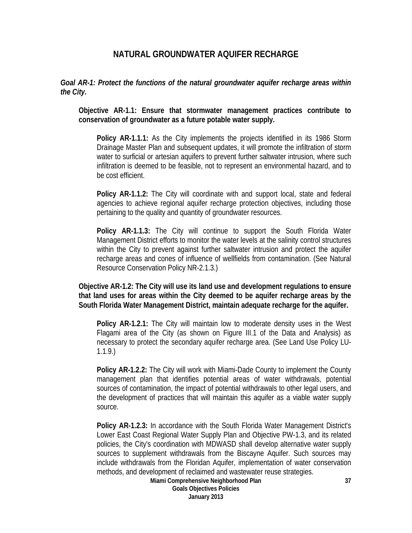## **NATURAL GROUNDWATER AQUIFER RECHARGE**

*Goal AR-1: Protect the functions of the natural groundwater aquifer recharge areas within the City.* 

**Objective AR-1.1: Ensure that stormwater management practices contribute to conservation of groundwater as a future potable water supply.** 

**Policy AR-1.1.1:** As the City implements the projects identified in its 1986 Storm Drainage Master Plan and subsequent updates, it will promote the infiltration of storm water to surficial or artesian aquifers to prevent further saltwater intrusion, where such infiltration is deemed to be feasible, not to represent an environmental hazard, and to be cost efficient.

**Policy AR-1.1.2:** The City will coordinate with and support local, state and federal agencies to achieve regional aquifer recharge protection objectives, including those pertaining to the quality and quantity of groundwater resources.

**Policy AR-1.1.3:** The City will continue to support the South Florida Water Management District efforts to monitor the water levels at the salinity control structures within the City to prevent against further saltwater intrusion and protect the aquifer recharge areas and cones of influence of wellfields from contamination. (See Natural Resource Conservation Policy NR-2.1.3.)

**Objective AR-1.2: The City will use its land use and development regulations to ensure that land uses for areas within the City deemed to be aquifer recharge areas by the South Florida Water Management District, maintain adequate recharge for the aquifer.** 

**Policy AR-1.2.1:** The City will maintain low to moderate density uses in the West Flagami area of the City (as shown on Figure III.1 of the Data and Analysis) as necessary to protect the secondary aquifer recharge area. (See Land Use Policy LU-1.1.9.)

**Policy AR-1.2.2:** The City will work with Miami-Dade County to implement the County management plan that identifies potential areas of water withdrawals, potential sources of contamination, the impact of potential withdrawals to other legal users, and the development of practices that will maintain this aquifer as a viable water supply source.

**Policy AR-1.2.3:** In accordance with the South Florida Water Management District's Lower East Coast Regional Water Supply Plan and Objective PW-1.3, and its related policies, the City's coordination with MDWASD shall develop alternative water supply sources to supplement withdrawals from the Biscayne Aquifer. Such sources may include withdrawals from the Floridan Aquifer, implementation of water conservation methods, and development of reclaimed and wastewater reuse strategies.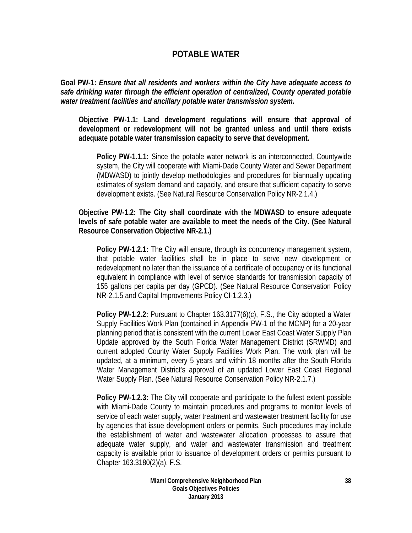### **POTABLE WATER**

**Goal PW-1:** *Ensure that all residents and workers within the City have adequate access to safe drinking water through the efficient operation of centralized, County operated potable water treatment facilities and ancillary potable water transmission system.*

**Objective PW-1.1: Land development regulations will ensure that approval of development or redevelopment will not be granted unless and until there exists adequate potable water transmission capacity to serve that development.** 

**Policy PW-1.1.1:** Since the potable water network is an interconnected, Countywide system, the City will cooperate with Miami-Dade County Water and Sewer Department (MDWASD) to jointly develop methodologies and procedures for biannually updating estimates of system demand and capacity, and ensure that sufficient capacity to serve development exists. (See Natural Resource Conservation Policy NR-2.1.4.)

**Objective PW-1.2: The City shall coordinate with the MDWASD to ensure adequate levels of safe potable water are available to meet the needs of the City. (See Natural Resource Conservation Objective NR-2.1.)** 

**Policy PW-1.2.1:** The City will ensure, through its concurrency management system, that potable water facilities shall be in place to serve new development or redevelopment no later than the issuance of a certificate of occupancy or its functional equivalent in compliance with level of service standards for transmission capacity of 155 gallons per capita per day (GPCD). (See Natural Resource Conservation Policy NR-2.1.5 and Capital Improvements Policy CI-1.2.3.)

**Policy PW-1.2.2:** Pursuant to Chapter 163.3177(6)(c), F.S., the City adopted a Water Supply Facilities Work Plan (contained in Appendix PW-1 of the MCNP) for a 20-year planning period that is consistent with the current Lower East Coast Water Supply Plan Update approved by the South Florida Water Management District (SRWMD) and current adopted County Water Supply Facilities Work Plan. The work plan will be updated, at a minimum, every 5 years and within 18 months after the South Florida Water Management District's approval of an updated Lower East Coast Regional Water Supply Plan. (See Natural Resource Conservation Policy NR-2.1.7.)

**Policy PW-1.2.3:** The City will cooperate and participate to the fullest extent possible with Miami-Dade County to maintain procedures and programs to monitor levels of service of each water supply, water treatment and wastewater treatment facility for use by agencies that issue development orders or permits. Such procedures may include the establishment of water and wastewater allocation processes to assure that adequate water supply, and water and wastewater transmission and treatment capacity is available prior to issuance of development orders or permits pursuant to Chapter 163.3180(2)(a), F.S.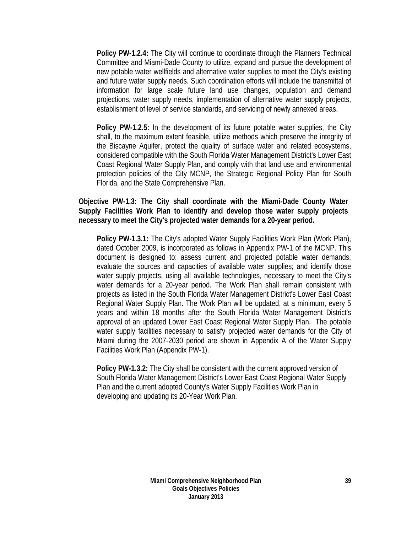**Policy PW-1.2.4:** The City will continue to coordinate through the Planners Technical Committee and Miami-Dade County to utilize, expand and pursue the development of new potable water wellfields and alternative water supplies to meet the City's existing and future water supply needs. Such coordination efforts will include the transmittal of information for large scale future land use changes, population and demand projections, water supply needs, implementation of alternative water supply projects, establishment of level of service standards, and servicing of newly annexed areas.

**Policy PW-1.2.5:** In the development of its future potable water supplies, the City shall, to the maximum extent feasible, utilize methods which preserve the integrity of the Biscayne Aquifer, protect the quality of surface water and related ecosystems, considered compatible with the South Florida Water Management District's Lower East Coast Regional Water Supply Plan, and comply with that land use and environmental protection policies of the City MCNP, the Strategic Regional Policy Plan for South Florida, and the State Comprehensive Plan.

### **Objective PW-1.3: The City shall coordinate with the Miami-Dade County Water Supply Facilities Work Plan to identify and develop those water supply projects necessary to meet the City's projected water demands for a 20-year period.**

**Policy PW-1.3.1:** The City's adopted Water Supply Facilities Work Plan (Work Plan), dated October 2009, is incorporated as follows in Appendix PW-1 of the MCNP. This document is designed to: assess current and projected potable water demands; evaluate the sources and capacities of available water supplies; and identify those water supply projects, using all available technologies, necessary to meet the City's water demands for a 20-year period. The Work Plan shall remain consistent with projects as listed in the South Florida Water Management District's Lower East Coast Regional Water Supply Plan. The Work Plan will be updated, at a minimum, every 5 years and within 18 months after the South Florida Water Management District's approval of an updated Lower East Coast Regional Water Supply Plan. The potable water supply facilities necessary to satisfy projected water demands for the City of Miami during the 2007-2030 period are shown in Appendix A of the Water Supply Facilities Work Plan (Appendix PW-1).

**Policy PW-1.3.2:** The City shall be consistent with the current approved version of South Florida Water Management District's Lower East Coast Regional Water Supply Plan and the current adopted County's Water Supply Facilities Work Plan in developing and updating its 20-Year Work Plan.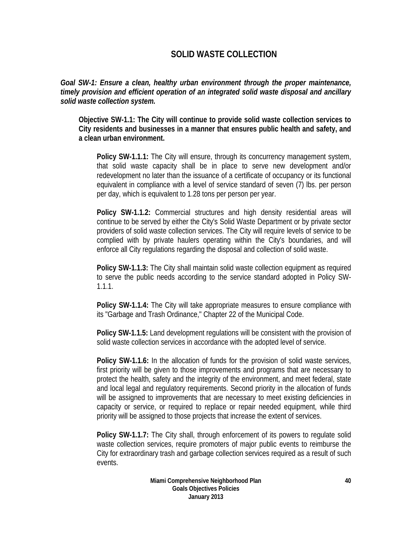# **SOLID WASTE COLLECTION**

*Goal SW-1: Ensure a clean, healthy urban environment through the proper maintenance, timely provision and efficient operation of an integrated solid waste disposal and ancillary solid waste collection system.* 

**Objective SW-1.1: The City will continue to provide solid waste collection services to City residents and businesses in a manner that ensures public health and safety, and a clean urban environment.** 

**Policy SW-1.1.1:** The City will ensure, through its concurrency management system, that solid waste capacity shall be in place to serve new development and/or redevelopment no later than the issuance of a certificate of occupancy or its functional equivalent in compliance with a level of service standard of seven (7) lbs. per person per day, which is equivalent to 1.28 tons per person per year.

**Policy SW-1.1.2:** Commercial structures and high density residential areas will continue to be served by either the City's Solid Waste Department or by private sector providers of solid waste collection services. The City will require levels of service to be complied with by private haulers operating within the City's boundaries, and will enforce all City regulations regarding the disposal and collection of solid waste.

**Policy SW-1.1.3:** The City shall maintain solid waste collection equipment as required to serve the public needs according to the service standard adopted in Policy SW-1.1.1.

**Policy SW-1.1.4:** The City will take appropriate measures to ensure compliance with its "Garbage and Trash Ordinance," Chapter 22 of the Municipal Code.

**Policy SW-1.1.5:** Land development regulations will be consistent with the provision of solid waste collection services in accordance with the adopted level of service.

**Policy SW-1.1.6:** In the allocation of funds for the provision of solid waste services, first priority will be given to those improvements and programs that are necessary to protect the health, safety and the integrity of the environment, and meet federal, state and local legal and regulatory requirements. Second priority in the allocation of funds will be assigned to improvements that are necessary to meet existing deficiencies in capacity or service, or required to replace or repair needed equipment, while third priority will be assigned to those projects that increase the extent of services.

**Policy SW-1.1.7:** The City shall, through enforcement of its powers to regulate solid waste collection services, require promoters of major public events to reimburse the City for extraordinary trash and garbage collection services required as a result of such events.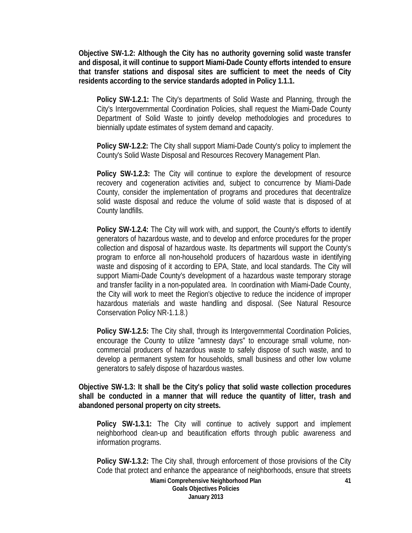**Objective SW-1.2: Although the City has no authority governing solid waste transfer and disposal, it will continue to support Miami-Dade County efforts intended to ensure that transfer stations and disposal sites are sufficient to meet the needs of City residents according to the service standards adopted in Policy 1.1.1.**

**Policy SW-1.2.1:** The City's departments of Solid Waste and Planning, through the City's Intergovernmental Coordination Policies, shall request the Miami-Dade County Department of Solid Waste to jointly develop methodologies and procedures to biennially update estimates of system demand and capacity.

**Policy SW-1.2.2:** The City shall support Miami-Dade County's policy to implement the County's Solid Waste Disposal and Resources Recovery Management Plan.

**Policy SW-1.2.3:** The City will continue to explore the development of resource recovery and cogeneration activities and, subject to concurrence by Miami-Dade County, consider the implementation of programs and procedures that decentralize solid waste disposal and reduce the volume of solid waste that is disposed of at County landfills.

**Policy SW-1.2.4:** The City will work with, and support, the County's efforts to identify generators of hazardous waste, and to develop and enforce procedures for the proper collection and disposal of hazardous waste. Its departments will support the County's program to enforce all non-household producers of hazardous waste in identifying waste and disposing of it according to EPA, State, and local standards. The City will support Miami-Dade County's development of a hazardous waste temporary storage and transfer facility in a non-populated area. In coordination with Miami-Dade County, the City will work to meet the Region's objective to reduce the incidence of improper hazardous materials and waste handling and disposal. (See Natural Resource Conservation Policy NR-1.1.8.)

**Policy SW-1.2.5:** The City shall, through its Intergovernmental Coordination Policies, encourage the County to utilize "amnesty days" to encourage small volume, noncommercial producers of hazardous waste to safely dispose of such waste, and to develop a permanent system for households, small business and other low volume generators to safely dispose of hazardous wastes.

**Objective SW-1.3: It shall be the City's policy that solid waste collection procedures shall be conducted in a manner that will reduce the quantity of litter, trash and abandoned personal property on city streets.** 

**Policy SW-1.3.1:** The City will continue to actively support and implement neighborhood clean-up and beautification efforts through public awareness and information programs.

**Policy SW-1.3.2:** The City shall, through enforcement of those provisions of the City Code that protect and enhance the appearance of neighborhoods, ensure that streets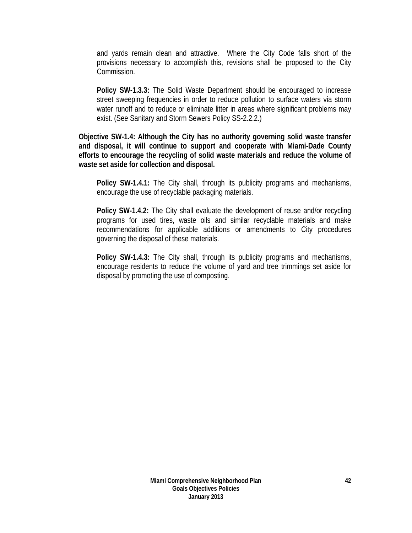and yards remain clean and attractive. Where the City Code falls short of the provisions necessary to accomplish this, revisions shall be proposed to the City Commission.

**Policy SW-1.3.3:** The Solid Waste Department should be encouraged to increase street sweeping frequencies in order to reduce pollution to surface waters via storm water runoff and to reduce or eliminate litter in areas where significant problems may exist. (See Sanitary and Storm Sewers Policy SS-2.2.2.)

**Objective SW-1.4: Although the City has no authority governing solid waste transfer and disposal, it will continue to support and cooperate with Miami-Dade County efforts to encourage the recycling of solid waste materials and reduce the volume of waste set aside for collection and disposal.** 

**Policy SW-1.4.1:** The City shall, through its publicity programs and mechanisms, encourage the use of recyclable packaging materials.

**Policy SW-1.4.2:** The City shall evaluate the development of reuse and/or recycling programs for used tires, waste oils and similar recyclable materials and make recommendations for applicable additions or amendments to City procedures governing the disposal of these materials.

**Policy SW-1.4.3:** The City shall, through its publicity programs and mechanisms, encourage residents to reduce the volume of yard and tree trimmings set aside for disposal by promoting the use of composting.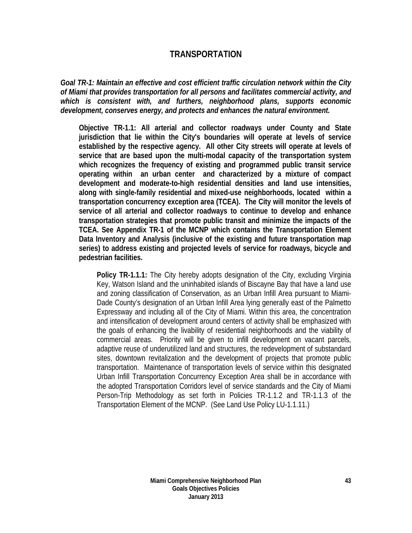## **TRANSPORTATION**

*Goal TR-1: Maintain an effective and cost efficient traffic circulation network within the City of Miami that provides transportation for all persons and facilitates commercial activity, and which is consistent with, and furthers, neighborhood plans, supports economic development, conserves energy, and protects and enhances the natural environment.*

**Objective TR-1.1: All arterial and collector roadways under County and State jurisdiction that lie within the City's boundaries will operate at levels of service established by the respective agency. All other City streets will operate at levels of service that are based upon the multi-modal capacity of the transportation system which recognizes the frequency of existing and programmed public transit service operating within an urban center and characterized by a mixture of compact development and moderate-to-high residential densities and land use intensities, along with single-family residential and mixed-use neighborhoods, located within a transportation concurrency exception area (TCEA). The City will monitor the levels of service of all arterial and collector roadways to continue to develop and enhance transportation strategies that promote public transit and minimize the impacts of the TCEA. See Appendix TR-1 of the MCNP which contains the Transportation Element Data Inventory and Analysis (inclusive of the existing and future transportation map series) to address existing and projected levels of service for roadways, bicycle and pedestrian facilities.** 

**Policy TR-1.1.1:** The City hereby adopts designation of the City, excluding Virginia Key, Watson Island and the uninhabited islands of Biscayne Bay that have a land use and zoning classification of Conservation, as an Urban Infill Area pursuant to Miami-Dade County's designation of an Urban Infill Area lying generally east of the Palmetto Expressway and including all of the City of Miami. Within this area, the concentration and intensification of development around centers of activity shall be emphasized with the goals of enhancing the livability of residential neighborhoods and the viability of commercial areas. Priority will be given to infill development on vacant parcels, adaptive reuse of underutilized land and structures, the redevelopment of substandard sites, downtown revitalization and the development of projects that promote public transportation. Maintenance of transportation levels of service within this designated Urban Infill Transportation Concurrency Exception Area shall be in accordance with the adopted Transportation Corridors level of service standards and the City of Miami Person-Trip Methodology as set forth in Policies TR-1.1.2 and TR-1.1.3 of the Transportation Element of the MCNP. (See Land Use Policy LU-1.1.11.)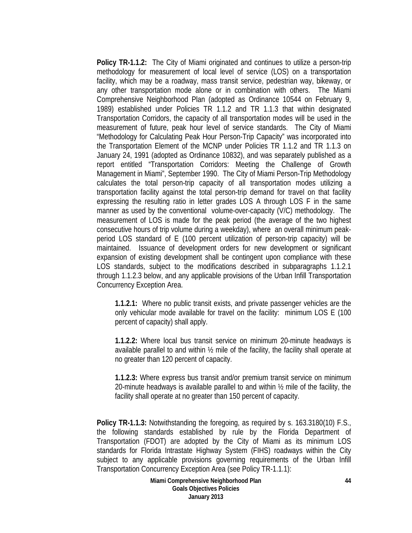**Policy TR-1.1.2:** The City of Miami originated and continues to utilize a person-trip methodology for measurement of local level of service (LOS) on a transportation facility, which may be a roadway, mass transit service, pedestrian way, bikeway, or any other transportation mode alone or in combination with others. The Miami Comprehensive Neighborhood Plan (adopted as Ordinance 10544 on February 9, 1989) established under Policies TR 1.1.2 and TR 1.1.3 that within designated Transportation Corridors, the capacity of all transportation modes will be used in the measurement of future, peak hour level of service standards. The City of Miami "Methodology for Calculating Peak Hour Person-Trip Capacity" was incorporated into the Transportation Element of the MCNP under Policies TR 1.1.2 and TR 1.1.3 on January 24, 1991 (adopted as Ordinance 10832), and was separately published as a report entitled "Transportation Corridors: Meeting the Challenge of Growth Management in Miami", September 1990. The City of Miami Person-Trip Methodology calculates the total person-trip capacity of all transportation modes utilizing a transportation facility against the total person-trip demand for travel on that facility expressing the resulting ratio in letter grades LOS A through LOS F in the same manner as used by the conventional volume-over-capacity (V/C) methodology. The measurement of LOS is made for the peak period (the average of the two highest consecutive hours of trip volume during a weekday), where an overall minimum peakperiod LOS standard of E (100 percent utilization of person-trip capacity) will be maintained. Issuance of development orders for new development or significant expansion of existing development shall be contingent upon compliance with these LOS standards, subject to the modifications described in subparagraphs 1.1.2.1 through 1.1.2.3 below, and any applicable provisions of the Urban Infill Transportation Concurrency Exception Area.

**1.1.2.1:** Where no public transit exists, and private passenger vehicles are the only vehicular mode available for travel on the facility: minimum LOS E (100 percent of capacity) shall apply.

**1.1.2.2:** Where local bus transit service on minimum 20-minute headways is available parallel to and within  $\frac{1}{2}$  mile of the facility, the facility shall operate at no greater than 120 percent of capacity.

**1.1.2.3:** Where express bus transit and/or premium transit service on minimum 20-minute headways is available parallel to and within ½ mile of the facility, the facility shall operate at no greater than 150 percent of capacity.

**Policy TR-1.1.3:** Notwithstanding the foregoing, as required by s. 163.3180(10) F.S., the following standards established by rule by the Florida Department of Transportation (FDOT) are adopted by the City of Miami as its minimum LOS standards for Florida Intrastate Highway System (FIHS) roadways within the City subject to any applicable provisions governing requirements of the Urban Infill Transportation Concurrency Exception Area (see Policy TR-1.1.1):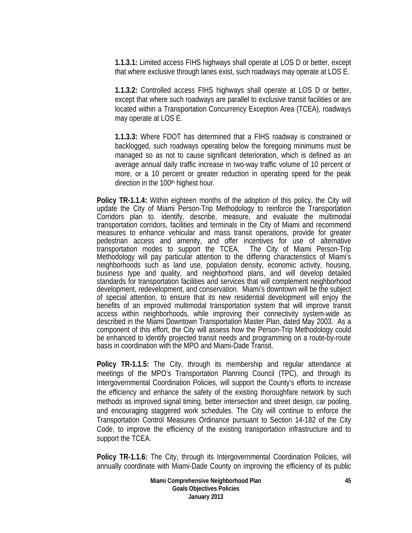**1.1.3.1:** Limited access FIHS highways shall operate at LOS D or better, except that where exclusive through lanes exist, such roadways may operate at LOS E.

**1.1.3.2:** Controlled access FIHS highways shall operate at LOS D or better, except that where such roadways are parallel to exclusive transit facilities or are located within a Transportation Concurrency Exception Area (TCEA), roadways may operate at LOS E.

**1.1.3.3:** Where FDOT has determined that a FIHS roadway is constrained or backlogged, such roadways operating below the foregoing minimums must be managed so as not to cause significant deterioration, which is defined as an average annual daily traffic increase in two-way traffic volume of 10 percent or more, or a 10 percent or greater reduction in operating speed for the peak direction in the 100<sup>th</sup> highest hour.

**Policy TR-1.1.4:** Within eighteen months of the adoption of this policy, the City will update the City of Miami Person-Trip Methodology to reinforce the Transportation Corridors plan to. identify, describe, measure, and evaluate the multimodal transportation corridors, facilities and terminals in the City of Miami and recommend measures to enhance vehicular and mass transit operations, provide for greater pedestrian access and amenity, and offer incentives for use of alternative transportation modes to support the TCEA. The City of Miami Person-Trip Methodology will pay particular attention to the differing characteristics of Miami's neighborhoods such as land use, population density, economic activity, housing, business type and quality, and neighborhood plans, and will develop detailed standards for transportation facilities and services that will complement neighborhood development, redevelopment, and conservation. Miami's downtown will be the subject of special attention, to ensure that its new residential development will enjoy the benefits of an improved multimodal transportation system that will improve transit access within neighborhoods, while improving their connectivity system-wide as described in the Miami Downtown Transportation Master Plan, dated May 2003. As a component of this effort, the City will assess how the Person-Trip Methodology could be enhanced to identify projected transit needs and programming on a route-by-route basis in coordination with the MPO and Miami-Dade Transit.

**Policy TR-1.1.5:** The City, through its membership and regular attendance at meetings of the MPO's Transportation Planning Council (TPC), and through its Intergovernmental Coordination Policies, will support the County's efforts to increase the efficiency and enhance the safety of the existing thoroughfare network by such methods as improved signal timing, better intersection and street design, car pooling, and encouraging staggered work schedules. The City will continue to enforce the Transportation Control Measures Ordinance pursuant to Section 14-182 of the City Code, to improve the efficiency of the existing transportation infrastructure and to support the TCEA.

**Policy TR-1.1.6:** The City, through its Intergovernmental Coordination Policies, will annually coordinate with Miami-Dade County on improving the efficiency of its public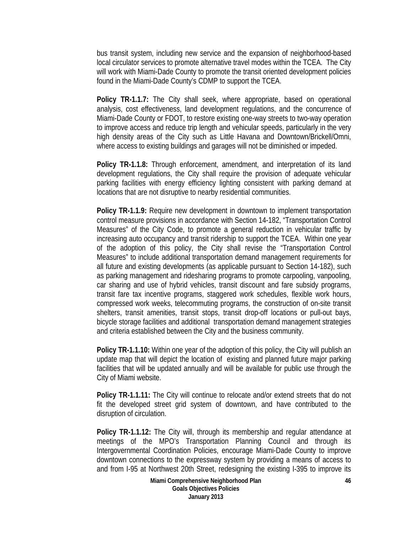bus transit system, including new service and the expansion of neighborhood-based local circulator services to promote alternative travel modes within the TCEA. The City will work with Miami-Dade County to promote the transit oriented development policies found in the Miami-Dade County's CDMP to support the TCEA.

**Policy TR-1.1.7:** The City shall seek, where appropriate, based on operational analysis, cost effectiveness, land development regulations, and the concurrence of Miami-Dade County or FDOT, to restore existing one-way streets to two-way operation to improve access and reduce trip length and vehicular speeds, particularly in the very high density areas of the City such as Little Havana and Downtown/Brickell/Omni, where access to existing buildings and garages will not be diminished or impeded.

**Policy TR-1.1.8:** Through enforcement, amendment, and interpretation of its land development regulations, the City shall require the provision of adequate vehicular parking facilities with energy efficiency lighting consistent with parking demand at locations that are not disruptive to nearby residential communities.

**Policy TR-1.1.9:** Require new development in downtown to implement transportation control measure provisions in accordance with Section 14-182, "Transportation Control Measures" of the City Code, to promote a general reduction in vehicular traffic by increasing auto occupancy and transit ridership to support the TCEA. Within one year of the adoption of this policy, the City shall revise the "Transportation Control Measures" to include additional transportation demand management requirements for all future and existing developments (as applicable pursuant to Section 14-182), such as parking management and ridesharing programs to promote carpooling, vanpooling, car sharing and use of hybrid vehicles, transit discount and fare subsidy programs, transit fare tax incentive programs, staggered work schedules, flexible work hours, compressed work weeks, telecommuting programs, the construction of on-site transit shelters, transit amenities, transit stops, transit drop-off locations or pull-out bays, bicycle storage facilities and additional transportation demand management strategies and criteria established between the City and the business community.

**Policy TR-1.1.10:** Within one year of the adoption of this policy, the City will publish an update map that will depict the location of existing and planned future major parking facilities that will be updated annually and will be available for public use through the City of Miami website.

**Policy TR-1.1.11:** The City will continue to relocate and/or extend streets that do not fit the developed street grid system of downtown, and have contributed to the disruption of circulation.

**Policy TR-1.1.12:** The City will, through its membership and regular attendance at meetings of the MPO's Transportation Planning Council and through its Intergovernmental Coordination Policies, encourage Miami-Dade County to improve downtown connections to the expressway system by providing a means of access to and from I-95 at Northwest 20th Street, redesigning the existing I-395 to improve its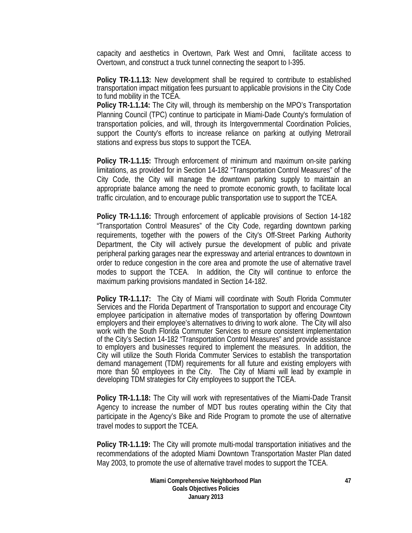capacity and aesthetics in Overtown, Park West and Omni, facilitate access to Overtown, and construct a truck tunnel connecting the seaport to I-395.

**Policy TR-1.1.13:** New development shall be required to contribute to established transportation impact mitigation fees pursuant to applicable provisions in the City Code to fund mobility in the TCEA.

**Policy TR-1.1.14:** The City will, through its membership on the MPO's Transportation Planning Council (TPC) continue to participate in Miami-Dade County's formulation of transportation policies, and will, through its Intergovernmental Coordination Policies, support the County's efforts to increase reliance on parking at outlying Metrorail stations and express bus stops to support the TCEA.

**Policy TR-1.1.15:** Through enforcement of minimum and maximum on-site parking limitations, as provided for in Section 14-182 "Transportation Control Measures" of the City Code, the City will manage the downtown parking supply to maintain an appropriate balance among the need to promote economic growth, to facilitate local traffic circulation, and to encourage public transportation use to support the TCEA.

**Policy TR-1.1.16:** Through enforcement of applicable provisions of Section 14-182 "Transportation Control Measures" of the City Code, regarding downtown parking requirements, together with the powers of the City's Off-Street Parking Authority Department, the City will actively pursue the development of public and private peripheral parking garages near the expressway and arterial entrances to downtown in order to reduce congestion in the core area and promote the use of alternative travel modes to support the TCEA. In addition, the City will continue to enforce the maximum parking provisions mandated in Section 14-182.

**Policy TR-1.1.17:** The City of Miami will coordinate with South Florida Commuter Services and the Florida Department of Transportation to support and encourage City employee participation in alternative modes of transportation by offering Downtown employers and their employee's alternatives to driving to work alone. The City will also work with the South Florida Commuter Services to ensure consistent implementation of the City's Section 14-182 "Transportation Control Measures" and provide assistance to employers and businesses required to implement the measures. In addition, the City will utilize the South Florida Commuter Services to establish the transportation demand management (TDM) requirements for all future and existing employers with more than 50 employees in the City. The City of Miami will lead by example in developing TDM strategies for City employees to support the TCEA.

**Policy TR-1.1.18:** The City will work with representatives of the Miami-Dade Transit Agency to increase the number of MDT bus routes operating within the City that participate in the Agency's Bike and Ride Program to promote the use of alternative travel modes to support the TCEA.

**Policy TR-1.1.19:** The City will promote multi-modal transportation initiatives and the recommendations of the adopted Miami Downtown Transportation Master Plan dated May 2003, to promote the use of alternative travel modes to support the TCEA.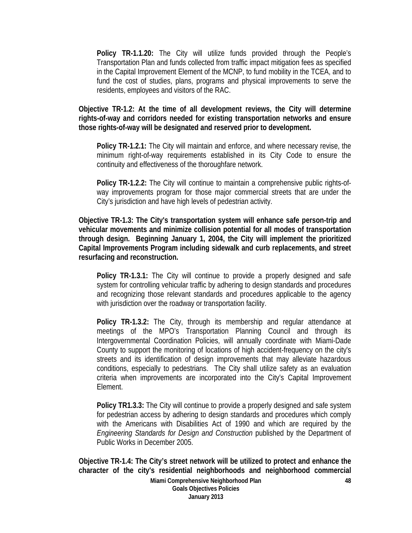**Policy TR-1.1.20:** The City will utilize funds provided through the People's Transportation Plan and funds collected from traffic impact mitigation fees as specified in the Capital Improvement Element of the MCNP, to fund mobility in the TCEA, and to fund the cost of studies, plans, programs and physical improvements to serve the residents, employees and visitors of the RAC.

**Objective TR-1.2: At the time of all development reviews, the City will determine rights-of-way and corridors needed for existing transportation networks and ensure those rights-of-way will be designated and reserved prior to development.** 

**Policy TR-1.2.1:** The City will maintain and enforce, and where necessary revise, the minimum right-of-way requirements established in its City Code to ensure the continuity and effectiveness of the thoroughfare network.

**Policy TR-1.2.2:** The City will continue to maintain a comprehensive public rights-ofway improvements program for those major commercial streets that are under the City's jurisdiction and have high levels of pedestrian activity.

**Objective TR-1.3: The City's transportation system will enhance safe person-trip and vehicular movements and minimize collision potential for all modes of transportation through design. Beginning January 1, 2004, the City will implement the prioritized Capital Improvements Program including sidewalk and curb replacements, and street resurfacing and reconstruction.** 

**Policy TR-1.3.1:** The City will continue to provide a properly designed and safe system for controlling vehicular traffic by adhering to design standards and procedures and recognizing those relevant standards and procedures applicable to the agency with jurisdiction over the roadway or transportation facility.

**Policy TR-1.3.2:** The City, through its membership and regular attendance at meetings of the MPO's Transportation Planning Council and through its Intergovernmental Coordination Policies, will annually coordinate with Miami-Dade County to support the monitoring of locations of high accident-frequency on the city's streets and its identification of design improvements that may alleviate hazardous conditions, especially to pedestrians. The City shall utilize safety as an evaluation criteria when improvements are incorporated into the City's Capital Improvement Element.

**Policy TR1.3.3:** The City will continue to provide a properly designed and safe system for pedestrian access by adhering to design standards and procedures which comply with the Americans with Disabilities Act of 1990 and which are required by the *Engineering Standards for Design and Construction* published by the Department of Public Works in December 2005.

**Objective TR-1.4: The City's street network will be utilized to protect and enhance the character of the city's residential neighborhoods and neighborhood commercial**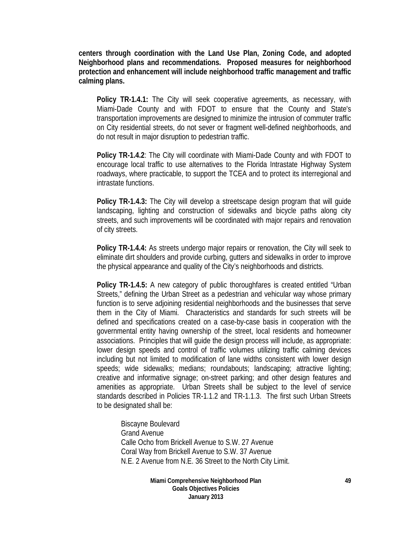**centers through coordination with the Land Use Plan, Zoning Code, and adopted Neighborhood plans and recommendations. Proposed measures for neighborhood protection and enhancement will include neighborhood traffic management and traffic calming plans.** 

**Policy TR-1.4.1:** The City will seek cooperative agreements, as necessary, with Miami-Dade County and with FDOT to ensure that the County and State's transportation improvements are designed to minimize the intrusion of commuter traffic on City residential streets, do not sever or fragment well-defined neighborhoods, and do not result in major disruption to pedestrian traffic.

**Policy TR-1.4.2**: The City will coordinate with Miami-Dade County and with FDOT to encourage local traffic to use alternatives to the Florida Intrastate Highway System roadways, where practicable, to support the TCEA and to protect its interregional and intrastate functions.

**Policy TR-1.4.3:** The City will develop a streetscape design program that will guide landscaping, lighting and construction of sidewalks and bicycle paths along city streets, and such improvements will be coordinated with major repairs and renovation of city streets.

**Policy TR-1.4.4:** As streets undergo major repairs or renovation, the City will seek to eliminate dirt shoulders and provide curbing, gutters and sidewalks in order to improve the physical appearance and quality of the City's neighborhoods and districts.

**Policy TR-1.4.5:** A new category of public thoroughfares is created entitled "Urban Streets," defining the Urban Street as a pedestrian and vehicular way whose primary function is to serve adjoining residential neighborhoods and the businesses that serve them in the City of Miami. Characteristics and standards for such streets will be defined and specifications created on a case-by-case basis in cooperation with the governmental entity having ownership of the street, local residents and homeowner associations. Principles that will guide the design process will include, as appropriate: lower design speeds and control of traffic volumes utilizing traffic calming devices including but not limited to modification of lane widths consistent with lower design speeds; wide sidewalks; medians; roundabouts; landscaping; attractive lighting; creative and informative signage; on-street parking; and other design features and amenities as appropriate. Urban Streets shall be subject to the level of service standards described in Policies TR-1.1.2 and TR-1.1.3. The first such Urban Streets to be designated shall be:

Biscayne Boulevard Grand Avenue Calle Ocho from Brickell Avenue to S.W. 27 Avenue Coral Way from Brickell Avenue to S.W. 37 Avenue N.E. 2 Avenue from N.E. 36 Street to the North City Limit.

> **Miami Comprehensive Neighborhood Plan Goals Objectives Policies January 2013**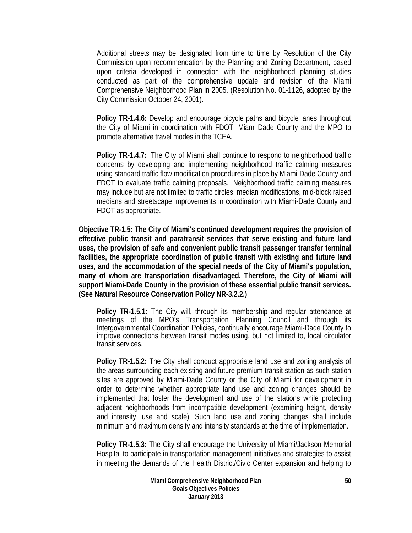Additional streets may be designated from time to time by Resolution of the City Commission upon recommendation by the Planning and Zoning Department, based upon criteria developed in connection with the neighborhood planning studies conducted as part of the comprehensive update and revision of the Miami Comprehensive Neighborhood Plan in 2005. (Resolution No. 01-1126, adopted by the City Commission October 24, 2001).

**Policy TR-1.4.6:** Develop and encourage bicycle paths and bicycle lanes throughout the City of Miami in coordination with FDOT, Miami-Dade County and the MPO to promote alternative travel modes in the TCEA.

**Policy TR-1.4.7:** The City of Miami shall continue to respond to neighborhood traffic concerns by developing and implementing neighborhood traffic calming measures using standard traffic flow modification procedures in place by Miami-Dade County and FDOT to evaluate traffic calming proposals. Neighborhood traffic calming measures may include but are not limited to traffic circles, median modifications, mid-block raised medians and streetscape improvements in coordination with Miami-Dade County and FDOT as appropriate.

**Objective TR-1.5: The City of Miami's continued development requires the provision of effective public transit and paratransit services that serve existing and future land uses, the provision of safe and convenient public transit passenger transfer terminal facilities, the appropriate coordination of public transit with existing and future land uses, and the accommodation of the special needs of the City of Miami's population, many of whom are transportation disadvantaged. Therefore, the City of Miami will support Miami-Dade County in the provision of these essential public transit services. (See Natural Resource Conservation Policy NR-3.2.2.)** 

**Policy TR-1.5.1:** The City will, through its membership and regular attendance at meetings of the MPO's Transportation Planning Council and through its Intergovernmental Coordination Policies, continually encourage Miami-Dade County to improve connections between transit modes using, but not limited to, local circulator transit services.

**Policy TR-1.5.2:** The City shall conduct appropriate land use and zoning analysis of the areas surrounding each existing and future premium transit station as such station sites are approved by Miami-Dade County or the City of Miami for development in order to determine whether appropriate land use and zoning changes should be implemented that foster the development and use of the stations while protecting adjacent neighborhoods from incompatible development (examining height, density and intensity, use and scale). Such land use and zoning changes shall include minimum and maximum density and intensity standards at the time of implementation.

**Policy TR-1.5.3:** The City shall encourage the University of Miami/Jackson Memorial Hospital to participate in transportation management initiatives and strategies to assist in meeting the demands of the Health District/Civic Center expansion and helping to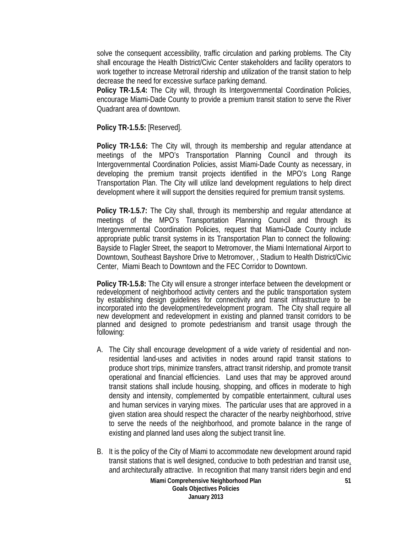solve the consequent accessibility, traffic circulation and parking problems. The City shall encourage the Health District/Civic Center stakeholders and facility operators to work together to increase Metrorail ridership and utilization of the transit station to help decrease the need for excessive surface parking demand.

**Policy TR-1.5.4:** The City will, through its Intergovernmental Coordination Policies, encourage Miami-Dade County to provide a premium transit station to serve the River Quadrant area of downtown.

**Policy TR-1.5.5:** [Reserved].

**Policy TR-1.5.6:** The City will, through its membership and regular attendance at meetings of the MPO's Transportation Planning Council and through its Intergovernmental Coordination Policies, assist Miami-Dade County as necessary, in developing the premium transit projects identified in the MPO's Long Range Transportation Plan. The City will utilize land development regulations to help direct development where it will support the densities required for premium transit systems.

**Policy TR-1.5.7:** The City shall, through its membership and regular attendance at meetings of the MPO's Transportation Planning Council and through its Intergovernmental Coordination Policies, request that Miami**-**Dade County include appropriate public transit systems in its Transportation Plan to connect the following: Bayside to Flagler Street, the seaport to Metromover, the Miami International Airport to Downtown, Southeast Bayshore Drive to Metromover, , Stadium to Health District/Civic Center, Miami Beach to Downtown and the FEC Corridor to Downtown.

**Policy TR-1.5.8:** The City will ensure a stronger interface between the development or redevelopment of neighborhood activity centers and the public transportation system by establishing design guidelines for connectivity and transit infrastructure to be incorporated into the development/redevelopment program. The City shall require all new development and redevelopment in existing and planned transit corridors to be planned and designed to promote pedestrianism and transit usage through the following:

- A. The City shall encourage development of a wide variety of residential and nonresidential land-uses and activities in nodes around rapid transit stations to produce short trips, minimize transfers, attract transit ridership, and promote transit operational and financial efficiencies. Land uses that may be approved around transit stations shall include housing, shopping, and offices in moderate to high density and intensity, complemented by compatible entertainment, cultural uses and human services in varying mixes. The particular uses that are approved in a given station area should respect the character of the nearby neighborhood, strive to serve the needs of the neighborhood, and promote balance in the range of existing and planned land uses along the subject transit line.
- B. It is the policy of the City of Miami to accommodate new development around rapid transit stations that is well designed, conducive to both pedestrian and transit use, and architecturally attractive. In recognition that many transit riders begin and end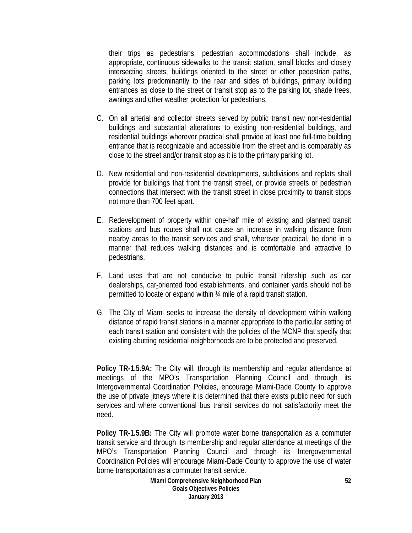their trips as pedestrians, pedestrian accommodations shall include, as appropriate, continuous sidewalks to the transit station, small blocks and closely intersecting streets, buildings oriented to the street or other pedestrian paths, parking lots predominantly to the rear and sides of buildings, primary building entrances as close to the street or transit stop as to the parking lot, shade trees, awnings and other weather protection for pedestrians.

- C. On all arterial and collector streets served by public transit new non-residential buildings and substantial alterations to existing non-residential buildings, and residential buildings wherever practical shall provide at least one full-time building entrance that is recognizable and accessible from the street and is comparably as close to the street and/or transit stop as it is to the primary parking lot.
- D. New residential and non-residential developments, subdivisions and replats shall provide for buildings that front the transit street, or provide streets or pedestrian connections that intersect with the transit street in close proximity to transit stops not more than 700 feet apart.
- E. Redevelopment of property within one-half mile of existing and planned transit stations and bus routes shall not cause an increase in walking distance from nearby areas to the transit services and shall, wherever practical, be done in a manner that reduces walking distances and is comfortable and attractive to pedestrians.
- F. Land uses that are not conducive to public transit ridership such as car dealerships, car-oriented food establishments, and container yards should not be permitted to locate or expand within ¼ mile of a rapid transit station.
- G. The City of Miami seeks to increase the density of development within walking distance of rapid transit stations in a manner appropriate to the particular setting of each transit station and consistent with the policies of the MCNP that specify that existing abutting residential neighborhoods are to be protected and preserved.

**Policy TR-1.5.9A:** The City will, through its membership and regular attendance at meetings of the MPO's Transportation Planning Council and through its Intergovernmental Coordination Policies, encourage Miami-Dade County to approve the use of private jitneys where it is determined that there exists public need for such services and where conventional bus transit services do not satisfactorily meet the need.

**Policy TR-1.5.9B:** The City will promote water borne transportation as a commuter transit service and through its membership and regular attendance at meetings of the MPO's Transportation Planning Council and through its Intergovernmental Coordination Policies will encourage Miami-Dade County to approve the use of water borne transportation as a commuter transit service.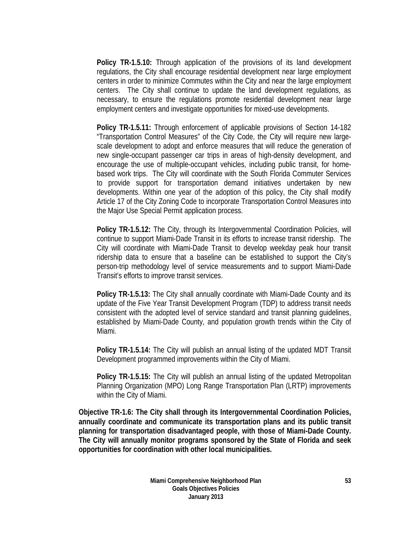**Policy TR-1.5.10:** Through application of the provisions of its land development regulations, the City shall encourage residential development near large employment centers in order to minimize Commutes within the City and near the large employment centers. The City shall continue to update the land development regulations, as necessary, to ensure the regulations promote residential development near large employment centers and investigate opportunities for mixed-use developments.

**Policy TR-1.5.11:** Through enforcement of applicable provisions of Section 14-182 "Transportation Control Measures" of the City Code, the City will require new largescale development to adopt and enforce measures that will reduce the generation of new single-occupant passenger car trips in areas of high-density development, and encourage the use of multiple-occupant vehicles, including public transit, for homebased work trips. The City will coordinate with the South Florida Commuter Services to provide support for transportation demand initiatives undertaken by new developments. Within one year of the adoption of this policy, the City shall modify Article 17 of the City Zoning Code to incorporate Transportation Control Measures into the Major Use Special Permit application process.

**Policy TR-1.5.12:** The City, through its Intergovernmental Coordination Policies, will continue to support Miami-Dade Transit in its efforts to increase transit ridership. The City will coordinate with Miami-Dade Transit to develop weekday peak hour transit ridership data to ensure that a baseline can be established to support the City's person-trip methodology level of service measurements and to support Miami-Dade Transit's efforts to improve transit services.

**Policy TR-1.5.13:** The City shall annually coordinate with Miami-Dade County and its update of the Five Year Transit Development Program (TDP) to address transit needs consistent with the adopted level of service standard and transit planning guidelines, established by Miami-Dade County, and population growth trends within the City of Miami.

**Policy TR-1.5.14:** The City will publish an annual listing of the updated MDT Transit Development programmed improvements within the City of Miami.

**Policy TR-1.5.15:** The City will publish an annual listing of the updated Metropolitan Planning Organization (MPO) Long Range Transportation Plan (LRTP) improvements within the City of Miami.

**Objective TR-1.6: The City shall through its Intergovernmental Coordination Policies, annually coordinate and communicate its transportation plans and its public transit planning for transportation disadvantaged people, with those of Miami-Dade County. The City will annually monitor programs sponsored by the State of Florida and seek opportunities for coordination with other local municipalities.**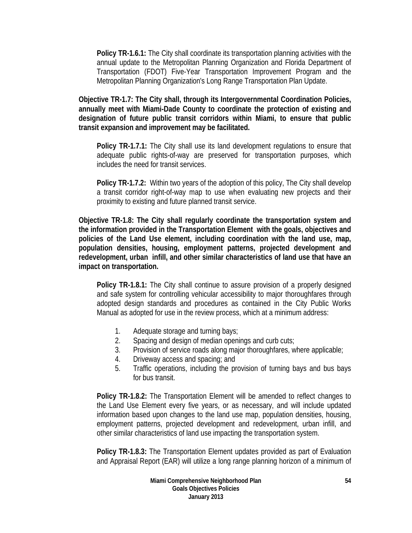**Policy TR-1.6.1:** The City shall coordinate its transportation planning activities with the annual update to the Metropolitan Planning Organization and Florida Department of Transportation (FDOT) Five-Year Transportation Improvement Program and the Metropolitan Planning Organization's Long Range Transportation Plan Update.

**Objective TR-1.7: The City shall, through its Intergovernmental Coordination Policies, annually meet with Miami-Dade County to coordinate the protection of existing and designation of future public transit corridors within Miami, to ensure that public transit expansion and improvement may be facilitated.** 

**Policy TR-1.7.1:** The City shall use its land development regulations to ensure that adequate public rights-of-way are preserved for transportation purposes, which includes the need for transit services.

**Policy TR-1.7.2:** Within two years of the adoption of this policy, The City shall develop a transit corridor right-of-way map to use when evaluating new projects and their proximity to existing and future planned transit service.

**Objective TR-1.8: The City shall regularly coordinate the transportation system and the information provided in the Transportation Element with the goals, objectives and policies of the Land Use element, including coordination with the land use, map, population densities, housing, employment patterns, projected development and redevelopment, urban infill, and other similar characteristics of land use that have an impact on transportation.** 

**Policy TR-1.8.1:** The City shall continue to assure provision of a properly designed and safe system for controlling vehicular accessibility to major thoroughfares through adopted design standards and procedures as contained in the City Public Works Manual as adopted for use in the review process, which at a minimum address:

- 1. Adequate storage and turning bays;
- 2. Spacing and design of median openings and curb cuts;
- 3. Provision of service roads along major thoroughfares, where applicable;
- 4. Driveway access and spacing; and
- 5. Traffic operations, including the provision of turning bays and bus bays for bus transit.

**Policy TR-1.8.2:** The Transportation Element will be amended to reflect changes to the Land Use Element every five years, or as necessary, and will include updated information based upon changes to the land use map, population densities, housing, employment patterns, projected development and redevelopment, urban infill, and other similar characteristics of land use impacting the transportation system.

**Policy TR-1.8.3:** The Transportation Element updates provided as part of Evaluation and Appraisal Report (EAR) will utilize a long range planning horizon of a minimum of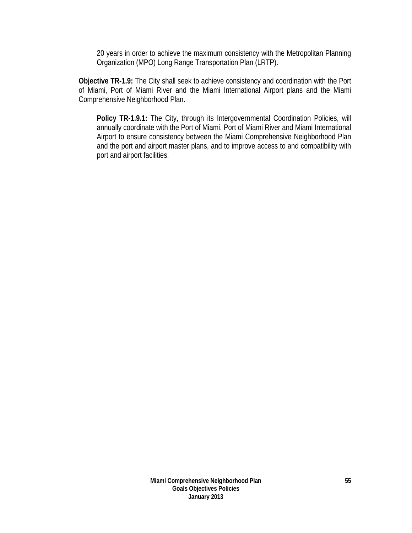20 years in order to achieve the maximum consistency with the Metropolitan Planning Organization (MPO) Long Range Transportation Plan (LRTP).

**Objective TR-1.9:** The City shall seek to achieve consistency and coordination with the Port of Miami, Port of Miami River and the Miami International Airport plans and the Miami Comprehensive Neighborhood Plan.

**Policy TR-1.9.1:** The City, through its Intergovernmental Coordination Policies, will annually coordinate with the Port of Miami, Port of Miami River and Miami International Airport to ensure consistency between the Miami Comprehensive Neighborhood Plan and the port and airport master plans, and to improve access to and compatibility with port and airport facilities.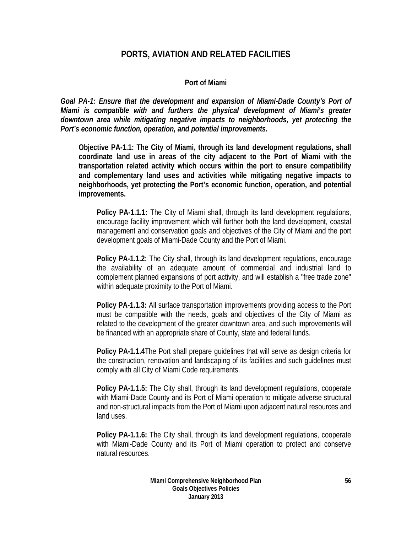# **PORTS, AVIATION AND RELATED FACILITIES**

### **Port of Miami**

*Goal PA-1: Ensure that the development and expansion of Miami-Dade County's Port of Miami is compatible with and furthers the physical development of Miami's greater downtown area while mitigating negative impacts to neighborhoods, yet protecting the Port's economic function, operation, and potential improvements.* 

**Objective PA-1.1: The City of Miami, through its land development regulations, shall coordinate land use in areas of the city adjacent to the Port of Miami with the transportation related activity which occurs within the port to ensure compatibility and complementary land uses and activities while mitigating negative impacts to neighborhoods, yet protecting the Port's economic function, operation, and potential improvements.** 

**Policy PA-1.1.1:** The City of Miami shall, through its land development regulations, encourage facility improvement which will further both the land development, coastal management and conservation goals and objectives of the City of Miami and the port development goals of Miami-Dade County and the Port of Miami.

**Policy PA-1.1.2:** The City shall, through its land development regulations, encourage the availability of an adequate amount of commercial and industrial land to complement planned expansions of port activity, and will establish a "free trade zone" within adequate proximity to the Port of Miami.

**Policy PA-1.1.3:** All surface transportation improvements providing access to the Port must be compatible with the needs, goals and objectives of the City of Miami as related to the development of the greater downtown area, and such improvements will be financed with an appropriate share of County, state and federal funds.

**Policy PA-1.1.4**The Port shall prepare guidelines that will serve as design criteria for the construction, renovation and landscaping of its facilities and such guidelines must comply with all City of Miami Code requirements.

**Policy PA-1.1.5:** The City shall, through its land development regulations, cooperate with Miami-Dade County and its Port of Miami operation to mitigate adverse structural and non-structural impacts from the Port of Miami upon adjacent natural resources and land uses.

**Policy PA-1.1.6:** The City shall, through its land development regulations, cooperate with Miami-Dade County and its Port of Miami operation to protect and conserve natural resources.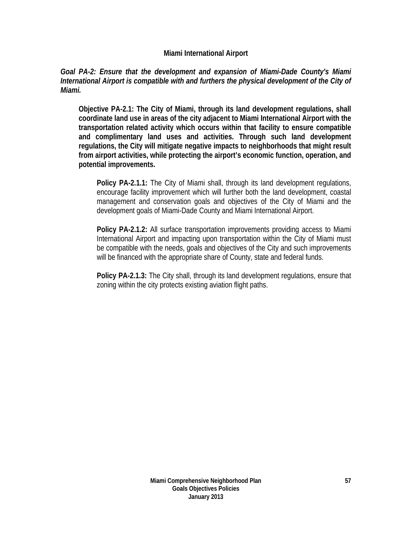#### **Miami International Airport**

#### *Goal PA-2: Ensure that the development and expansion of Miami-Dade County's Miami International Airport is compatible with and furthers the physical development of the City of Miami.*

**Objective PA-2.1: The City of Miami, through its land development regulations, shall coordinate land use in areas of the city adjacent to Miami International Airport with the transportation related activity which occurs within that facility to ensure compatible and complimentary land uses and activities. Through such land development regulations, the City will mitigate negative impacts to neighborhoods that might result from airport activities, while protecting the airport's economic function, operation, and potential improvements.** 

**Policy PA-2.1.1:** The City of Miami shall, through its land development regulations, encourage facility improvement which will further both the land development, coastal management and conservation goals and objectives of the City of Miami and the development goals of Miami-Dade County and Miami International Airport.

**Policy PA-2.1.2:** All surface transportation improvements providing access to Miami International Airport and impacting upon transportation within the City of Miami must be compatible with the needs, goals and objectives of the City and such improvements will be financed with the appropriate share of County, state and federal funds.

**Policy PA-2.1.3:** The City shall, through its land development regulations, ensure that zoning within the city protects existing aviation flight paths.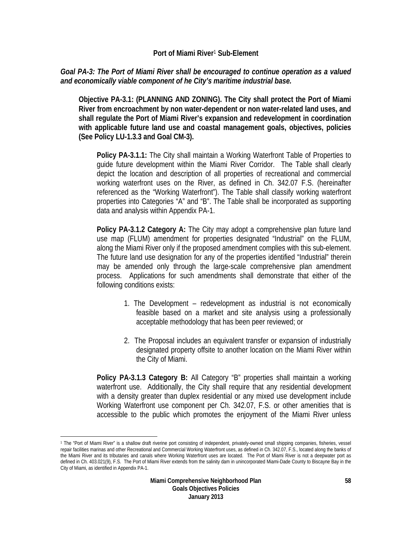#### **Port of Miami River**1 **Sub-Element**

### *Goal PA-3: The Port of Miami River shall be encouraged to continue operation as a valued and economically viable component of he City's maritime industrial base.*

**Objective PA-3.1: (PLANNING AND ZONING). The City shall protect the Port of Miami River from encroachment by non water-dependent or non water-related land uses, and shall regulate the Port of Miami River's expansion and redevelopment in coordination with applicable future land use and coastal management goals, objectives, policies (See Policy LU-1.3.3 and Goal CM-3).** 

**Policy PA-3.1.1:** The City shall maintain a Working Waterfront Table of Properties to guide future development within the Miami River Corridor. The Table shall clearly depict the location and description of all properties of recreational and commercial working waterfront uses on the River, as defined in Ch. 342.07 F.S. (hereinafter referenced as the "Working Waterfront"). The Table shall classify working waterfront properties into Categories "A" and "B". The Table shall be incorporated as supporting data and analysis within Appendix PA-1.

**Policy PA-3.1.2 Category A:** The City may adopt a comprehensive plan future land use map (FLUM) amendment for properties designated "Industrial" on the FLUM, along the Miami River only if the proposed amendment complies with this sub-element. The future land use designation for any of the properties identified "Industrial" therein may be amended only through the large-scale comprehensive plan amendment process. Applications for such amendments shall demonstrate that either of the following conditions exists:

- 1. The Development redevelopment as industrial is not economically feasible based on a market and site analysis using a professionally acceptable methodology that has been peer reviewed; or
- 2. The Proposal includes an equivalent transfer or expansion of industrially designated property offsite to another location on the Miami River within the City of Miami.

**Policy PA-3.1.3 Category B:** All Category "B" properties shall maintain a working waterfront use. Additionally, the City shall require that any residential development with a density greater than duplex residential or any mixed use development include Working Waterfront use component per Ch. 342.07, F.S. or other amenities that is accessible to the public which promotes the enjoyment of the Miami River unless

1

<sup>1</sup> The "Port of Miami River" is a shallow draft riverine port consisting of independent, privately-owned small shipping companies, fisheries, vessel repair facilities marinas and other Recreational and Commercial Working Waterfront uses, as defined in Ch. 342.07, F.S., located along the banks of the Miami River and its tributaries and canals where Working Waterfront uses are located. The Port of Miami River is not a deepwater port as defined in Ch. 403.021(9), F.S. The Port of Miami River extends from the salinity dam in unincorporated Miami-Dade County to Biscayne Bay in the City of Miami, as identified in Appendix PA-1.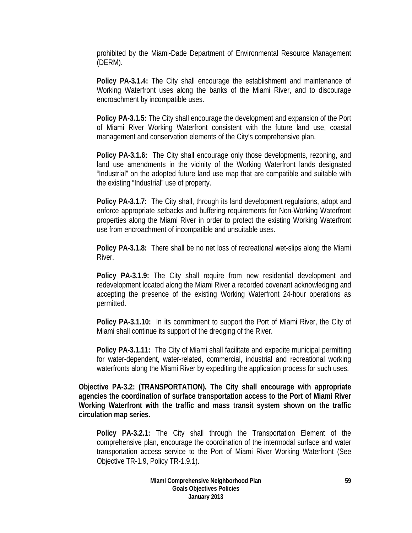prohibited by the Miami-Dade Department of Environmental Resource Management (DERM).

**Policy PA-3.1.4:** The City shall encourage the establishment and maintenance of Working Waterfront uses along the banks of the Miami River, and to discourage encroachment by incompatible uses.

**Policy PA-3.1.5:** The City shall encourage the development and expansion of the Port of Miami River Working Waterfront consistent with the future land use, coastal management and conservation elements of the City's comprehensive plan.

**Policy PA-3.1.6:** The City shall encourage only those developments, rezoning, and land use amendments in the vicinity of the Working Waterfront lands designated "Industrial" on the adopted future land use map that are compatible and suitable with the existing "Industrial" use of property.

**Policy PA-3.1.7:** The City shall, through its land development regulations, adopt and enforce appropriate setbacks and buffering requirements for Non-Working Waterfront properties along the Miami River in order to protect the existing Working Waterfront use from encroachment of incompatible and unsuitable uses.

**Policy PA-3.1.8:** There shall be no net loss of recreational wet-slips along the Miami River.

**Policy PA-3.1.9:** The City shall require from new residential development and redevelopment located along the Miami River a recorded covenant acknowledging and accepting the presence of the existing Working Waterfront 24-hour operations as permitted.

**Policy PA-3.1.10:** In its commitment to support the Port of Miami River, the City of Miami shall continue its support of the dredging of the River.

**Policy PA-3.1.11:** The City of Miami shall facilitate and expedite municipal permitting for water-dependent, water-related, commercial, industrial and recreational working waterfronts along the Miami River by expediting the application process for such uses.

**Objective PA-3.2: (TRANSPORTATION). The City shall encourage with appropriate agencies the coordination of surface transportation access to the Port of Miami River Working Waterfront with the traffic and mass transit system shown on the traffic circulation map series.** 

**Policy PA-3.2.1:** The City shall through the Transportation Element of the comprehensive plan, encourage the coordination of the intermodal surface and water transportation access service to the Port of Miami River Working Waterfront (See Objective TR-1.9, Policy TR-1.9.1).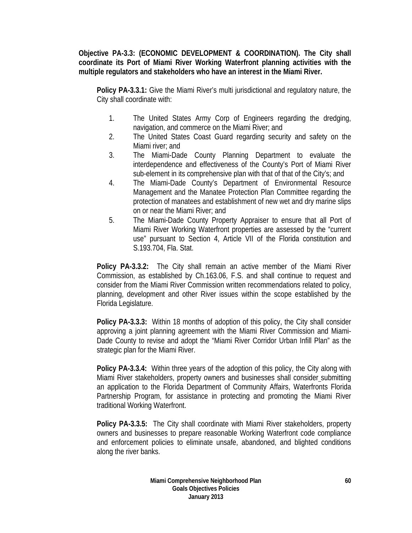**Objective PA-3.3: (ECONOMIC DEVELOPMENT & COORDINATION). The City shall coordinate its Port of Miami River Working Waterfront planning activities with the multiple regulators and stakeholders who have an interest in the Miami River.** 

**Policy PA-3.3.1:** Give the Miami River's multi jurisdictional and regulatory nature, the City shall coordinate with:

- 1. The United States Army Corp of Engineers regarding the dredging, navigation, and commerce on the Miami River; and
- 2. The United States Coast Guard regarding security and safety on the Miami river; and
- 3. The Miami-Dade County Planning Department to evaluate the interdependence and effectiveness of the County's Port of Miami River sub-element in its comprehensive plan with that of that of the City's; and
- 4. The Miami-Dade County's Department of Environmental Resource Management and the Manatee Protection Plan Committee regarding the protection of manatees and establishment of new wet and dry marine slips on or near the Miami River; and
- 5. The Miami-Dade County Property Appraiser to ensure that all Port of Miami River Working Waterfront properties are assessed by the "current use" pursuant to Section 4, Article VII of the Florida constitution and S.193.704, Fla. Stat.

**Policy PA-3.3.2:** The City shall remain an active member of the Miami River Commission, as established by Ch.163.06, F.S. and shall continue to request and consider from the Miami River Commission written recommendations related to policy, planning, development and other River issues within the scope established by the Florida Legislature.

**Policy PA-3.3.3:** Within 18 months of adoption of this policy, the City shall consider approving a joint planning agreement with the Miami River Commission and Miami-Dade County to revise and adopt the "Miami River Corridor Urban Infill Plan" as the strategic plan for the Miami River.

**Policy PA-3.3.4:** Within three years of the adoption of this policy, the City along with Miami River stakeholders, property owners and businesses shall consider submitting an application to the Florida Department of Community Affairs, Waterfronts Florida Partnership Program, for assistance in protecting and promoting the Miami River traditional Working Waterfront.

**Policy PA-3.3.5:** The City shall coordinate with Miami River stakeholders, property owners and businesses to prepare reasonable Working Waterfront code compliance and enforcement policies to eliminate unsafe, abandoned, and blighted conditions along the river banks.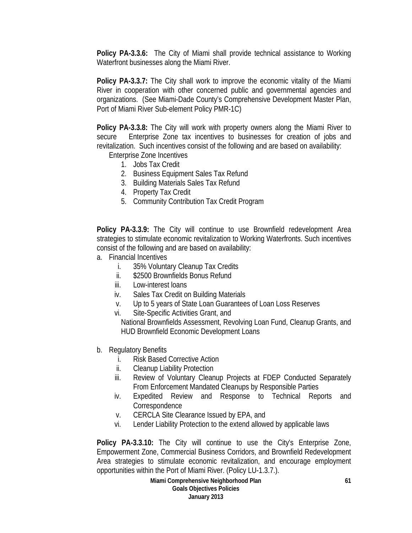**Policy PA-3.3.6:** The City of Miami shall provide technical assistance to Working Waterfront businesses along the Miami River.

**Policy PA-3.3.7:** The City shall work to improve the economic vitality of the Miami River in cooperation with other concerned public and governmental agencies and organizations. (See Miami-Dade County's Comprehensive Development Master Plan, Port of Miami River Sub-element Policy PMR-1C)

**Policy PA-3.3.8:** The City will work with property owners along the Miami River to secure Enterprise Zone tax incentives to businesses for creation of jobs and revitalization. Such incentives consist of the following and are based on availability:

Enterprise Zone Incentives

- 1. Jobs Tax Credit
- 2. Business Equipment Sales Tax Refund
- 3. Building Materials Sales Tax Refund
- 4. Property Tax Credit
- 5. Community Contribution Tax Credit Program

**Policy PA-3.3.9:** The City will continue to use Brownfield redevelopment Area strategies to stimulate economic revitalization to Working Waterfronts. Such incentives consist of the following and are based on availability:

- a. Financial Incentives
	- i. 35% Voluntary Cleanup Tax Credits
	- ii. \$2500 Brownfields Bonus Refund
	- iii. Low-interest loans
	- iv. Sales Tax Credit on Building Materials
	- v. Up to 5 years of State Loan Guarantees of Loan Loss Reserves
	- vi. Site-Specific Activities Grant, and

National Brownfields Assessment, Revolving Loan Fund, Cleanup Grants, and HUD Brownfield Economic Development Loans

- b. Regulatory Benefits
	- i. Risk Based Corrective Action
	- ii. Cleanup Liability Protection
	- iii. Review of Voluntary Cleanup Projects at FDEP Conducted Separately From Enforcement Mandated Cleanups by Responsible Parties
	- iv. Expedited Review and Response to Technical Reports and **Correspondence**
	- v. CERCLA Site Clearance Issued by EPA, and
	- vi. Lender Liability Protection to the extend allowed by applicable laws

**Policy PA-3.3.10:** The City will continue to use the City's Enterprise Zone, Empowerment Zone, Commercial Business Corridors, and Brownfield Redevelopment Area strategies to stimulate economic revitalization, and encourage employment opportunities within the Port of Miami River. (Policy LU-1.3.7.).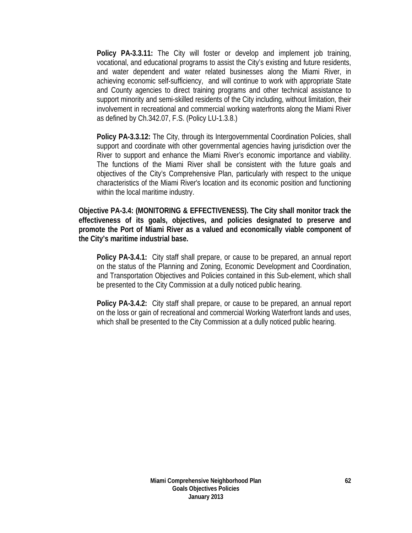**Policy PA-3.3.11:** The City will foster or develop and implement job training, vocational, and educational programs to assist the City's existing and future residents, and water dependent and water related businesses along the Miami River, in achieving economic self-sufficiency, and will continue to work with appropriate State and County agencies to direct training programs and other technical assistance to support minority and semi-skilled residents of the City including, without limitation, their involvement in recreational and commercial working waterfronts along the Miami River as defined by Ch.342.07, F.S. (Policy LU-1.3.8.)

**Policy PA-3.3.12:** The City, through its Intergovernmental Coordination Policies, shall support and coordinate with other governmental agencies having jurisdiction over the River to support and enhance the Miami River's economic importance and viability. The functions of the Miami River shall be consistent with the future goals and objectives of the City's Comprehensive Plan, particularly with respect to the unique characteristics of the Miami River's location and its economic position and functioning within the local maritime industry.

**Objective PA-3.4: (MONITORING & EFFECTIVENESS). The City shall monitor track the effectiveness of its goals, objectives, and policies designated to preserve and promote the Port of Miami River as a valued and economically viable component of the City's maritime industrial base.** 

**Policy PA-3.4.1:** City staff shall prepare, or cause to be prepared, an annual report on the status of the Planning and Zoning, Economic Development and Coordination, and Transportation Objectives and Policies contained in this Sub-element, which shall be presented to the City Commission at a dully noticed public hearing.

**Policy PA-3.4.2:** City staff shall prepare, or cause to be prepared, an annual report on the loss or gain of recreational and commercial Working Waterfront lands and uses, which shall be presented to the City Commission at a dully noticed public hearing.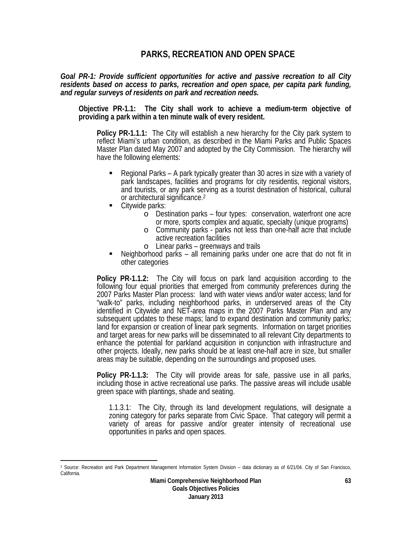## **PARKS, RECREATION AND OPEN SPACE**

*Goal PR-1: Provide sufficient opportunities for active and passive recreation to all City residents based on access to parks, recreation and open space, per capita park funding, and regular surveys of residents on park and recreation needs.*

**Objective PR-1.1: The City shall work to achieve a medium-term objective of providing a park within a ten minute walk of every resident.** 

**Policy PR-1.1.1:** The City will establish a new hierarchy for the City park system to reflect Miami's urban condition, as described in the Miami Parks and Public Spaces Master Plan dated May 2007 and adopted by the City Commission. The hierarchy will have the following elements:

- Regional Parks A park typically greater than 30 acres in size with a variety of park landscapes, facilities and programs for city residentis, regional visitors, and tourists, or any park serving as a tourist destination of historical, cultural or architectural significance.2
- Citywide parks:

 $\overline{a}$ 

- o Destination parks four types: conservation, waterfront one acre or more, sports complex and aquatic, specialty (unique programs)
- o Community parks parks not less than one-half acre that include active recreation facilities
- 
- <sup>o</sup> Linear parks greenways and trails Neighborhood parks all remaining parks under one acre that do not fit in other categories

**Policy PR-1.1.2:** The City will focus on park land acquisition according to the following four equal priorities that emerged from community preferences during the 2007 Parks Master Plan process: land with water views and/or water access; land for "walk-to" parks, including neighborhood parks, in underserved areas of the City identified in Citywide and NET-area maps in the 2007 Parks Master Plan and any subsequent updates to these maps; land to expand destination and community parks; land for expansion or creation of linear park segments. Information on target priorities and target areas for new parks will be disseminated to all relevant City departments to enhance the potential for parkland acquisition in conjunction with infrastructure and other projects. Ideally, new parks should be at least one-half acre in size, but smaller areas may be suitable, depending on the surroundings and proposed uses.

**Policy PR-1.1.3:** The City will provide areas for safe, passive use in all parks, including those in active recreational use parks. The passive areas will include usable green space with plantings, shade and seating.

1.1.3.1: The City, through its land development regulations, will designate a zoning category for parks separate from Civic Space. That category will permit a variety of areas for passive and/or greater intensity of recreational use opportunities in parks and open spaces.

<sup>2</sup> Source: Recreation and Park Department Management Information System Division – data dictionary as of 6/21/04. City of San Francisco, California.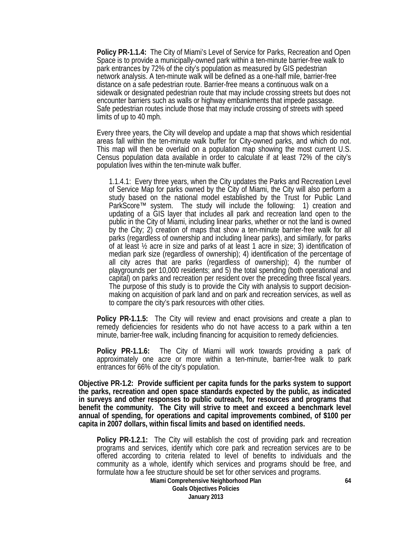**Policy PR-1.1.4:** The City of Miami's Level of Service for Parks, Recreation and Open Space is to provide a municipally-owned park within a ten-minute barrier-free walk to park entrances by 72% of the city's population as measured by GIS pedestrian network analysis. A ten-minute walk will be defined as a one-half mile, barrier-free distance on a safe pedestrian route. Barrier-free means a continuous walk on a sidewalk or designated pedestrian route that may include crossing streets but does not encounter barriers such as walls or highway embankments that impede passage. Safe pedestrian routes include those that may include crossing of streets with speed limits of up to 40 mph.

Every three years, the City will develop and update a map that shows which residential areas fall within the ten-minute walk buffer for City-owned parks, and which do not. This map will then be overlaid on a population map showing the most current U.S. Census population data available in order to calculate if at least 72% of the city's population lives within the ten-minute walk buffer.

1.1.4.1: Every three years, when the City updates the Parks and Recreation Level of Service Map for parks owned by the City of Miami, the City will also perform a study based on the national model established by the Trust for Public Land ParkScore™ system. The study will include the following: 1) creation and updating of a GIS layer that includes all park and recreation land open to the public in the City of Miami, including linear parks, whether or not the land is owned by the City; 2) creation of maps that show a ten-minute barrier-free walk for all parks (regardless of ownership and including linear parks), and similarly, for parks of at least ½ acre in size and parks of at least 1 acre in size; 3) identification of median park size (regardless of ownership); 4) identification of the percentage of all city acres that are parks (regardless of ownership); 4) the number of playgrounds per 10,000 residents; and 5) the total spending (both operational and capital) on parks and recreation per resident over the preceding three fiscal years. The purpose of this study is to provide the City with analysis to support decisionmaking on acquisition of park land and on park and recreation services, as well as to compare the city's park resources with other cities.

**Policy PR-1.1.5:** The City will review and enact provisions and create a plan to remedy deficiencies for residents who do not have access to a park within a ten minute, barrier-free walk, including financing for acquisition to remedy deficiencies.

**Policy PR-1.1.6:** The City of Miami will work towards providing a park of approximately one acre or more within a ten-minute, barrier-free walk to park entrances for 66% of the city's population.

**Objective PR-1.2: Provide sufficient per capita funds for the parks system to support the parks, recreation and open space standards expected by the public, as indicated in surveys and other responses to public outreach, for resources and programs that benefit the community. The City will strive to meet and exceed a benchmark level annual of spending, for operations and capital improvements combined, of \$100 per capita in 2007 dollars, within fiscal limits and based on identified needs.** 

**Policy PR-1.2.1:** The City will establish the cost of providing park and recreation programs and services, identify which core park and recreation services are to be offered according to criteria related to level of benefits to individuals and the community as a whole, identify which services and programs should be free, and formulate how a fee structure should be set for other services and programs.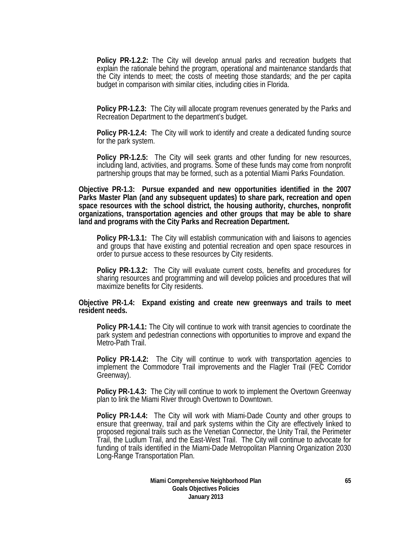**Policy PR-1.2.2:** The City will develop annual parks and recreation budgets that explain the rationale behind the program, operational and maintenance standards that the City intends to meet; the costs of meeting those standards; and the per capita budget in comparison with similar cities, including cities in Florida.

**Policy PR-1.2.3:** The City will allocate program revenues generated by the Parks and Recreation Department to the department's budget.

**Policy PR-1.2.4:** The City will work to identify and create a dedicated funding source for the park system.

**Policy PR-1.2.5:** The City will seek grants and other funding for new resources, including land, activities, and programs. Some of these funds may come from nonprofit partnership groups that may be formed, such as a potential Miami Parks Foundation.

**Objective PR-1.3: Pursue expanded and new opportunities identified in the 2007 Parks Master Plan (and any subsequent updates) to share park, recreation and open space resources with the school district, the housing authority, churches, nonprofit organizations, transportation agencies and other groups that may be able to share land and programs with the City Parks and Recreation Department.** 

**Policy PR-1.3.1:** The City will establish communication with and liaisons to agencies and groups that have existing and potential recreation and open space resources in order to pursue access to these resources by City residents.

**Policy PR-1.3.2:** The City will evaluate current costs, benefits and procedures for sharing resources and programming and will develop policies and procedures that will maximize benefits for City residents.

**Objective PR-1.4: Expand existing and create new greenways and trails to meet resident needs.** 

**Policy PR-1.4.1:** The City will continue to work with transit agencies to coordinate the park system and pedestrian connections with opportunities to improve and expand the Metro-Path Trail.

**Policy PR-1.4.2:** The City will continue to work with transportation agencies to implement the Commodore Trail improvements and the Flagler Trail (FEC Corridor Greenway).

**Policy PR-1.4.3:** The City will continue to work to implement the Overtown Greenway plan to link the Miami River through Overtown to Downtown.

**Policy PR-1.4.4:** The City will work with Miami-Dade County and other groups to ensure that greenway, trail and park systems within the City are effectively linked to proposed regional trails such as the Venetian Connector, the Unity Trail, the Perimeter Trail, the Ludlum Trail, and the East-West Trail. The City will continue to advocate for funding of trails identified in the Miami-Dade Metropolitan Planning Organization 2030 Long-Range Transportation Plan.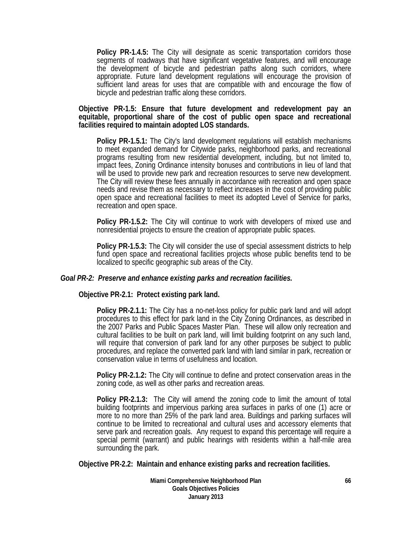**Policy PR-1.4.5:** The City will designate as scenic transportation corridors those segments of roadways that have significant vegetative features, and will encourage the development of bicycle and pedestrian paths along such corridors, where appropriate. Future land development regulations will encourage the provision of sufficient land areas for uses that are compatible with and encourage the flow of bicycle and pedestrian traffic along these corridors.

### **Objective PR-1.5: Ensure that future development and redevelopment pay an equitable, proportional share of the cost of public open space and recreational facilities required to maintain adopted LOS standards.**

**Policy PR-1.5.1:** The City's land development regulations will establish mechanisms to meet expanded demand for Citywide parks, neighborhood parks, and recreational programs resulting from new residential development, including, but not limited to, impact fees, Zoning Ordinance intensity bonuses and contributions in lieu of land that will be used to provide new park and recreation resources to serve new development. The City will review these fees annually in accordance with recreation and open space needs and revise them as necessary to reflect increases in the cost of providing public open space and recreational facilities to meet its adopted Level of Service for parks, recreation and open space.

**Policy PR-1.5.2:** The City will continue to work with developers of mixed use and nonresidential projects to ensure the creation of appropriate public spaces.

**Policy PR-1.5.3:** The City will consider the use of special assessment districts to help fund open space and recreational facilities projects whose public benefits tend to be localized to specific geographic sub areas of the City.

### *Goal PR-2: Preserve and enhance existing parks and recreation facilities.*

### **Objective PR-2.1: Protect existing park land.**

**Policy PR-2.1.1:** The City has a no-net-loss policy for public park land and will adopt procedures to this effect for park land in the City Zoning Ordinances, as described in the 2007 Parks and Public Spaces Master Plan. These will allow only recreation and cultural facilities to be built on park land, will limit building footprint on any such land, will require that conversion of park land for any other purposes be subject to public procedures, and replace the converted park land with land similar in park, recreation or conservation value in terms of usefulness and location.

**Policy PR-2.1.2:** The City will continue to define and protect conservation areas in the zoning code, as well as other parks and recreation areas.

**Policy PR-2.1.3:** The City will amend the zoning code to limit the amount of total building footprints and impervious parking area surfaces in parks of one (1) acre or more to no more than 25% of the park land area. Buildings and parking surfaces will continue to be limited to recreational and cultural uses and accessory elements that serve park and recreation goals. Any request to expand this percentage will require a special permit (warrant) and public hearings with residents within a half-mile area surrounding the park.

**Objective PR-2.2: Maintain and enhance existing parks and recreation facilities.** 

**Miami Comprehensive Neighborhood Plan Goals Objectives Policies January 2013**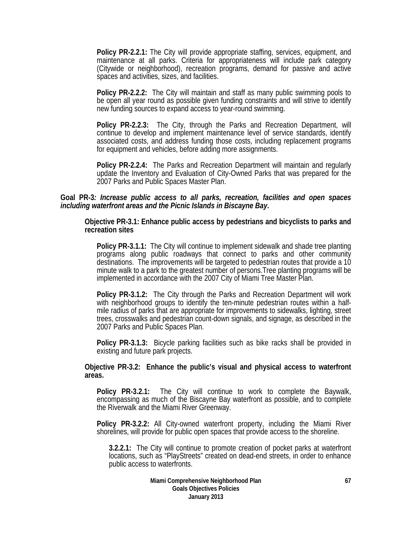**Policy PR-2.2.1:** The City will provide appropriate staffing, services, equipment, and maintenance at all parks. Criteria for appropriateness will include park category (Citywide or neighborhood), recreation programs, demand for passive and active spaces and activities, sizes, and facilities.

**Policy PR-2.2.2:** The City will maintain and staff as many public swimming pools to be open all year round as possible given funding constraints and will strive to identify new funding sources to expand access to year-round swimming.

**Policy PR-2.2.3:** The City, through the Parks and Recreation Department, will continue to develop and implement maintenance level of service standards, identify associated costs, and address funding those costs, including replacement programs for equipment and vehicles, before adding more assignments.

**Policy PR-2.2.4:** The Parks and Recreation Department will maintain and regularly update the Inventory and Evaluation of City-Owned Parks that was prepared for the 2007 Parks and Public Spaces Master Plan.

### **Goal PR-3***: Increase public access to all parks, recreation, facilities and open spaces including waterfront areas and the Picnic Islands in Biscayne Bay***.**

**Objective PR-3.1: Enhance public access by pedestrians and bicyclists to parks and recreation sites** 

**Policy PR-3.1.1:** The City will continue to implement sidewalk and shade tree planting programs along public roadways that connect to parks and other community destinations. The improvements will be targeted to pedestrian routes that provide a 10 minute walk to a park to the greatest number of persons.Tree planting programs will be implemented in accordance with the 2007 City of Miami Tree Master Plan.

**Policy PR-3.1.2:** The City through the Parks and Recreation Department will work with neighborhood groups to identify the ten-minute pedestrian routes within a halfmile radius of parks that are appropriate for improvements to sidewalks, lighting, street trees, crosswalks and pedestrian count-down signals, and signage, as described in the 2007 Parks and Public Spaces Plan.

**Policy PR-3.1.3:** Bicycle parking facilities such as bike racks shall be provided in existing and future park projects.

**Objective PR-3.2: Enhance the public's visual and physical access to waterfront areas.** 

**Policy PR-3.2.1:** The City will continue to work to complete the Baywalk, encompassing as much of the Biscayne Bay waterfront as possible, and to complete the Riverwalk and the Miami River Greenway.

**Policy PR-3.2.2:** All City-owned waterfront property, including the Miami River shorelines, will provide for public open spaces that provide access to the shoreline.

**3.2.2.1:** The City will continue to promote creation of pocket parks at waterfront locations, such as "PlayStreets" created on dead-end streets, in order to enhance public access to waterfronts.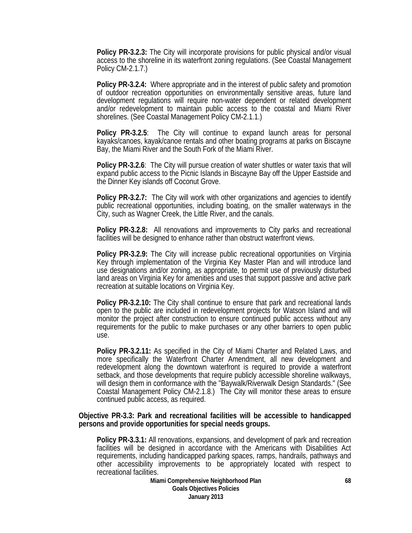**Policy PR-3.2.3:** The City will incorporate provisions for public physical and/or visual access to the shoreline in its waterfront zoning regulations. (See Coastal Management Policy CM-2.1.7.)

**Policy PR-3.2.4:** Where appropriate and in the interest of public safety and promotion of outdoor recreation opportunities on environmentally sensitive areas, future land development regulations will require non-water dependent or related development and/or redevelopment to maintain public access to the coastal and Miami River shorelines. (See Coastal Management Policy CM-2.1.1.)

**Policy PR-3.2.5**: The City will continue to expand launch areas for personal kayaks/canoes, kayak/canoe rentals and other boating programs at parks on Biscayne Bay, the Miami River and the South Fork of the Miami River.

**Policy PR-3.2.6**: The City will pursue creation of water shuttles or water taxis that will expand public access to the Picnic Islands in Biscayne Bay off the Upper Eastside and the Dinner Key islands off Coconut Grove.

**Policy PR-3.2.7:** The City will work with other organizations and agencies to identify public recreational opportunities, including boating, on the smaller waterways in the City, such as Wagner Creek, the Little River, and the canals.

**Policy PR-3.2.8:** All renovations and improvements to City parks and recreational facilities will be designed to enhance rather than obstruct waterfront views.

**Policy PR-3.2.9:** The City will increase public recreational opportunities on Virginia Key through implementation of the Virginia Key Master Plan and will introduce land use designations and/or zoning, as appropriate, to permit use of previously disturbed land areas on Virginia Key for amenities and uses that support passive and active park recreation at suitable locations on Virginia Key.

**Policy PR-3.2.10:** The City shall continue to ensure that park and recreational lands open to the public are included in redevelopment projects for Watson Island and will monitor the project after construction to ensure continued public access without any requirements for the public to make purchases or any other barriers to open public use.

**Policy PR-3.2.11:** As specified in the City of Miami Charter and Related Laws, and more specifically the Waterfront Charter Amendment, all new development and redevelopment along the downtown waterfront is required to provide a waterfront setback, and those developments that require publicly accessible shoreline walkways, will design them in conformance with the "Baywalk/Riverwalk Design Standards." (See Coastal Management Policy CM-2.1.8.) The City will monitor these areas to ensure continued public access, as required.

### **Objective PR-3.3: Park and recreational facilities will be accessible to handicapped persons and provide opportunities for special needs groups.**

**Policy PR-3.3.1:** All renovations, expansions, and development of park and recreation facilities will be designed in accordance with the Americans with Disabilities Act requirements, including handicapped parking spaces, ramps, handrails, pathways and other accessibility improvements to be appropriately located with respect to recreational facilities.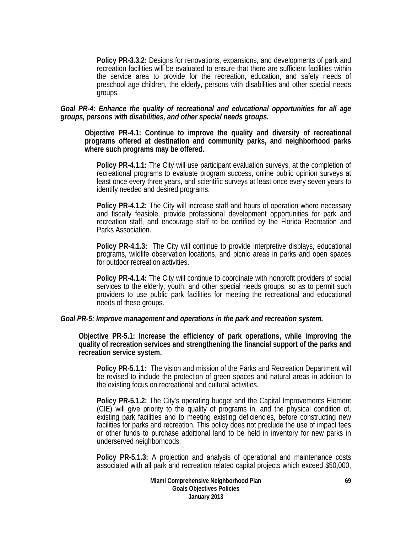**Policy PR-3.3.2:** Designs for renovations, expansions, and developments of park and recreation facilities will be evaluated to ensure that there are sufficient facilities within the service area to provide for the recreation, education, and safety needs of preschool age children, the elderly, persons with disabilities and other special needs groups.

### *Goal PR-4: Enhance the quality of recreational and educational opportunities for all age groups, persons with disabilities, and other special needs groups***.**

**Objective PR-4.1: Continue to improve the quality and diversity of recreational programs offered at destination and community parks, and neighborhood parks where such programs may be offered.** 

**Policy PR-4.1.1:** The City will use participant evaluation surveys, at the completion of recreational programs to evaluate program success, online public opinion surveys at least once every three years, and scientific surveys at least once every seven years to identify needed and desired programs.

**Policy PR-4.1.2:** The City will increase staff and hours of operation where necessary and fiscally feasible, provide professional development opportunities for park and recreation staff, and encourage staff to be certified by the Florida Recreation and Parks Association.

**Policy PR-4.1.3:** The City will continue to provide interpretive displays, educational programs, wildlife observation locations, and picnic areas in parks and open spaces for outdoor recreation activities.

**Policy PR-4.1.4:** The City will continue to coordinate with nonprofit providers of social services to the elderly, youth, and other special needs groups, so as to permit such providers to use public park facilities for meeting the recreational and educational needs of these groups.

### *Goal PR-5: Improve management and operations in the park and recreation system.*

**Objective PR-5.1: Increase the efficiency of park operations, while improving the quality of recreation services and strengthening the financial support of the parks and recreation service system.** 

**Policy PR-5.1.1:** The vision and mission of the Parks and Recreation Department will be revised to include the protection of green spaces and natural areas in addition to the existing focus on recreational and cultural activities.

**Policy PR-5.1.2:** The City's operating budget and the Capital Improvements Element (CIE) will give priority to the quality of programs in, and the physical condition of, existing park facilities and to meeting existing deficiencies, before constructing new facilities for parks and recreation. This policy does not preclude the use of impact fees or other funds to purchase additional land to be held in inventory for new parks in underserved neighborhoods.

**Policy PR-5.1.3:** A projection and analysis of operational and maintenance costs associated with all park and recreation related capital projects which exceed \$50,000,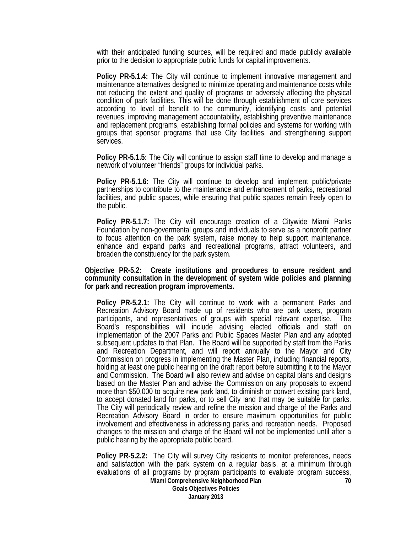with their anticipated funding sources, will be required and made publicly available prior to the decision to appropriate public funds for capital improvements.

**Policy PR-5.1.4:** The City will continue to implement innovative management and maintenance alternatives designed to minimize operating and maintenance costs while not reducing the extent and quality of programs or adversely affecting the physical condition of park facilities. This will be done through establishment of core services according to level of benefit to the community, identifying costs and potential revenues, improving management accountability, establishing preventive maintenance and replacement programs, establishing formal policies and systems for working with groups that sponsor programs that use City facilities, and strengthening support services.

**Policy PR-5.1.5:** The City will continue to assign staff time to develop and manage a network of volunteer "friends" groups for individual parks.

**Policy PR-5.1.6:** The City will continue to develop and implement public/private partnerships to contribute to the maintenance and enhancement of parks, recreational facilities, and public spaces, while ensuring that public spaces remain freely open to the public.

**Policy PR-5.1.7:** The City will encourage creation of a Citywide Miami Parks Foundation by non-govermental groups and individuals to serve as a nonprofit partner to focus attention on the park system, raise money to help support maintenance, enhance and expand parks and recreational programs, attract volunteers, and broaden the constituency for the park system.

**Objective PR-5.2: Create institutions and procedures to ensure resident and community consultation in the development of system wide policies and planning for park and recreation program improvements.** 

**Policy PR-5.2.1:** The City will continue to work with a permanent Parks and Recreation Advisory Board made up of residents who are park users, program participants, and representatives of groups with special relevant expertise. The Board's responsibilities will include advising elected officials and staff on implementation of the 2007 Parks and Public Spaces Master Plan and any adopted subsequent updates to that Plan. The Board will be supported by staff from the Parks and Recreation Department, and will report annually to the Mayor and City Commission on progress in implementing the Master Plan, including financial reports, holding at least one public hearing on the draft report before submitting it to the Mayor and Commission. The Board will also review and advise on capital plans and designs based on the Master Plan and advise the Commission on any proposals to expend more than \$50,000 to acquire new park land, to diminish or convert existing park land, to accept donated land for parks, or to sell City land that may be suitable for parks. The City will periodically review and refine the mission and charge of the Parks and Recreation Advisory Board in order to ensure maximum opportunities for public involvement and effectiveness in addressing parks and recreation needs. Proposed changes to the mission and charge of the Board will not be implemented until after a public hearing by the appropriate public board.

**Miami Comprehensive Neighborhood Plan Goals Objectives Policies January 2013 70 Policy PR-5.2.2:** The City will survey City residents to monitor preferences, needs and satisfaction with the park system on a regular basis, at a minimum through evaluations of all programs by program participants to evaluate program success,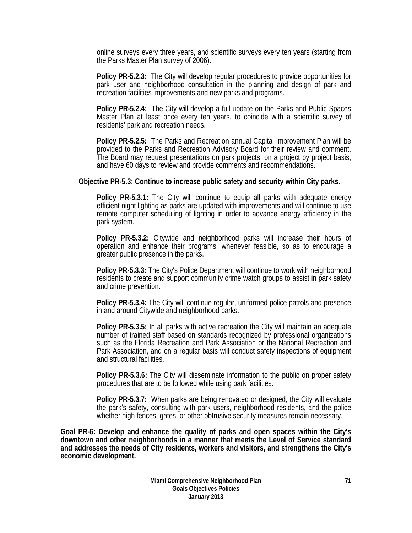online surveys every three years, and scientific surveys every ten years (starting from the Parks Master Plan survey of 2006).

**Policy PR-5.2.3:** The City will develop regular procedures to provide opportunities for park user and neighborhood consultation in the planning and design of park and recreation facilities improvements and new parks and programs.

**Policy PR-5.2.4:** The City will develop a full update on the Parks and Public Spaces Master Plan at least once every ten years, to coincide with a scientific survey of residents' park and recreation needs.

**Policy PR-5.2.5:** The Parks and Recreation annual Capital Improvement Plan will be provided to the Parks and Recreation Advisory Board for their review and comment. The Board may request presentations on park projects, on a project by project basis, and have 60 days to review and provide comments and recommendations.

### **Objective PR-5.3: Continue to increase public safety and security within City parks.**

**Policy PR-5.3.1:** The City will continue to equip all parks with adequate energy efficient night lighting as parks are updated with improvements and will continue to use remote computer scheduling of lighting in order to advance energy efficiency in the park system.

**Policy PR-5.3.2:** Citywide and neighborhood parks will increase their hours of operation and enhance their programs, whenever feasible, so as to encourage a greater public presence in the parks.

**Policy PR-5.3.3:** The City's Police Department will continue to work with neighborhood residents to create and support community crime watch groups to assist in park safety and crime prevention.

**Policy PR-5.3.4:** The City will continue regular, uniformed police patrols and presence in and around Citywide and neighborhood parks.

**Policy PR-5.3.5:** In all parks with active recreation the City will maintain an adequate number of trained staff based on standards recognized by professional organizations such as the Florida Recreation and Park Association or the National Recreation and Park Association, and on a regular basis will conduct safety inspections of equipment and structural facilities.

**Policy PR-5.3.6:** The City will disseminate information to the public on proper safety procedures that are to be followed while using park facilities.

**Policy PR-5.3.7:** When parks are being renovated or designed, the City will evaluate the park's safety, consulting with park users, neighborhood residents, and the police whether high fences, gates, or other obtrusive security measures remain necessary.

**Goal PR-6: Develop and enhance the quality of parks and open spaces within the City's downtown and other neighborhoods in a manner that meets the Level of Service standard and addresses the needs of City residents, workers and visitors, and strengthens the City's economic development.**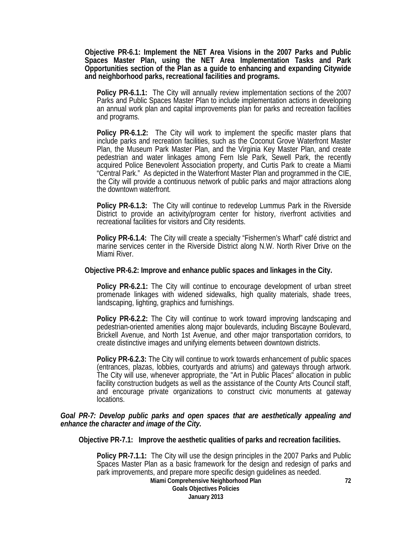**Objective PR-6.1: Implement the NET Area Visions in the 2007 Parks and Public Spaces Master Plan, using the NET Area Implementation Tasks and Park Opportunities section of the Plan as a guide to enhancing and expanding Citywide and neighborhood parks, recreational facilities and programs.** 

**Policy PR-6.1.1:** The City will annually review implementation sections of the 2007 Parks and Public Spaces Master Plan to include implementation actions in developing an annual work plan and capital improvements plan for parks and recreation facilities and programs.

**Policy PR-6.1.2:** The City will work to implement the specific master plans that include parks and recreation facilities, such as the Coconut Grove Waterfront Master Plan, the Museum Park Master Plan, and the Virginia Key Master Plan, and create pedestrian and water linkages among Fern Isle Park, Sewell Park, the recently acquired Police Benevolent Association property, and Curtis Park to create a Miami "Central Park." As depicted in the Waterfront Master Plan and programmed in the CIE, the City will provide a continuous network of public parks and major attractions along the downtown waterfront.

**Policy PR-6.1.3:** The City will continue to redevelop Lummus Park in the Riverside District to provide an activity/program center for history, riverfront activities and recreational facilities for visitors and City residents.

**Policy PR-6.1.4:** The City will create a specialty "Fishermen's Wharf" café district and marine services center in the Riverside District along N.W. North River Drive on the Miami River.

#### **Objective PR-6.2: Improve and enhance public spaces and linkages in the City.**

**Policy PR-6.2.1:** The City will continue to encourage development of urban street promenade linkages with widened sidewalks, high quality materials, shade trees, landscaping, lighting, graphics and furnishings.

**Policy PR-6.2.2:** The City will continue to work toward improving landscaping and pedestrian-oriented amenities along major boulevards, including Biscayne Boulevard, Brickell Avenue, and North 1st Avenue, and other major transportation corridors, to create distinctive images and unifying elements between downtown districts.

**Policy PR-6.2.3:** The City will continue to work towards enhancement of public spaces (entrances, plazas, lobbies, courtyards and atriums) and gateways through artwork. The City will use, whenever appropriate, the "Art in Public Places" allocation in public facility construction budgets as well as the assistance of the County Arts Council staff, and encourage private organizations to construct civic monuments at gateway locations.

### *Goal PR-7: Develop public parks and open spaces that are aesthetically appealing and enhance the character and image of the City.*

**Objective PR-7.1: Improve the aesthetic qualities of parks and recreation facilities.** 

**Policy PR-7.1.1:** The City will use the design principles in the 2007 Parks and Public Spaces Master Plan as a basic framework for the design and redesign of parks and park improvements, and prepare more specific design guidelines as needed.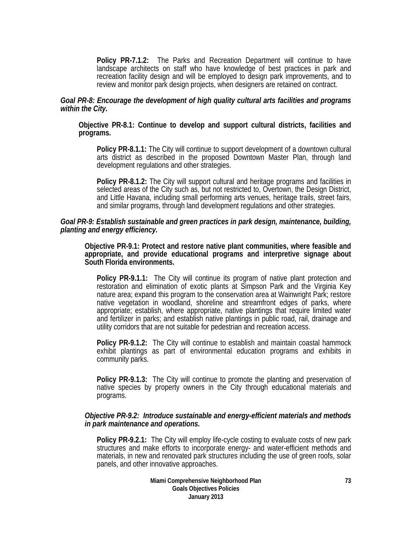**Policy PR-7.1.2:** The Parks and Recreation Department will continue to have landscape architects on staff who have knowledge of best practices in park and recreation facility design and will be employed to design park improvements, and to review and monitor park design projects, when designers are retained on contract.

### *Goal PR-8: Encourage the development of high quality cultural arts facilities and programs within the City.*

### **Objective PR-8.1: Continue to develop and support cultural districts, facilities and programs.**

**Policy PR-8.1.1:** The City will continue to support development of a downtown cultural arts district as described in the proposed Downtown Master Plan, through land development regulations and other strategies.

**Policy PR-8.1.2:** The City will support cultural and heritage programs and facilities in selected areas of the City such as, but not restricted to, Overtown, the Design District, and Little Havana, including small performing arts venues, heritage trails, street fairs, and similar programs, through land development regulations and other strategies.

### *Goal PR-9: Establish sustainable and green practices in park design, maintenance, building, planting and energy efficiency.*

**Objective PR-9.1: Protect and restore native plant communities, where feasible and appropriate, and provide educational programs and interpretive signage about South Florida environments.** 

**Policy PR-9.1.1:** The City will continue its program of native plant protection and restoration and elimination of exotic plants at Simpson Park and the Virginia Key nature area; expand this program to the conservation area at Wainwright Park; restore native vegetation in woodland, shoreline and streamfront edges of parks, where appropriate; establish, where appropriate, native plantings that require limited water and fertilizer in parks; and establish native plantings in public road, rail, drainage and utility corridors that are not suitable for pedestrian and recreation access.

**Policy PR-9.1.2:** The City will continue to establish and maintain coastal hammock exhibit plantings as part of environmental education programs and exhibits in community parks.

**Policy PR-9.1.3:** The City will continue to promote the planting and preservation of native species by property owners in the City through educational materials and programs.

### *Objective PR-9.2: Introduce sustainable and energy-efficient materials and methods in park maintenance and operations.*

**Policy PR-9.2.1:** The City will employ life-cycle costing to evaluate costs of new park structures and make efforts to incorporate energy- and water-efficient methods and materials, in new and renovated park structures including the use of green roofs, solar panels, and other innovative approaches.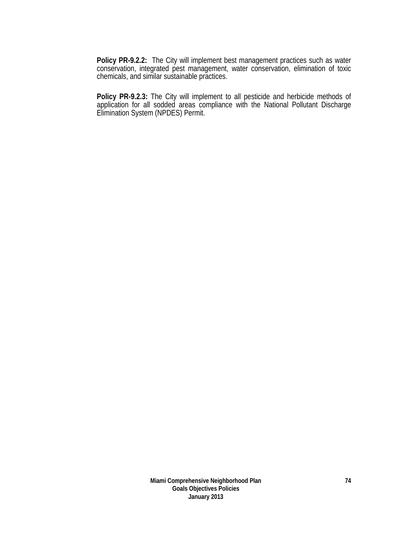**Policy PR-9.2.2:** The City will implement best management practices such as water conservation, integrated pest management, water conservation, elimination of toxic chemicals, and similar sustainable practices.

**Policy PR-9.2.3:** The City will implement to all pesticide and herbicide methods of application for all sodded areas compliance with the National Pollutant Discharge Elimination System (NPDES) Permit.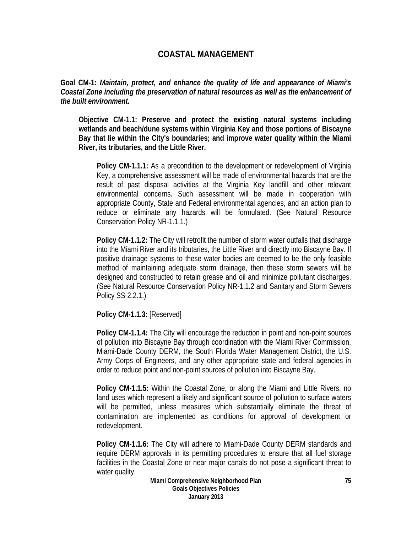# **COASTAL MANAGEMENT**

**Goal CM-1:** *Maintain, protect, and enhance the quality of life and appearance of Miami's Coastal Zone including the preservation of natural resources as well as the enhancement of the built environment.* 

**Objective CM-1.1: Preserve and protect the existing natural systems including wetlands and beach/dune systems within Virginia Key and those portions of Biscayne Bay that lie within the City's boundaries; and improve water quality within the Miami River, its tributaries, and the Little River.** 

**Policy CM-1.1.1:** As a precondition to the development or redevelopment of Virginia Key, a comprehensive assessment will be made of environmental hazards that are the result of past disposal activities at the Virginia Key landfill and other relevant environmental concerns. Such assessment will be made in cooperation with appropriate County, State and Federal environmental agencies, and an action plan to reduce or eliminate any hazards will be formulated. (See Natural Resource Conservation Policy NR-1.1.1.)

**Policy CM-1.1.2:** The City will retrofit the number of storm water outfalls that discharge into the Miami River and its tributaries, the Little River and directly into Biscayne Bay. If positive drainage systems to these water bodies are deemed to be the only feasible method of maintaining adequate storm drainage, then these storm sewers will be designed and constructed to retain grease and oil and minimize pollutant discharges. (See Natural Resource Conservation Policy NR-1.1.2 and Sanitary and Storm Sewers Policy SS-2.2.1.)

**Policy CM-1.1.3:** [Reserved]

**Policy CM-1.1.4:** The City will encourage the reduction in point and non-point sources of pollution into Biscayne Bay through coordination with the Miami River Commission, Miami-Dade County DERM, the South Florida Water Management District, the U.S. Army Corps of Engineers, and any other appropriate state and federal agencies in order to reduce point and non-point sources of pollution into Biscayne Bay.

**Policy CM-1.1.5:** Within the Coastal Zone, or along the Miami and Little Rivers, no land uses which represent a likely and significant source of pollution to surface waters will be permitted, unless measures which substantially eliminate the threat of contamination are implemented as conditions for approval of development or redevelopment.

**Policy CM-1.1.6:** The City will adhere to Miami-Dade County DERM standards and require DERM approvals in its permitting procedures to ensure that all fuel storage facilities in the Coastal Zone or near major canals do not pose a significant threat to water quality.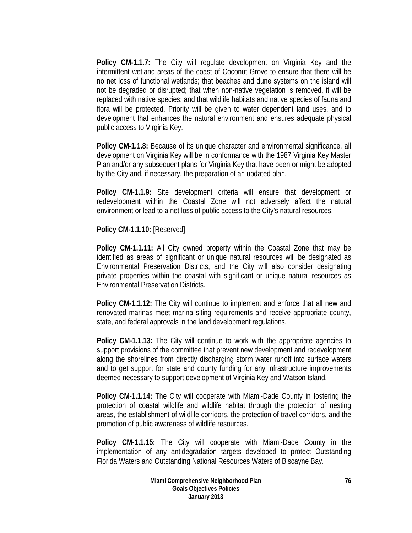**Policy CM-1.1.7:** The City will regulate development on Virginia Key and the intermittent wetland areas of the coast of Coconut Grove to ensure that there will be no net loss of functional wetlands; that beaches and dune systems on the island will not be degraded or disrupted; that when non-native vegetation is removed, it will be replaced with native species; and that wildlife habitats and native species of fauna and flora will be protected. Priority will be given to water dependent land uses, and to development that enhances the natural environment and ensures adequate physical public access to Virginia Key.

**Policy CM-1.1.8:** Because of its unique character and environmental significance, all development on Virginia Key will be in conformance with the 1987 Virginia Key Master Plan and/or any subsequent plans for Virginia Key that have been or might be adopted by the City and, if necessary, the preparation of an updated plan.

**Policy CM-1.1.9:** Site development criteria will ensure that development or redevelopment within the Coastal Zone will not adversely affect the natural environment or lead to a net loss of public access to the City's natural resources.

**Policy CM-1.1.10:** [Reserved]

**Policy CM-1.1.11:** All City owned property within the Coastal Zone that may be identified as areas of significant or unique natural resources will be designated as Environmental Preservation Districts, and the City will also consider designating private properties within the coastal with significant or unique natural resources as Environmental Preservation Districts.

**Policy CM-1.1.12:** The City will continue to implement and enforce that all new and renovated marinas meet marina siting requirements and receive appropriate county, state, and federal approvals in the land development regulations.

**Policy CM-1.1.13:** The City will continue to work with the appropriate agencies to support provisions of the committee that prevent new development and redevelopment along the shorelines from directly discharging storm water runoff into surface waters and to get support for state and county funding for any infrastructure improvements deemed necessary to support development of Virginia Key and Watson Island.

**Policy CM-1.1.14:** The City will cooperate with Miami-Dade County in fostering the protection of coastal wildlife and wildlife habitat through the protection of nesting areas, the establishment of wildlife corridors, the protection of travel corridors, and the promotion of public awareness of wildlife resources.

**Policy CM-1.1.15:** The City will cooperate with Miami-Dade County in the implementation of any antidegradation targets developed to protect Outstanding Florida Waters and Outstanding National Resources Waters of Biscayne Bay.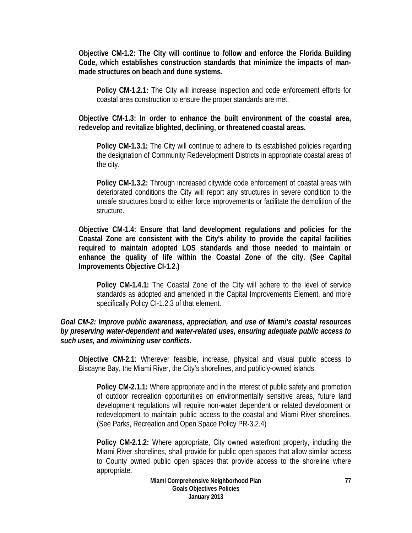**Objective CM-1.2: The City will continue to follow and enforce the Florida Building Code, which establishes construction standards that minimize the impacts of manmade structures on beach and dune systems.** 

**Policy CM-1.2.1:** The City will increase inspection and code enforcement efforts for coastal area construction to ensure the proper standards are met.

**Objective CM-1.3: In order to enhance the built environment of the coastal area, redevelop and revitalize blighted, declining, or threatened coastal areas.** 

**Policy CM-1.3.1:** The City will continue to adhere to its established policies regarding the designation of Community Redevelopment Districts in appropriate coastal areas of the city.

**Policy CM-1.3.2:** Through increased citywide code enforcement of coastal areas with deteriorated conditions the City will report any structures in severe condition to the unsafe structures board to either force improvements or facilitate the demolition of the structure.

**Objective CM-1.4: Ensure that land development regulations and policies for the Coastal Zone are consistent with the City's ability to provide the capital facilities required to maintain adopted LOS standards and those needed to maintain or enhance the quality of life within the Coastal Zone of the city. (See Capital Improvements Objective CI-1.2.)** 

**Policy CM-1.4.1:** The Coastal Zone of the City will adhere to the level of service standards as adopted and amended in the Capital Improvements Element, and more specifically Policy CI-1.2.3 of that element.

## *Goal CM-2: Improve public awareness, appreciation, and use of Miami's coastal resources by preserving water-dependent and water-related uses, ensuring adequate public access to such uses, and minimizing user conflicts.*

**Objective CM-2.1**: Wherever feasible, increase, physical and visual public access to Biscayne Bay, the Miami River, the City's shorelines, and publicly-owned islands.

**Policy CM-2.1.1:** Where appropriate and in the interest of public safety and promotion of outdoor recreation opportunities on environmentally sensitive areas, future land development regulations will require non-water dependent or related development or redevelopment to maintain public access to the coastal and Miami River shorelines. (See Parks, Recreation and Open Space Policy PR-3.2.4)

**Policy CM-2.1.2:** Where appropriate, City owned waterfront property, including the Miami River shorelines, shall provide for public open spaces that allow similar access to County owned public open spaces that provide access to the shoreline where appropriate.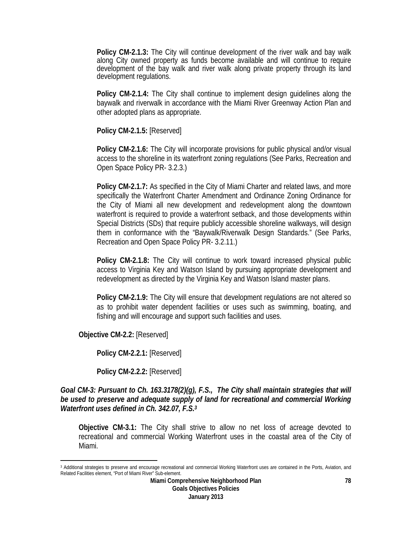**Policy CM-2.1.3:** The City will continue development of the river walk and bay walk along City owned property as funds become available and will continue to require development of the bay walk and river walk along private property through its land development regulations.

**Policy CM-2.1.4:** The City shall continue to implement design guidelines along the baywalk and riverwalk in accordance with the Miami River Greenway Action Plan and other adopted plans as appropriate.

**Policy CM-2.1.5:** [Reserved]

**Policy CM-2.1.6:** The City will incorporate provisions for public physical and/or visual access to the shoreline in its waterfront zoning regulations (See Parks, Recreation and Open Space Policy PR- 3.2.3.)

**Policy CM-2.1.7:** As specified in the City of Miami Charter and related laws, and more specifically the Waterfront Charter Amendment and Ordinance Zoning Ordinance for the City of Miami all new development and redevelopment along the downtown waterfront is required to provide a waterfront setback, and those developments within Special Districts (SDs) that require publicly accessible shoreline walkways, will design them in conformance with the "Baywalk/Riverwalk Design Standards." (See Parks, Recreation and Open Space Policy PR- 3.2.11.)

**Policy CM-2.1.8:** The City will continue to work toward increased physical public access to Virginia Key and Watson Island by pursuing appropriate development and redevelopment as directed by the Virginia Key and Watson Island master plans.

**Policy CM-2.1.9:** The City will ensure that development regulations are not altered so as to prohibit water dependent facilities or uses such as swimming, boating, and fishing and will encourage and support such facilities and uses.

**Objective CM-2.2:** [Reserved]

 $\overline{a}$ 

**Policy CM-2.2.1:** [Reserved]

**Policy CM-2.2.2:** [Reserved]

*Goal CM-3: Pursuant to Ch. 163.3178(2)(g), F.S., The City shall maintain strategies that will be used to preserve and adequate supply of land for recreational and commercial Working Waterfront uses defined in Ch. 342.07, F.S.3*

**Objective CM-3.1:** The City shall strive to allow no net loss of acreage devoted to recreational and commercial Working Waterfront uses in the coastal area of the City of Miami.

<sup>&</sup>lt;sup>3</sup> Additional strategies to preserve and encourage recreational and commercial Working Waterfront uses are contained in the Ports, Aviation, and Related Facilities element, "Port of Miami River" Sub-element.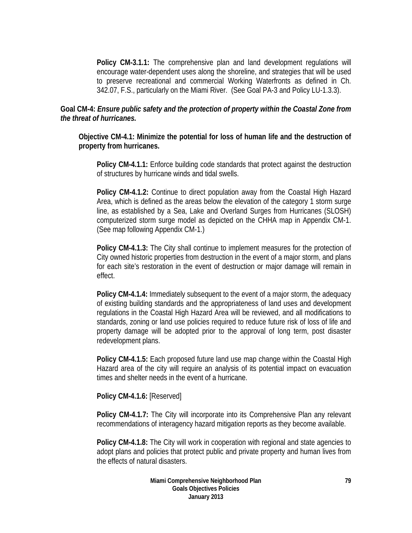**Policy CM-3.1.1:** The comprehensive plan and land development regulations will encourage water-dependent uses along the shoreline, and strategies that will be used to preserve recreational and commercial Working Waterfronts as defined in Ch. 342.07, F.S., particularly on the Miami River. (See Goal PA-3 and Policy LU-1.3.3).

## **Goal CM-4:** *Ensure public safety and the protection of property within the Coastal Zone from the threat of hurricanes.*

**Objective CM-4.1: Minimize the potential for loss of human life and the destruction of property from hurricanes.** 

**Policy CM-4.1.1:** Enforce building code standards that protect against the destruction of structures by hurricane winds and tidal swells.

**Policy CM-4.1.2:** Continue to direct population away from the Coastal High Hazard Area, which is defined as the areas below the elevation of the category 1 storm surge line, as established by a Sea, Lake and Overland Surges from Hurricanes (SLOSH) computerized storm surge model as depicted on the CHHA map in Appendix CM-1. (See map following Appendix CM-1.)

**Policy CM-4.1.3:** The City shall continue to implement measures for the protection of City owned historic properties from destruction in the event of a major storm, and plans for each site's restoration in the event of destruction or major damage will remain in effect.

**Policy CM-4.1.4:** Immediately subsequent to the event of a major storm, the adequacy of existing building standards and the appropriateness of land uses and development regulations in the Coastal High Hazard Area will be reviewed, and all modifications to standards, zoning or land use policies required to reduce future risk of loss of life and property damage will be adopted prior to the approval of long term, post disaster redevelopment plans.

**Policy CM-4.1.5:** Each proposed future land use map change within the Coastal High Hazard area of the city will require an analysis of its potential impact on evacuation times and shelter needs in the event of a hurricane.

**Policy CM-4.1.6:** [Reserved]

**Policy CM-4.1.7:** The City will incorporate into its Comprehensive Plan any relevant recommendations of interagency hazard mitigation reports as they become available.

**Policy CM-4.1.8:** The City will work in cooperation with regional and state agencies to adopt plans and policies that protect public and private property and human lives from the effects of natural disasters.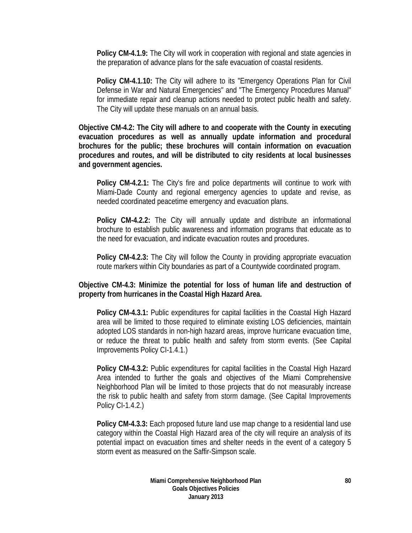**Policy CM-4.1.9:** The City will work in cooperation with regional and state agencies in the preparation of advance plans for the safe evacuation of coastal residents.

**Policy CM-4.1.10:** The City will adhere to its "Emergency Operations Plan for Civil Defense in War and Natural Emergencies" and "The Emergency Procedures Manual" for immediate repair and cleanup actions needed to protect public health and safety. The City will update these manuals on an annual basis.

**Objective CM-4.2: The City will adhere to and cooperate with the County in executing evacuation procedures as well as annually update information and procedural brochures for the public; these brochures will contain information on evacuation procedures and routes, and will be distributed to city residents at local businesses and government agencies.** 

**Policy CM-4.2.1:** The City's fire and police departments will continue to work with Miami-Dade County and regional emergency agencies to update and revise, as needed coordinated peacetime emergency and evacuation plans.

**Policy CM-4.2.2:** The City will annually update and distribute an informational brochure to establish public awareness and information programs that educate as to the need for evacuation, and indicate evacuation routes and procedures.

**Policy CM-4.2.3:** The City will follow the County in providing appropriate evacuation route markers within City boundaries as part of a Countywide coordinated program.

### **Objective CM-4.3: Minimize the potential for loss of human life and destruction of property from hurricanes in the Coastal High Hazard Area.**

**Policy CM-4.3.1:** Public expenditures for capital facilities in the Coastal High Hazard area will be limited to those required to eliminate existing LOS deficiencies, maintain adopted LOS standards in non-high hazard areas, improve hurricane evacuation time, or reduce the threat to public health and safety from storm events. (See Capital Improvements Policy CI-1.4.1.)

**Policy CM-4.3.2:** Public expenditures for capital facilities in the Coastal High Hazard Area intended to further the goals and objectives of the Miami Comprehensive Neighborhood Plan will be limited to those projects that do not measurably increase the risk to public health and safety from storm damage. (See Capital Improvements Policy CI-1.4.2.)

**Policy CM-4.3.3:** Each proposed future land use map change to a residential land use category within the Coastal High Hazard area of the city will require an analysis of its potential impact on evacuation times and shelter needs in the event of a category 5 storm event as measured on the Saffir-Simpson scale.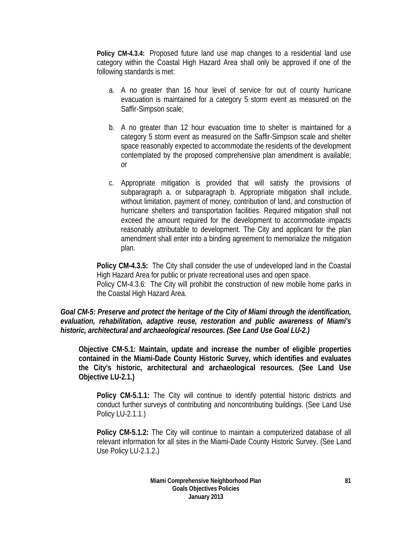**Policy CM-4.3.4:** Proposed future land use map changes to a residential land use category within the Coastal High Hazard Area shall only be approved if one of the following standards is met:

- a. A no greater than 16 hour level of service for out of county hurricane evacuation is maintained for a category 5 storm event as measured on the Saffir-Simpson scale;
- b. A no greater than 12 hour evacuation time to shelter is maintained for a category 5 storm event as measured on the Saffir-Simpson scale and shelter space reasonably expected to accommodate the residents of the development contemplated by the proposed comprehensive plan amendment is available; or
- c. Appropriate mitigation is provided that will satisfy the provisions of subparagraph a. or subparagraph b. Appropriate mitigation shall include, without limitation, payment of money, contribution of land, and construction of hurricane shelters and transportation facilities. Required mitigation shall not exceed the amount required for the development to accommodate impacts reasonably attributable to development. The City and applicant for the plan amendment shall enter into a binding agreement to memorialize the mitigation plan.

**Policy CM-4.3.5:** The City shall consider the use of undeveloped land in the Coastal High Hazard Area for public or private recreational uses and open space. Policy CM-4.3.6: The City will prohibit the construction of new mobile home parks in the Coastal High Hazard Area.

## *Goal CM-5: Preserve and protect the heritage of the City of Miami through the identification, evaluation, rehabilitation, adaptive reuse, restoration and public awareness of Miami's historic, architectural and archaeological resources. (See Land Use Goal LU-2.)*

**Objective CM-5.1: Maintain, update and increase the number of eligible properties contained in the Miami-Dade County Historic Survey, which identifies and evaluates the City's historic, architectural and archaeological resources. (See Land Use Objective LU-2.1.)** 

**Policy CM-5.1.1:** The City will continue to identify potential historic districts and conduct further surveys of contributing and noncontributing buildings. (See Land Use Policy LU-2.1.1.)

**Policy CM-5.1.2:** The City will continue to maintain a computerized database of all relevant information for all sites in the Miami-Dade County Historic Survey. (See Land Use Policy LU-2.1.2.)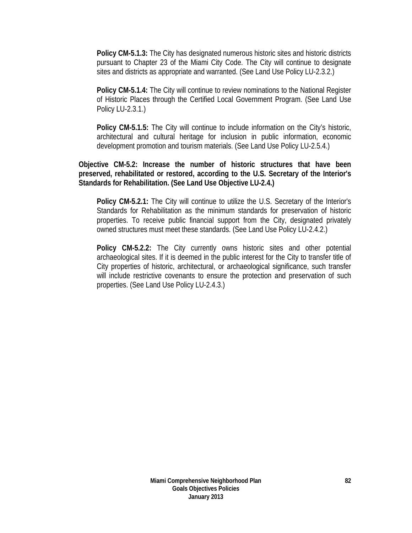**Policy CM-5.1.3:** The City has designated numerous historic sites and historic districts pursuant to Chapter 23 of the Miami City Code. The City will continue to designate sites and districts as appropriate and warranted. (See Land Use Policy LU-2.3.2.)

**Policy CM-5.1.4:** The City will continue to review nominations to the National Register of Historic Places through the Certified Local Government Program. (See Land Use Policy LU-2.3.1.)

**Policy CM-5.1.5:** The City will continue to include information on the City's historic, architectural and cultural heritage for inclusion in public information, economic development promotion and tourism materials. (See Land Use Policy LU-2.5.4.)

**Objective CM-5.2: Increase the number of historic structures that have been preserved, rehabilitated or restored, according to the U.S. Secretary of the Interior's Standards for Rehabilitation. (See Land Use Objective LU-2.4.)** 

**Policy CM-5.2.1:** The City will continue to utilize the U.S. Secretary of the Interior's Standards for Rehabilitation as the minimum standards for preservation of historic properties. To receive public financial support from the City, designated privately owned structures must meet these standards. (See Land Use Policy LU-2.4.2.)

**Policy CM-5.2.2:** The City currently owns historic sites and other potential archaeological sites. If it is deemed in the public interest for the City to transfer title of City properties of historic, architectural, or archaeological significance, such transfer will include restrictive covenants to ensure the protection and preservation of such properties. (See Land Use Policy LU-2.4.3.)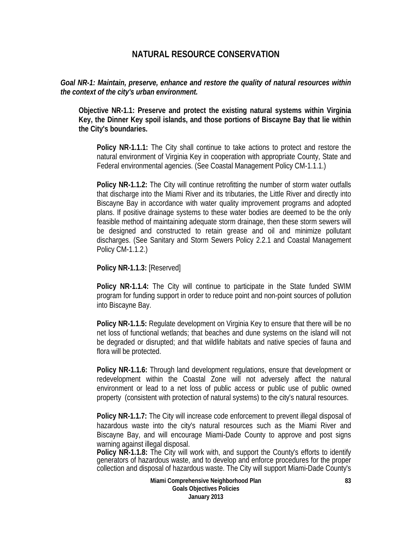# **NATURAL RESOURCE CONSERVATION**

## *Goal NR-1: Maintain, preserve, enhance and restore the quality of natural resources within the context of the city's urban environment.*

**Objective NR-1.1: Preserve and protect the existing natural systems within Virginia Key, the Dinner Key spoil islands, and those portions of Biscayne Bay that lie within the City's boundaries.** 

**Policy NR-1.1.1:** The City shall continue to take actions to protect and restore the natural environment of Virginia Key in cooperation with appropriate County, State and Federal environmental agencies. (See Coastal Management Policy CM-1.1.1.)

**Policy NR-1.1.2:** The City will continue retrofitting the number of storm water outfalls that discharge into the Miami River and its tributaries, the Little River and directly into Biscayne Bay in accordance with water quality improvement programs and adopted plans. If positive drainage systems to these water bodies are deemed to be the only feasible method of maintaining adequate storm drainage, then these storm sewers will be designed and constructed to retain grease and oil and minimize pollutant discharges. (See Sanitary and Storm Sewers Policy 2.2.1 and Coastal Management Policy CM-1.1.2.)

**Policy NR-1.1.3:** [Reserved]

**Policy NR-1.1.4:** The City will continue to participate in the State funded SWIM program for funding support in order to reduce point and non-point sources of pollution into Biscayne Bay.

**Policy NR-1.1.5:** Regulate development on Virginia Key to ensure that there will be no net loss of functional wetlands; that beaches and dune systems on the island will not be degraded or disrupted; and that wildlife habitats and native species of fauna and flora will be protected.

**Policy NR-1.1.6:** Through land development regulations, ensure that development or redevelopment within the Coastal Zone will not adversely affect the natural environment or lead to a net loss of public access or public use of public owned property (consistent with protection of natural systems) to the city's natural resources.

**Policy NR-1.1.7:** The City will increase code enforcement to prevent illegal disposal of hazardous waste into the city's natural resources such as the Miami River and Biscayne Bay, and will encourage Miami-Dade County to approve and post signs warning against illegal disposal.

**Policy NR-1.1.8:** The City will work with, and support the County's efforts to identify generators of hazardous waste, and to develop and enforce procedures for the proper collection and disposal of hazardous waste. The City will support Miami-Dade County's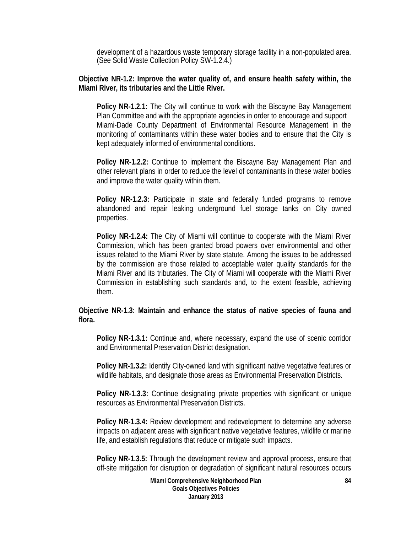development of a hazardous waste temporary storage facility in a non-populated area. (See Solid Waste Collection Policy SW-1.2.4.)

## **Objective NR-1.2: Improve the water quality of, and ensure health safety within, the Miami River, its tributaries and the Little River.**

**Policy NR-1.2.1:** The City will continue to work with the Biscayne Bay Management Plan Committee and with the appropriate agencies in order to encourage and support Miami-Dade County Department of Environmental Resource Management in the monitoring of contaminants within these water bodies and to ensure that the City is kept adequately informed of environmental conditions.

**Policy NR-1.2.2:** Continue to implement the Biscayne Bay Management Plan and other relevant plans in order to reduce the level of contaminants in these water bodies and improve the water quality within them.

**Policy NR-1.2.3:** Participate in state and federally funded programs to remove abandoned and repair leaking underground fuel storage tanks on City owned properties.

**Policy NR-1.2.4:** The City of Miami will continue to cooperate with the Miami River Commission, which has been granted broad powers over environmental and other issues related to the Miami River by state statute. Among the issues to be addressed by the commission are those related to acceptable water quality standards for the Miami River and its tributaries. The City of Miami will cooperate with the Miami River Commission in establishing such standards and, to the extent feasible, achieving them.

## **Objective NR-1.3: Maintain and enhance the status of native species of fauna and flora.**

**Policy NR-1.3.1:** Continue and, where necessary, expand the use of scenic corridor and Environmental Preservation District designation.

**Policy NR-1.3.2:** Identify City-owned land with significant native vegetative features or wildlife habitats, and designate those areas as Environmental Preservation Districts.

**Policy NR-1.3.3:** Continue designating private properties with significant or unique resources as Environmental Preservation Districts.

**Policy NR-1.3.4:** Review development and redevelopment to determine any adverse impacts on adjacent areas with significant native vegetative features, wildlife or marine life, and establish regulations that reduce or mitigate such impacts.

**Policy NR-1.3.5:** Through the development review and approval process, ensure that off-site mitigation for disruption or degradation of significant natural resources occurs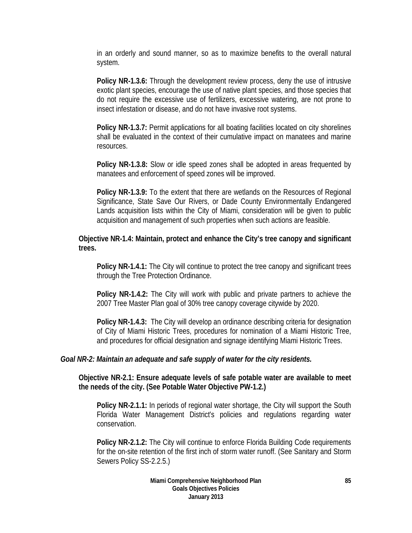in an orderly and sound manner, so as to maximize benefits to the overall natural system.

**Policy NR-1.3.6:** Through the development review process, deny the use of intrusive exotic plant species, encourage the use of native plant species, and those species that do not require the excessive use of fertilizers, excessive watering, are not prone to insect infestation or disease, and do not have invasive root systems.

**Policy NR-1.3.7:** Permit applications for all boating facilities located on city shorelines shall be evaluated in the context of their cumulative impact on manatees and marine resources.

**Policy NR-1.3.8:** Slow or idle speed zones shall be adopted in areas frequented by manatees and enforcement of speed zones will be improved.

**Policy NR-1.3.9:** To the extent that there are wetlands on the Resources of Regional Significance, State Save Our Rivers, or Dade County Environmentally Endangered Lands acquisition lists within the City of Miami, consideration will be given to public acquisition and management of such properties when such actions are feasible.

## **Objective NR-1.4: Maintain, protect and enhance the City's tree canopy and significant trees.**

**Policy NR-1.4.1:** The City will continue to protect the tree canopy and significant trees through the Tree Protection Ordinance.

**Policy NR-1.4.2:** The City will work with public and private partners to achieve the 2007 Tree Master Plan goal of 30% tree canopy coverage citywide by 2020.

**Policy NR-1.4.3:** The City will develop an ordinance describing criteria for designation of City of Miami Historic Trees, procedures for nomination of a Miami Historic Tree, and procedures for official designation and signage identifying Miami Historic Trees.

## *Goal NR-2: Maintain an adequate and safe supply of water for the city residents.*

**Objective NR-2.1: Ensure adequate levels of safe potable water are available to meet the needs of the city. (See Potable Water Objective PW-1.2.)** 

**Policy NR-2.1.1:** In periods of regional water shortage, the City will support the South Florida Water Management District's policies and regulations regarding water conservation.

**Policy NR-2.1.2:** The City will continue to enforce Florida Building Code requirements for the on-site retention of the first inch of storm water runoff. (See Sanitary and Storm Sewers Policy SS-2.2.5.)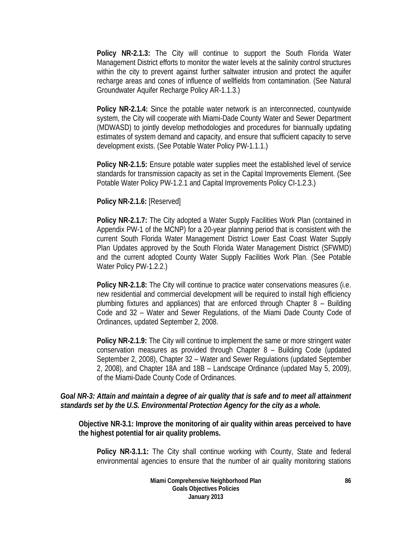**Policy NR-2.1.3:** The City will continue to support the South Florida Water Management District efforts to monitor the water levels at the salinity control structures within the city to prevent against further saltwater intrusion and protect the aquifer recharge areas and cones of influence of wellfields from contamination. (See Natural Groundwater Aquifer Recharge Policy AR-1.1.3.)

**Policy NR-2.1.4:** Since the potable water network is an interconnected, countywide system, the City will cooperate with Miami-Dade County Water and Sewer Department (MDWASD) to jointly develop methodologies and procedures for biannually updating estimates of system demand and capacity, and ensure that sufficient capacity to serve development exists. (See Potable Water Policy PW-1.1.1.)

**Policy NR-2.1.5:** Ensure potable water supplies meet the established level of service standards for transmission capacity as set in the Capital Improvements Element. (See Potable Water Policy PW-1.2.1 and Capital Improvements Policy CI-1.2.3.)

**Policy NR-2.1.6:** [Reserved]

**Policy NR-2.1.7:** The City adopted a Water Supply Facilities Work Plan (contained in Appendix PW-1 of the MCNP) for a 20-year planning period that is consistent with the current South Florida Water Management District Lower East Coast Water Supply Plan Updates approved by the South Florida Water Management District (SFWMD) and the current adopted County Water Supply Facilities Work Plan. (See Potable Water Policy PW-1.2.2.)

**Policy NR-2.1.8:** The City will continue to practice water conservations measures (i.e. new residential and commercial development will be required to install high efficiency plumbing fixtures and appliances) that are enforced through Chapter 8 – Building Code and 32 – Water and Sewer Regulations, of the Miami Dade County Code of Ordinances, updated September 2, 2008.

**Policy NR-2.1.9:** The City will continue to implement the same or more stringent water conservation measures as provided through Chapter 8 – Building Code (updated September 2, 2008), Chapter 32 – Water and Sewer Regulations (updated September 2, 2008), and Chapter 18A and 18B – Landscape Ordinance (updated May 5, 2009), of the Miami-Dade County Code of Ordinances.

# *Goal NR-3: Attain and maintain a degree of air quality that is safe and to meet all attainment standards set by the U.S. Environmental Protection Agency for the city as a whole.*

**Objective NR-3.1: Improve the monitoring of air quality within areas perceived to have the highest potential for air quality problems.** 

**Policy NR-3.1.1:** The City shall continue working with County, State and federal environmental agencies to ensure that the number of air quality monitoring stations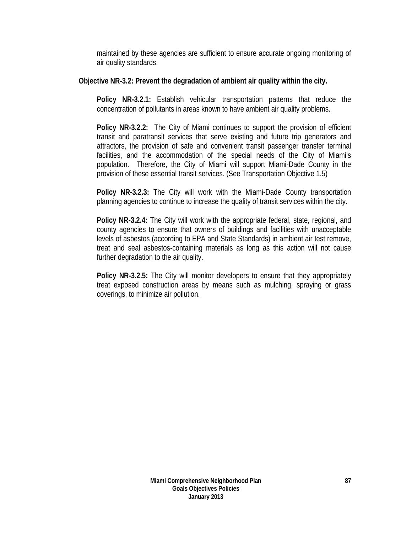maintained by these agencies are sufficient to ensure accurate ongoing monitoring of air quality standards.

## **Objective NR-3.2: Prevent the degradation of ambient air quality within the city.**

**Policy NR-3.2.1:** Establish vehicular transportation patterns that reduce the concentration of pollutants in areas known to have ambient air quality problems.

**Policy NR-3.2.2:** The City of Miami continues to support the provision of efficient transit and paratransit services that serve existing and future trip generators and attractors, the provision of safe and convenient transit passenger transfer terminal facilities, and the accommodation of the special needs of the City of Miami's population. Therefore, the City of Miami will support Miami-Dade County in the provision of these essential transit services. (See Transportation Objective 1.5)

**Policy NR-3.2.3:** The City will work with the Miami-Dade County transportation planning agencies to continue to increase the quality of transit services within the city.

**Policy NR-3.2.4:** The City will work with the appropriate federal, state, regional, and county agencies to ensure that owners of buildings and facilities with unacceptable levels of asbestos (according to EPA and State Standards) in ambient air test remove, treat and seal asbestos-containing materials as long as this action will not cause further degradation to the air quality.

**Policy NR-3.2.5:** The City will monitor developers to ensure that they appropriately treat exposed construction areas by means such as mulching, spraying or grass coverings, to minimize air pollution.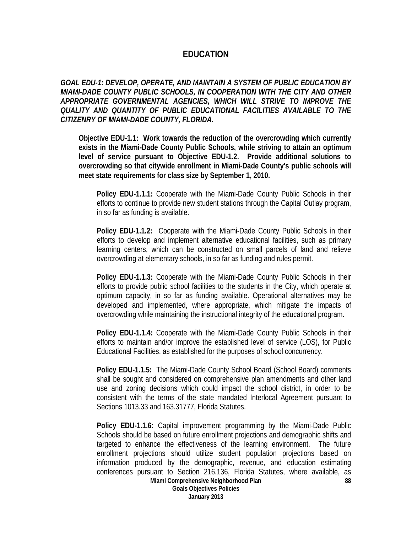# **EDUCATION**

*GOAL EDU-1: DEVELOP, OPERATE, AND MAINTAIN A SYSTEM OF PUBLIC EDUCATION BY MIAMI-DADE COUNTY PUBLIC SCHOOLS, IN COOPERATION WITH THE CITY AND OTHER APPROPRIATE GOVERNMENTAL AGENCIES, WHICH WILL STRIVE TO IMPROVE THE QUALITY AND QUANTITY OF PUBLIC EDUCATIONAL FACILITIES AVAILABLE TO THE CITIZENRY OF MIAMI-DADE COUNTY, FLORIDA.* 

**Objective EDU-1.1: Work towards the reduction of the overcrowding which currently exists in the Miami-Dade County Public Schools, while striving to attain an optimum level of service pursuant to Objective EDU-1.2. Provide additional solutions to overcrowding so that citywide enrollment in Miami-Dade County's public schools will meet state requirements for class size by September 1, 2010.** 

**Policy EDU-1.1.1:** Cooperate with the Miami-Dade County Public Schools in their efforts to continue to provide new student stations through the Capital Outlay program, in so far as funding is available.

**Policy EDU-1.1.2:** Cooperate with the Miami-Dade County Public Schools in their efforts to develop and implement alternative educational facilities, such as primary learning centers, which can be constructed on small parcels of land and relieve overcrowding at elementary schools, in so far as funding and rules permit.

**Policy EDU-1.1.3:** Cooperate with the Miami-Dade County Public Schools in their efforts to provide public school facilities to the students in the City, which operate at optimum capacity, in so far as funding available. Operational alternatives may be developed and implemented, where appropriate, which mitigate the impacts of overcrowding while maintaining the instructional integrity of the educational program.

**Policy EDU-1.1.4:** Cooperate with the Miami-Dade County Public Schools in their efforts to maintain and/or improve the established level of service (LOS), for Public Educational Facilities, as established for the purposes of school concurrency.

**Policy EDU-1.1.5:** The Miami-Dade County School Board (School Board) comments shall be sought and considered on comprehensive plan amendments and other land use and zoning decisions which could impact the school district, in order to be consistent with the terms of the state mandated Interlocal Agreement pursuant to Sections 1013.33 and 163.31777, Florida Statutes.

**88 Policy EDU-1.1.6:** Capital improvement programming by the Miami-Dade Public Schools should be based on future enrollment projections and demographic shifts and targeted to enhance the effectiveness of the learning environment. The future enrollment projections should utilize student population projections based on information produced by the demographic, revenue, and education estimating conferences pursuant to Section 216.136, Florida Statutes, where available, as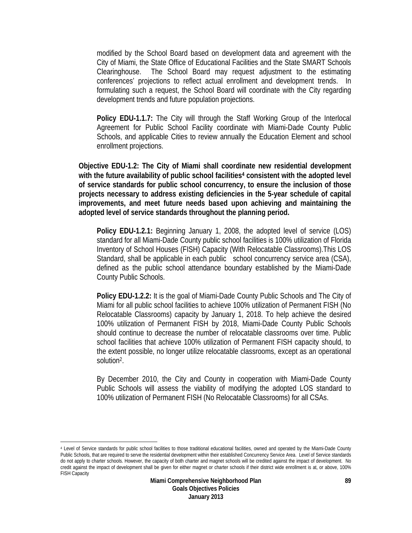modified by the School Board based on development data and agreement with the City of Miami, the State Office of Educational Facilities and the State SMART Schools Clearinghouse. The School Board may request adjustment to the estimating conferences' projections to reflect actual enrollment and development trends. In formulating such a request, the School Board will coordinate with the City regarding development trends and future population projections.

**Policy EDU-1.1.7:** The City will through the Staff Working Group of the Interlocal Agreement for Public School Facility coordinate with Miami-Dade County Public Schools, and applicable Cities to review annually the Education Element and school enrollment projections.

**Objective EDU-1.2: The City of Miami shall coordinate new residential development with the future availability of public school facilities4 consistent with the adopted level of service standards for public school concurrency, to ensure the inclusion of those projects necessary to address existing deficiencies in the 5-year schedule of capital improvements, and meet future needs based upon achieving and maintaining the adopted level of service standards throughout the planning period.** 

**Policy EDU-1.2.1:** Beginning January 1, 2008, the adopted level of service (LOS) standard for all Miami-Dade County public school facilities is 100% utilization of Florida Inventory of School Houses (FISH) Capacity (With Relocatable Classrooms).This LOS Standard, shall be applicable in each public school concurrency service area (CSA), defined as the public school attendance boundary established by the Miami-Dade County Public Schools.

**Policy EDU-1.2.2:** It is the goal of Miami-Dade County Public Schools and The City of Miami for all public school facilities to achieve 100% utilization of Permanent FISH (No Relocatable Classrooms) capacity by January 1, 2018. To help achieve the desired 100% utilization of Permanent FISH by 2018, Miami-Dade County Public Schools should continue to decrease the number of relocatable classrooms over time. Public school facilities that achieve 100% utilization of Permanent FISH capacity should, to the extent possible, no longer utilize relocatable classrooms, except as an operational solution2.

By December 2010, the City and County in cooperation with Miami-Dade County Public Schools will assess the viability of modifying the adopted LOS standard to 100% utilization of Permanent FISH (No Relocatable Classrooms) for all CSAs.

 $\overline{a}$ 

<sup>4</sup> Level of Service standards for public school facilities to those traditional educational facilities, owned and operated by the Miami-Dade County Public Schools, that are required to serve the residential development within their established Concurrency Service Area. Level of Service standards do not apply to charter schools. However, the capacity of both charter and magnet schools will be credited against the impact of development. No credit against the impact of development shall be given for either magnet or charter schools if their district wide enrollment is at, or above, 100% FISH Capacity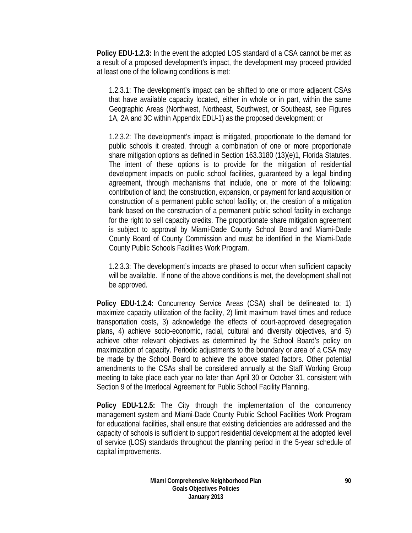**Policy EDU-1.2.3:** In the event the adopted LOS standard of a CSA cannot be met as a result of a proposed development's impact, the development may proceed provided at least one of the following conditions is met:

1.2.3.1: The development's impact can be shifted to one or more adjacent CSAs that have available capacity located, either in whole or in part, within the same Geographic Areas (Northwest, Northeast, Southwest, or Southeast, see Figures 1A, 2A and 3C within Appendix EDU-1) as the proposed development; or

1.2.3.2: The development's impact is mitigated, proportionate to the demand for public schools it created, through a combination of one or more proportionate share mitigation options as defined in Section 163.3180 (13)(e)1, Florida Statutes. The intent of these options is to provide for the mitigation of residential development impacts on public school facilities, guaranteed by a legal binding agreement, through mechanisms that include, one or more of the following: contribution of land; the construction, expansion, or payment for land acquisition or construction of a permanent public school facility; or, the creation of a mitigation bank based on the construction of a permanent public school facility in exchange for the right to sell capacity credits. The proportionate share mitigation agreement is subject to approval by Miami-Dade County School Board and Miami-Dade County Board of County Commission and must be identified in the Miami-Dade County Public Schools Facilities Work Program.

1.2.3.3: The development's impacts are phased to occur when sufficient capacity will be available. If none of the above conditions is met, the development shall not be approved.

**Policy EDU-1.2.4:** Concurrency Service Areas (CSA) shall be delineated to: 1) maximize capacity utilization of the facility, 2) limit maximum travel times and reduce transportation costs, 3) acknowledge the effects of court-approved desegregation plans, 4) achieve socio-economic, racial, cultural and diversity objectives, and 5) achieve other relevant objectives as determined by the School Board's policy on maximization of capacity. Periodic adjustments to the boundary or area of a CSA may be made by the School Board to achieve the above stated factors. Other potential amendments to the CSAs shall be considered annually at the Staff Working Group meeting to take place each year no later than April 30 or October 31, consistent with Section 9 of the Interlocal Agreement for Public School Facility Planning.

**Policy EDU-1.2.5:** The City through the implementation of the concurrency management system and Miami-Dade County Public School Facilities Work Program for educational facilities, shall ensure that existing deficiencies are addressed and the capacity of schools is sufficient to support residential development at the adopted level of service (LOS) standards throughout the planning period in the 5-year schedule of capital improvements.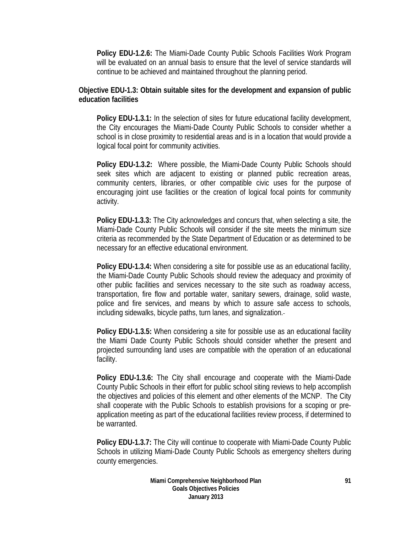**Policy EDU-1.2.6:** The Miami-Dade County Public Schools Facilities Work Program will be evaluated on an annual basis to ensure that the level of service standards will continue to be achieved and maintained throughout the planning period.

## **Objective EDU-1.3: Obtain suitable sites for the development and expansion of public education facilities**

**Policy EDU-1.3.1:** In the selection of sites for future educational facility development, the City encourages the Miami-Dade County Public Schools to consider whether a school is in close proximity to residential areas and is in a location that would provide a logical focal point for community activities.

**Policy EDU-1.3.2:** Where possible, the Miami-Dade County Public Schools should seek sites which are adjacent to existing or planned public recreation areas, community centers, libraries, or other compatible civic uses for the purpose of encouraging joint use facilities or the creation of logical focal points for community activity.

**Policy EDU-1.3.3:** The City acknowledges and concurs that, when selecting a site, the Miami-Dade County Public Schools will consider if the site meets the minimum size criteria as recommended by the State Department of Education or as determined to be necessary for an effective educational environment.

**Policy EDU-1.3.4:** When considering a site for possible use as an educational facility, the Miami-Dade County Public Schools should review the adequacy and proximity of other public facilities and services necessary to the site such as roadway access, transportation, fire flow and portable water, sanitary sewers, drainage, solid waste, police and fire services, and means by which to assure safe access to schools, including sidewalks, bicycle paths, turn lanes, and signalization.

**Policy EDU-1.3.5:** When considering a site for possible use as an educational facility the Miami Dade County Public Schools should consider whether the present and projected surrounding land uses are compatible with the operation of an educational facility.

**Policy EDU-1.3.6:** The City shall encourage and cooperate with the Miami-Dade County Public Schools in their effort for public school siting reviews to help accomplish the objectives and policies of this element and other elements of the MCNP. The City shall cooperate with the Public Schools to establish provisions for a scoping or preapplication meeting as part of the educational facilities review process, if determined to be warranted.

**Policy EDU-1.3.7:** The City will continue to cooperate with Miami-Dade County Public Schools in utilizing Miami-Dade County Public Schools as emergency shelters during county emergencies.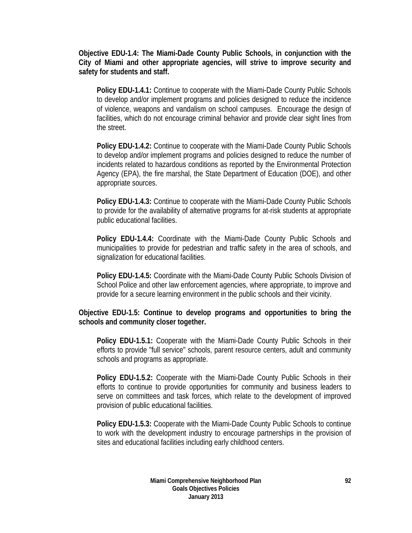**Objective EDU-1.4: The Miami-Dade County Public Schools, in conjunction with the City of Miami and other appropriate agencies, will strive to improve security and safety for students and staff.**

**Policy EDU-1.4.1:** Continue to cooperate with the Miami-Dade County Public Schools to develop and/or implement programs and policies designed to reduce the incidence of violence, weapons and vandalism on school campuses. Encourage the design of facilities, which do not encourage criminal behavior and provide clear sight lines from the street.

**Policy EDU-1.4.2:** Continue to cooperate with the Miami-Dade County Public Schools to develop and/or implement programs and policies designed to reduce the number of incidents related to hazardous conditions as reported by the Environmental Protection Agency (EPA), the fire marshal, the State Department of Education (DOE), and other appropriate sources.

**Policy EDU-1.4.3:** Continue to cooperate with the Miami-Dade County Public Schools to provide for the availability of alternative programs for at-risk students at appropriate public educational facilities.

**Policy EDU-1.4.4:** Coordinate with the Miami-Dade County Public Schools and municipalities to provide for pedestrian and traffic safety in the area of schools, and signalization for educational facilities.

**Policy EDU-1.4.5:** Coordinate with the Miami-Dade County Public Schools Division of School Police and other law enforcement agencies, where appropriate, to improve and provide for a secure learning environment in the public schools and their vicinity.

## **Objective EDU-1.5: Continue to develop programs and opportunities to bring the schools and community closer together.**

**Policy EDU-1.5.1:** Cooperate with the Miami-Dade County Public Schools in their efforts to provide "full service" schools, parent resource centers, adult and community schools and programs as appropriate.

**Policy EDU-1.5.2:** Cooperate with the Miami-Dade County Public Schools in their efforts to continue to provide opportunities for community and business leaders to serve on committees and task forces, which relate to the development of improved provision of public educational facilities.

**Policy EDU-1.5.3:** Cooperate with the Miami-Dade County Public Schools to continue to work with the development industry to encourage partnerships in the provision of sites and educational facilities including early childhood centers.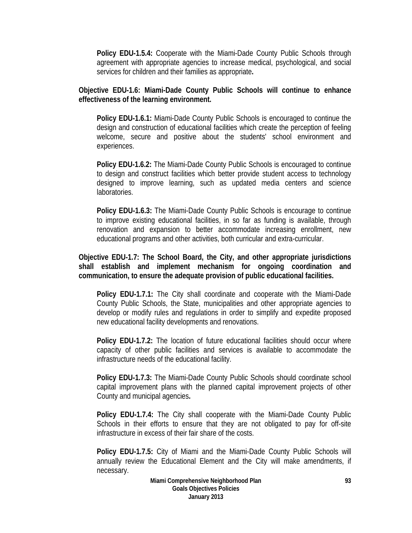**Policy EDU-1.5.4:** Cooperate with the Miami-Dade County Public Schools through agreement with appropriate agencies to increase medical, psychological, and social services for children and their families as appropriate**.** 

**Objective EDU-1.6: Miami-Dade County Public Schools will continue to enhance effectiveness of the learning environment.** 

**Policy EDU-1.6.1:** Miami-Dade County Public Schools is encouraged to continue the design and construction of educational facilities which create the perception of feeling welcome, secure and positive about the students' school environment and experiences.

**Policy EDU-1.6.2:** The Miami-Dade County Public Schools is encouraged to continue to design and construct facilities which better provide student access to technology designed to improve learning, such as updated media centers and science laboratories.

**Policy EDU-1.6.3:** The Miami-Dade County Public Schools is encourage to continue to improve existing educational facilities, in so far as funding is available, through renovation and expansion to better accommodate increasing enrollment, new educational programs and other activities, both curricular and extra-curricular.

**Objective EDU-1.7: The School Board, the City, and other appropriate jurisdictions shall establish and implement mechanism for ongoing coordination and communication, to ensure the adequate provision of public educational facilities.** 

**Policy EDU-1.7.1:** The City shall coordinate and cooperate with the Miami-Dade County Public Schools, the State, municipalities and other appropriate agencies to develop or modify rules and regulations in order to simplify and expedite proposed new educational facility developments and renovations.

 **Policy EDU-1.7.2:** The location of future educational facilities should occur where capacity of other public facilities and services is available to accommodate the infrastructure needs of the educational facility.

 **Policy EDU-1.7.3:** The Miami-Dade County Public Schools should coordinate school capital improvement plans with the planned capital improvement projects of other County and municipal agencies**.** 

 **Policy EDU-1.7.4:** The City shall cooperate with the Miami-Dade County Public Schools in their efforts to ensure that they are not obligated to pay for off-site infrastructure in excess of their fair share of the costs.

**Policy EDU-1.7.5:** City of Miami and the Miami-Dade County Public Schools will annually review the Educational Element and the City will make amendments, if necessary.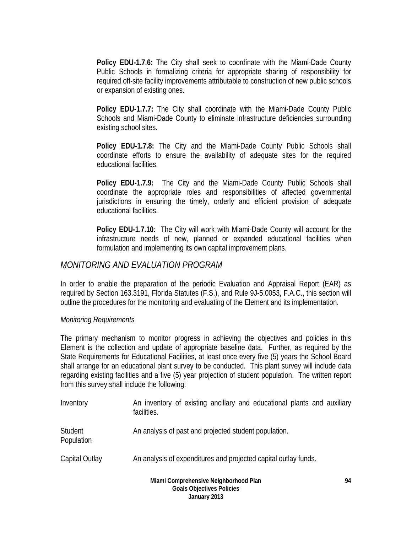**Policy EDU-1.7.6:** The City shall seek to coordinate with the Miami-Dade County Public Schools in formalizing criteria for appropriate sharing of responsibility for required off-site facility improvements attributable to construction of new public schools or expansion of existing ones.

**Policy EDU-1.7.7:** The City shall coordinate with the Miami-Dade County Public Schools and Miami-Dade County to eliminate infrastructure deficiencies surrounding existing school sites.

**Policy EDU-1.7.8:** The City and the Miami-Dade County Public Schools shall coordinate efforts to ensure the availability of adequate sites for the required educational facilities.

**Policy EDU-1.7.9:** The City and the Miami-Dade County Public Schools shall coordinate the appropriate roles and responsibilities of affected governmental jurisdictions in ensuring the timely, orderly and efficient provision of adequate educational facilities.

**Policy EDU-1.7.10**: The City will work with Miami-Dade County will account for the infrastructure needs of new, planned or expanded educational facilities when formulation and implementing its own capital improvement plans.

# *MONITORING AND EVALUATION PROGRAM*

In order to enable the preparation of the periodic Evaluation and Appraisal Report (EAR) as required by Section 163.3191, Florida Statutes (F.S.), and Rule 9J-5.0053, F.A.C., this section will outline the procedures for the monitoring and evaluating of the Element and its implementation.

### *Monitoring Requirements*

The primary mechanism to monitor progress in achieving the objectives and policies in this Element is the collection and update of appropriate baseline data. Further, as required by the State Requirements for Educational Facilities, at least once every five (5) years the School Board shall arrange for an educational plant survey to be conducted. This plant survey will include data regarding existing facilities and a five (5) year projection of student population. The written report from this survey shall include the following:

| Inventory             | An inventory of existing ancillary and educational plants and auxiliary<br>facilities. |    |
|-----------------------|----------------------------------------------------------------------------------------|----|
| Student<br>Population | An analysis of past and projected student population.                                  |    |
| Capital Outlay        | An analysis of expenditures and projected capital outlay funds.                        |    |
|                       | Miami Comprehensive Neighborhood Plan                                                  | 94 |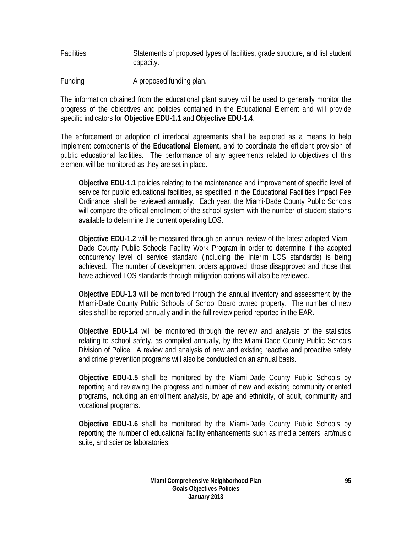Facilities Statements of proposed types of facilities, grade structure, and list student capacity.

Funding **A** proposed funding plan.

The information obtained from the educational plant survey will be used to generally monitor the progress of the objectives and policies contained in the Educational Element and will provide specific indicators for **Objective EDU-1.1** and **Objective EDU-1.4**.

The enforcement or adoption of interlocal agreements shall be explored as a means to help implement components of **the Educational Element**, and to coordinate the efficient provision of public educational facilities. The performance of any agreements related to objectives of this element will be monitored as they are set in place.

**Objective EDU-1.1** policies relating to the maintenance and improvement of specific level of service for public educational facilities, as specified in the Educational Facilities Impact Fee Ordinance, shall be reviewed annually. Each year, the Miami-Dade County Public Schools will compare the official enrollment of the school system with the number of student stations available to determine the current operating LOS.

**Objective EDU-1.2** will be measured through an annual review of the latest adopted Miami-Dade County Public Schools Facility Work Program in order to determine if the adopted concurrency level of service standard (including the Interim LOS standards) is being achieved. The number of development orders approved, those disapproved and those that have achieved LOS standards through mitigation options will also be reviewed.

**Objective EDU-1.3** will be monitored through the annual inventory and assessment by the Miami-Dade County Public Schools of School Board owned property. The number of new sites shall be reported annually and in the full review period reported in the EAR.

**Objective EDU-1.4** will be monitored through the review and analysis of the statistics relating to school safety, as compiled annually, by the Miami-Dade County Public Schools Division of Police. A review and analysis of new and existing reactive and proactive safety and crime prevention programs will also be conducted on an annual basis.

**Objective EDU-1.5** shall be monitored by the Miami-Dade County Public Schools by reporting and reviewing the progress and number of new and existing community oriented programs, including an enrollment analysis, by age and ethnicity, of adult, community and vocational programs.

**Objective EDU-1.6** shall be monitored by the Miami-Dade County Public Schools by reporting the number of educational facility enhancements such as media centers, art/music suite, and science laboratories.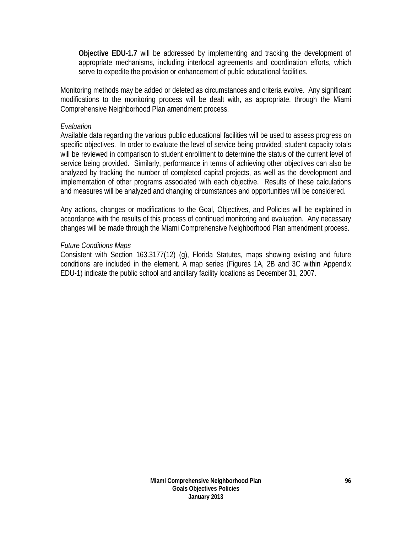**Objective EDU-1.7** will be addressed by implementing and tracking the development of appropriate mechanisms, including interlocal agreements and coordination efforts, which serve to expedite the provision or enhancement of public educational facilities.

Monitoring methods may be added or deleted as circumstances and criteria evolve. Any significant modifications to the monitoring process will be dealt with, as appropriate, through the Miami Comprehensive Neighborhood Plan amendment process.

### *Evaluation*

Available data regarding the various public educational facilities will be used to assess progress on specific objectives. In order to evaluate the level of service being provided, student capacity totals will be reviewed in comparison to student enrollment to determine the status of the current level of service being provided. Similarly, performance in terms of achieving other objectives can also be analyzed by tracking the number of completed capital projects, as well as the development and implementation of other programs associated with each objective. Results of these calculations and measures will be analyzed and changing circumstances and opportunities will be considered.

Any actions, changes or modifications to the Goal, Objectives, and Policies will be explained in accordance with the results of this process of continued monitoring and evaluation. Any necessary changes will be made through the Miami Comprehensive Neighborhood Plan amendment process.

### *Future Conditions Maps*

Consistent with Section 163.3177(12) (g), Florida Statutes, maps showing existing and future conditions are included in the element. A map series (Figures 1A, 2B and 3C within Appendix EDU-1) indicate the public school and ancillary facility locations as December 31, 2007.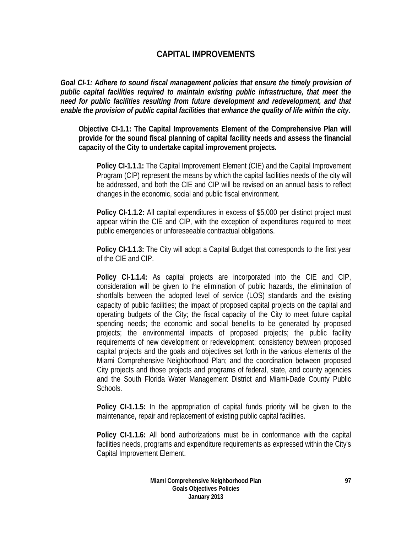# **CAPITAL IMPROVEMENTS**

*Goal CI-1: Adhere to sound fiscal management policies that ensure the timely provision of public capital facilities required to maintain existing public infrastructure, that meet the need for public facilities resulting from future development and redevelopment, and that enable the provision of public capital facilities that enhance the quality of life within the city.* 

**Objective CI-1.1: The Capital Improvements Element of the Comprehensive Plan will provide for the sound fiscal planning of capital facility needs and assess the financial capacity of the City to undertake capital improvement projects.** 

**Policy CI-1.1.1:** The Capital Improvement Element (CIE) and the Capital Improvement Program (CIP) represent the means by which the capital facilities needs of the city will be addressed, and both the CIE and CIP will be revised on an annual basis to reflect changes in the economic, social and public fiscal environment.

**Policy CI-1.1.2:** All capital expenditures in excess of \$5,000 per distinct project must appear within the CIE and CIP, with the exception of expenditures required to meet public emergencies or unforeseeable contractual obligations.

**Policy CI-1.1.3:** The City will adopt a Capital Budget that corresponds to the first year of the CIE and CIP.

**Policy CI-1.1.4:** As capital projects are incorporated into the CIE and CIP, consideration will be given to the elimination of public hazards, the elimination of shortfalls between the adopted level of service (LOS) standards and the existing capacity of public facilities; the impact of proposed capital projects on the capital and operating budgets of the City; the fiscal capacity of the City to meet future capital spending needs; the economic and social benefits to be generated by proposed projects; the environmental impacts of proposed projects; the public facility requirements of new development or redevelopment; consistency between proposed capital projects and the goals and objectives set forth in the various elements of the Miami Comprehensive Neighborhood Plan; and the coordination between proposed City projects and those projects and programs of federal, state, and county agencies and the South Florida Water Management District and Miami-Dade County Public Schools.

**Policy CI-1.1.5:** In the appropriation of capital funds priority will be given to the maintenance, repair and replacement of existing public capital facilities.

**Policy CI-1.1.6:** All bond authorizations must be in conformance with the capital facilities needs, programs and expenditure requirements as expressed within the City's Capital Improvement Element.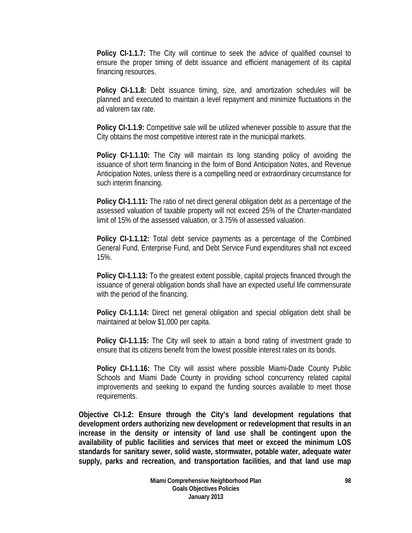**Policy CI-1.1.7:** The City will continue to seek the advice of qualified counsel to ensure the proper timing of debt issuance and efficient management of its capital financing resources.

**Policy CI-1.1.8:** Debt issuance timing, size, and amortization schedules will be planned and executed to maintain a level repayment and minimize fluctuations in the ad valorem tax rate.

**Policy CI-1.1.9:** Competitive sale will be utilized whenever possible to assure that the City obtains the most competitive interest rate in the municipal markets.

**Policy CI-1.1.10:** The City will maintain its long standing policy of avoiding the issuance of short term financing in the form of Bond Anticipation Notes, and Revenue Anticipation Notes, unless there is a compelling need or extraordinary circumstance for such interim financing.

**Policy CI-1.1.11:** The ratio of net direct general obligation debt as a percentage of the assessed valuation of taxable property will not exceed 25% of the Charter-mandated limit of 15% of the assessed valuation, or 3.75% of assessed valuation.

**Policy CI-1.1.12:** Total debt service payments as a percentage of the Combined General Fund, Enterprise Fund, and Debt Service Fund expenditures shall not exceed 15%.

**Policy CI-1.1.13:** To the greatest extent possible, capital projects financed through the issuance of general obligation bonds shall have an expected useful life commensurate with the period of the financing.

**Policy CI-1.1.14:** Direct net general obligation and special obligation debt shall be maintained at below \$1,000 per capita.

**Policy CI-1.1.15:** The City will seek to attain a bond rating of investment grade to ensure that its citizens benefit from the lowest possible interest rates on its bonds.

**Policy CI-1.1.16:** The City will assist where possible Miami-Dade County Public Schools and Miami Dade County in providing school concurrency related capital improvements and seeking to expand the funding sources available to meet those requirements.

**Objective CI-1.2: Ensure through the City's land development regulations that development orders authorizing new development or redevelopment that results in an increase in the density or intensity of land use shall be contingent upon the availability of public facilities and services that meet or exceed the minimum LOS standards for sanitary sewer, solid waste, stormwater, potable water, adequate water supply, parks and recreation, and transportation facilities, and that land use map**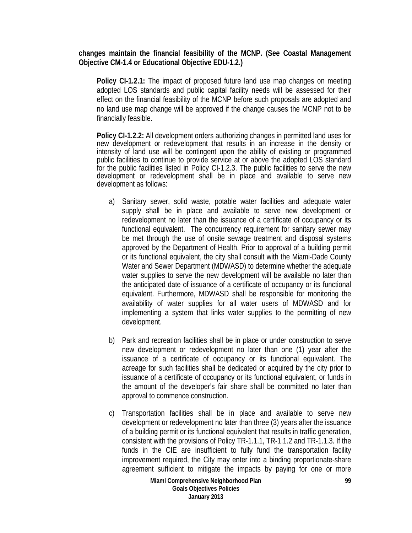**changes maintain the financial feasibility of the MCNP. (See Coastal Management Objective CM-1.4 or Educational Objective EDU-1.2.)**

**Policy CI-1.2.1:** The impact of proposed future land use map changes on meeting adopted LOS standards and public capital facility needs will be assessed for their effect on the financial feasibility of the MCNP before such proposals are adopted and no land use map change will be approved if the change causes the MCNP not to be financially feasible.

**Policy CI-1.2.2:** All development orders authorizing changes in permitted land uses for new development or redevelopment that results in an increase in the density or intensity of land use will be contingent upon the ability of existing or programmed public facilities to continue to provide service at or above the adopted LOS standard for the public facilities listed in Policy CI-1.2.3. The public facilities to serve the new development or redevelopment shall be in place and available to serve new development as follows:

- a) Sanitary sewer, solid waste, potable water facilities and adequate water supply shall be in place and available to serve new development or redevelopment no later than the issuance of a certificate of occupancy or its functional equivalent. The concurrency requirement for sanitary sewer may be met through the use of onsite sewage treatment and disposal systems approved by the Department of Health. Prior to approval of a building permit or its functional equivalent, the city shall consult with the Miami-Dade County Water and Sewer Department (MDWASD) to determine whether the adequate water supplies to serve the new development will be available no later than the anticipated date of issuance of a certificate of occupancy or its functional equivalent. Furthermore, MDWASD shall be responsible for monitoring the availability of water supplies for all water users of MDWASD and for implementing a system that links water supplies to the permitting of new development.
- b) Park and recreation facilities shall be in place or under construction to serve new development or redevelopment no later than one (1) year after the issuance of a certificate of occupancy or its functional equivalent. The acreage for such facilities shall be dedicated or acquired by the city prior to issuance of a certificate of occupancy or its functional equivalent, or funds in the amount of the developer's fair share shall be committed no later than approval to commence construction.
- c) Transportation facilities shall be in place and available to serve new development or redevelopment no later than three (3) years after the issuance of a building permit or its functional equivalent that results in traffic generation, consistent with the provisions of Policy TR-1.1.1, TR-1.1.2 and TR-1.1.3. If the funds in the CIE are insufficient to fully fund the transportation facility improvement required, the City may enter into a binding proportionate-share agreement sufficient to mitigate the impacts by paying for one or more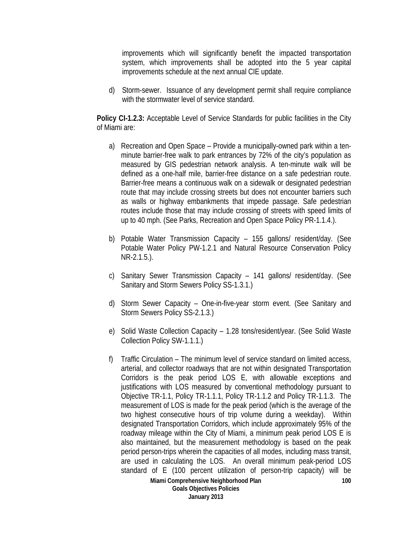improvements which will significantly benefit the impacted transportation system, which improvements shall be adopted into the 5 year capital improvements schedule at the next annual CIE update.

d) Storm-sewer. Issuance of any development permit shall require compliance with the stormwater level of service standard.

**Policy CI-1.2.3:** Acceptable Level of Service Standards for public facilities in the City of Miami are:

- a) Recreation and Open Space Provide a municipally-owned park within a tenminute barrier-free walk to park entrances by 72% of the city's population as measured by GIS pedestrian network analysis. A ten-minute walk will be defined as a one-half mile, barrier-free distance on a safe pedestrian route. Barrier-free means a continuous walk on a sidewalk or designated pedestrian route that may include crossing streets but does not encounter barriers such as walls or highway embankments that impede passage. Safe pedestrian routes include those that may include crossing of streets with speed limits of up to 40 mph. (See Parks, Recreation and Open Space Policy PR-1.1.4.).
- b) Potable Water Transmission Capacity 155 gallons/ resident/day. (See Potable Water Policy PW-1.2.1 and Natural Resource Conservation Policy NR-2.1.5.).
- c) Sanitary Sewer Transmission Capacity 141 gallons/ resident/day. (See Sanitary and Storm Sewers Policy SS-1.3.1.)
- d) Storm Sewer Capacity One-in-five-year storm event. (See Sanitary and Storm Sewers Policy SS-2.1.3.)
- e) Solid Waste Collection Capacity 1.28 tons/resident/year. (See Solid Waste Collection Policy SW-1.1.1.)
- **100** f) Traffic Circulation – The minimum level of service standard on limited access, arterial, and collector roadways that are not within designated Transportation Corridors is the peak period LOS E, with allowable exceptions and justifications with LOS measured by conventional methodology pursuant to Objective TR-1.1, Policy TR-1.1.1, Policy TR-1.1.2 and Policy TR-1.1.3. The measurement of LOS is made for the peak period (which is the average of the two highest consecutive hours of trip volume during a weekday). Within designated Transportation Corridors, which include approximately 95% of the roadway mileage within the City of Miami, a minimum peak period LOS E is also maintained, but the measurement methodology is based on the peak period person-trips wherein the capacities of all modes, including mass transit, are used in calculating the LOS. An overall minimum peak-period LOS standard of E (100 percent utilization of person-trip capacity) will be

**Miami Comprehensive Neighborhood Plan Goals Objectives Policies January 2013**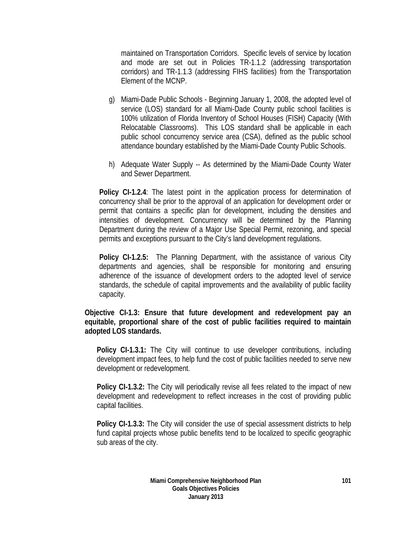maintained on Transportation Corridors. Specific levels of service by location and mode are set out in Policies TR-1.1.2 (addressing transportation corridors) and TR-1.1.3 (addressing FIHS facilities) from the Transportation Element of the MCNP.

- g) Miami-Dade Public Schools Beginning January 1, 2008, the adopted level of service (LOS) standard for all Miami-Dade County public school facilities is 100% utilization of Florida Inventory of School Houses (FISH) Capacity (With Relocatable Classrooms). This LOS standard shall be applicable in each public school concurrency service area (CSA), defined as the public school attendance boundary established by the Miami-Dade County Public Schools.
- h) Adequate Water Supply -- As determined by the Miami-Dade County Water and Sewer Department.

**Policy CI-1.2.4**: The latest point in the application process for determination of concurrency shall be prior to the approval of an application for development order or permit that contains a specific plan for development, including the densities and intensities of development. Concurrency will be determined by the Planning Department during the review of a Major Use Special Permit, rezoning, and special permits and exceptions pursuant to the City's land development regulations.

**Policy CI-1.2.5:** The Planning Department, with the assistance of various City departments and agencies, shall be responsible for monitoring and ensuring adherence of the issuance of development orders to the adopted level of service standards, the schedule of capital improvements and the availability of public facility capacity.

**Objective CI-1.3: Ensure that future development and redevelopment pay an equitable, proportional share of the cost of public facilities required to maintain adopted LOS standards.** 

**Policy CI-1.3.1:** The City will continue to use developer contributions, including development impact fees, to help fund the cost of public facilities needed to serve new development or redevelopment.

**Policy CI-1.3.2:** The City will periodically revise all fees related to the impact of new development and redevelopment to reflect increases in the cost of providing public capital facilities.

**Policy CI-1.3.3:** The City will consider the use of special assessment districts to help fund capital projects whose public benefits tend to be localized to specific geographic sub areas of the city.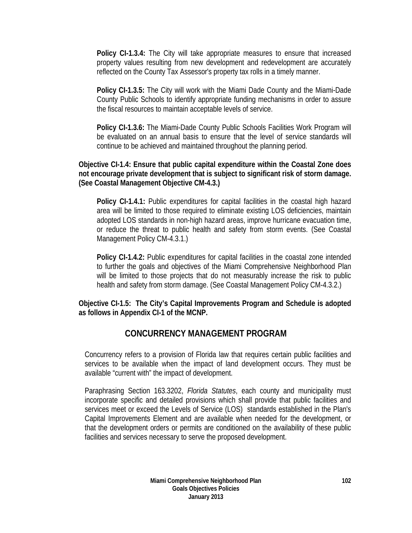**Policy CI-1.3.4:** The City will take appropriate measures to ensure that increased property values resulting from new development and redevelopment are accurately reflected on the County Tax Assessor's property tax rolls in a timely manner.

**Policy CI-1.3.5:** The City will work with the Miami Dade County and the Miami-Dade County Public Schools to identify appropriate funding mechanisms in order to assure the fiscal resources to maintain acceptable levels of service.

**Policy CI-1.3.6:** The Miami-Dade County Public Schools Facilities Work Program will be evaluated on an annual basis to ensure that the level of service standards will continue to be achieved and maintained throughout the planning period.

## **Objective CI-1.4: Ensure that public capital expenditure within the Coastal Zone does not encourage private development that is subject to significant risk of storm damage. (See Coastal Management Objective CM-4.3.)**

**Policy CI-1.4.1:** Public expenditures for capital facilities in the coastal high hazard area will be limited to those required to eliminate existing LOS deficiencies, maintain adopted LOS standards in non-high hazard areas, improve hurricane evacuation time, or reduce the threat to public health and safety from storm events. (See Coastal Management Policy CM-4.3.1.)

**Policy CI-1.4.2:** Public expenditures for capital facilities in the coastal zone intended to further the goals and objectives of the Miami Comprehensive Neighborhood Plan will be limited to those projects that do not measurably increase the risk to public health and safety from storm damage. (See Coastal Management Policy CM-4.3.2.)

**Objective CI-1.5: The City's Capital Improvements Program and Schedule is adopted as follows in Appendix CI-1 of the MCNP.** 

# **CONCURRENCY MANAGEMENT PROGRAM**

Concurrency refers to a provision of Florida law that requires certain public facilities and services to be available when the impact of land development occurs. They must be available "current with" the impact of development.

Paraphrasing Section 163.3202, *Florida Statutes*, each county and municipality must incorporate specific and detailed provisions which shall provide that public facilities and services meet or exceed the Levels of Service (LOS) standards established in the Plan's Capital Improvements Element and are available when needed for the development, or that the development orders or permits are conditioned on the availability of these public facilities and services necessary to serve the proposed development.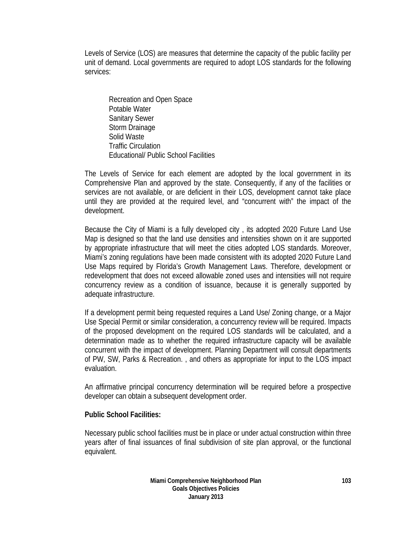Levels of Service (LOS) are measures that determine the capacity of the public facility per unit of demand. Local governments are required to adopt LOS standards for the following services:

 Recreation and Open Space Potable Water Sanitary Sewer Storm Drainage Solid Waste Traffic Circulation Educational/ Public School Facilities

The Levels of Service for each element are adopted by the local government in its Comprehensive Plan and approved by the state. Consequently, if any of the facilities or services are not available, or are deficient in their LOS, development cannot take place until they are provided at the required level, and "concurrent with" the impact of the development.

Because the City of Miami is a fully developed city , its adopted 2020 Future Land Use Map is designed so that the land use densities and intensities shown on it are supported by appropriate infrastructure that will meet the cities adopted LOS standards. Moreover, Miami's zoning regulations have been made consistent with its adopted 2020 Future Land Use Maps required by Florida's Growth Management Laws. Therefore, development or redevelopment that does not exceed allowable zoned uses and intensities will not require concurrency review as a condition of issuance, because it is generally supported by adequate infrastructure.

If a development permit being requested requires a Land Use/ Zoning change, or a Major Use Special Permit or similar consideration, a concurrency review will be required. Impacts of the proposed development on the required LOS standards will be calculated, and a determination made as to whether the required infrastructure capacity will be available concurrent with the impact of development. Planning Department will consult departments of PW, SW, Parks & Recreation. , and others as appropriate for input to the LOS impact evaluation.

An affirmative principal concurrency determination will be required before a prospective developer can obtain a subsequent development order.

#### **Public School Facilities:**

Necessary public school facilities must be in place or under actual construction within three years after of final issuances of final subdivision of site plan approval, or the functional equivalent.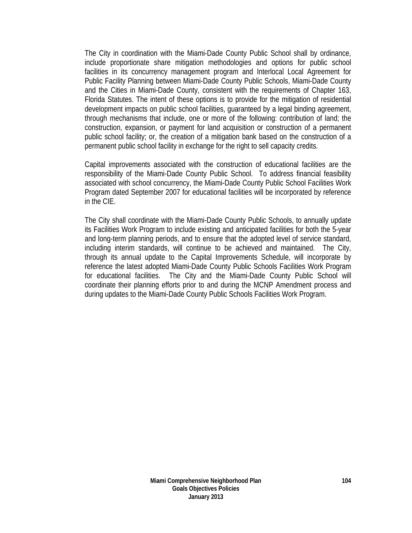The City in coordination with the Miami-Dade County Public School shall by ordinance, include proportionate share mitigation methodologies and options for public school facilities in its concurrency management program and Interlocal Local Agreement for Public Facility Planning between Miami-Dade County Public Schools, Miami-Dade County and the Cities in Miami-Dade County, consistent with the requirements of Chapter 163, Florida Statutes. The intent of these options is to provide for the mitigation of residential development impacts on public school facilities, guaranteed by a legal binding agreement, through mechanisms that include, one or more of the following: contribution of land; the construction, expansion, or payment for land acquisition or construction of a permanent public school facility; or, the creation of a mitigation bank based on the construction of a permanent public school facility in exchange for the right to sell capacity credits.

Capital improvements associated with the construction of educational facilities are the responsibility of the Miami-Dade County Public School. To address financial feasibility associated with school concurrency, the Miami-Dade County Public School Facilities Work Program dated September 2007 for educational facilities will be incorporated by reference in the CIE.

The City shall coordinate with the Miami-Dade County Public Schools, to annually update its Facilities Work Program to include existing and anticipated facilities for both the 5-year and long-term planning periods, and to ensure that the adopted level of service standard, including interim standards, will continue to be achieved and maintained. The City, through its annual update to the Capital Improvements Schedule, will incorporate by reference the latest adopted Miami-Dade County Public Schools Facilities Work Program for educational facilities. The City and the Miami-Dade County Public School will coordinate their planning efforts prior to and during the MCNP Amendment process and during updates to the Miami-Dade County Public Schools Facilities Work Program.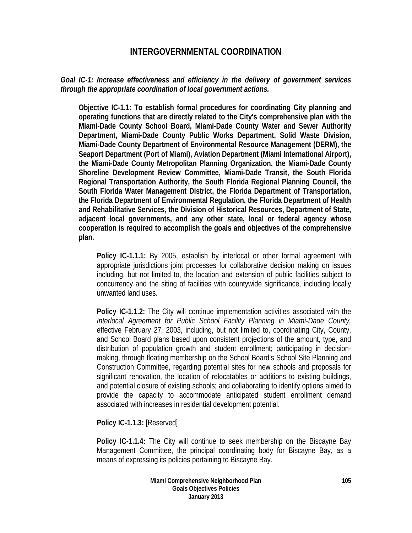# **INTERGOVERNMENTAL COORDINATION**

## *Goal IC-1: Increase effectiveness and efficiency in the delivery of government services through the appropriate coordination of local government actions.*

**Objective IC-1.1: To establish formal procedures for coordinating City planning and operating functions that are directly related to the City's comprehensive plan with the Miami-Dade County School Board, Miami-Dade County Water and Sewer Authority Department, Miami-Dade County Public Works Department, Solid Waste Division, Miami-Dade County Department of Environmental Resource Management (DERM), the Seaport Department (Port of Miami), Aviation Department (Miami International Airport), the Miami-Dade County Metropolitan Planning Organization, the Miami-Dade County Shoreline Development Review Committee, Miami-Dade Transit, the South Florida Regional Transportation Authority, the South Florida Regional Planning Council, the South Florida Water Management District, the Florida Department of Transportation, the Florida Department of Environmental Regulation, the Florida Department of Health and Rehabilitative Services, the Division of Historical Resources, Department of State, adjacent local governments, and any other state, local or federal agency whose cooperation is required to accomplish the goals and objectives of the comprehensive plan.** 

**Policy IC-1.1.1:** By 2005, establish by interlocal or other formal agreement with appropriate jurisdictions joint processes for collaborative decision making on issues including, but not limited to, the location and extension of public facilities subject to concurrency and the siting of facilities with countywide significance, including locally unwanted land uses.

**Policy IC-1.1.2:** The City will continue implementation activities associated with the *Interlocal Agreement for Public School Facility Planning in Miami-Dade County,* effective February 27, 2003, including, but not limited to, coordinating City, County, and School Board plans based upon consistent projections of the amount, type, and distribution of population growth and student enrollment; participating in decisionmaking, through floating membership on the School Board's School Site Planning and Construction Committee, regarding potential sites for new schools and proposals for significant renovation, the location of relocatables or additions to existing buildings, and potential closure of existing schools; and collaborating to identify options aimed to provide the capacity to accommodate anticipated student enrollment demand associated with increases in residential development potential.

**Policy IC-1.1.3:** [Reserved]

**Policy IC-1.1.4:** The City will continue to seek membership on the Biscayne Bay Management Committee, the principal coordinating body for Biscayne Bay, as a means of expressing its policies pertaining to Biscayne Bay.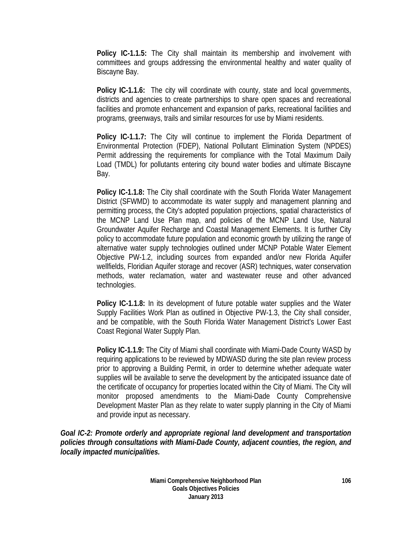**Policy IC-1.1.5:** The City shall maintain its membership and involvement with committees and groups addressing the environmental healthy and water quality of Biscayne Bay.

**Policy IC-1.1.6:** The city will coordinate with county, state and local governments, districts and agencies to create partnerships to share open spaces and recreational facilities and promote enhancement and expansion of parks, recreational facilities and programs, greenways, trails and similar resources for use by Miami residents.

**Policy IC-1.1.7:** The City will continue to implement the Florida Department of Environmental Protection (FDEP), National Pollutant Elimination System (NPDES) Permit addressing the requirements for compliance with the Total Maximum Daily Load (TMDL) for pollutants entering city bound water bodies and ultimate Biscayne Bay.

**Policy IC-1.1.8:** The City shall coordinate with the South Florida Water Management District (SFWMD) to accommodate its water supply and management planning and permitting process, the City's adopted population projections, spatial characteristics of the MCNP Land Use Plan map, and policies of the MCNP Land Use, Natural Groundwater Aquifer Recharge and Coastal Management Elements. It is further City policy to accommodate future population and economic growth by utilizing the range of alternative water supply technologies outlined under MCNP Potable Water Element Objective PW-1.2, including sources from expanded and/or new Florida Aquifer wellfields, Floridian Aquifer storage and recover (ASR) techniques, water conservation methods, water reclamation, water and wastewater reuse and other advanced technologies.

**Policy IC-1.1.8:** In its development of future potable water supplies and the Water Supply Facilities Work Plan as outlined in Objective PW-1.3, the City shall consider, and be compatible, with the South Florida Water Management District's Lower East Coast Regional Water Supply Plan.

**Policy IC-1.1.9:** The City of Miami shall coordinate with Miami-Dade County WASD by requiring applications to be reviewed by MDWASD during the site plan review process prior to approving a Building Permit, in order to determine whether adequate water supplies will be available to serve the development by the anticipated issuance date of the certificate of occupancy for properties located within the City of Miami. The City will monitor proposed amendments to the Miami-Dade County Comprehensive Development Master Plan as they relate to water supply planning in the City of Miami and provide input as necessary.

*Goal IC-2: Promote orderly and appropriate regional land development and transportation policies through consultations with Miami-Dade County, adjacent counties, the region, and locally impacted municipalities.*